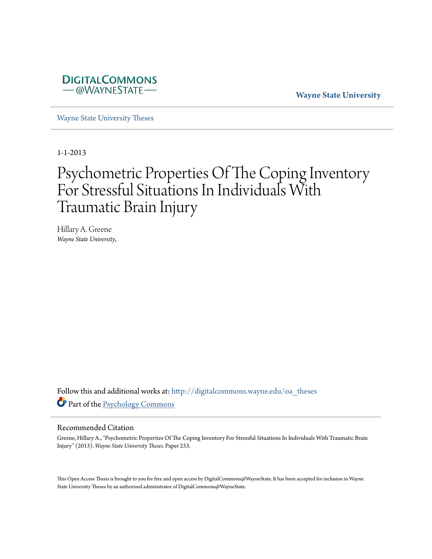

**Wayne State University**

[Wayne State University Theses](http://digitalcommons.wayne.edu/oa_theses?utm_source=digitalcommons.wayne.edu%2Foa_theses%2F233&utm_medium=PDF&utm_campaign=PDFCoverPages)

1-1-2013

# Psychometric Properties Of The Coping Inventory For Stressful Situations In Individuals With Traumatic Brain Injury

Hillary A. Greene *Wayne State University*,

Follow this and additional works at: [http://digitalcommons.wayne.edu/oa\\_theses](http://digitalcommons.wayne.edu/oa_theses?utm_source=digitalcommons.wayne.edu%2Foa_theses%2F233&utm_medium=PDF&utm_campaign=PDFCoverPages) Part of the [Psychology Commons](http://network.bepress.com/hgg/discipline/404?utm_source=digitalcommons.wayne.edu%2Foa_theses%2F233&utm_medium=PDF&utm_campaign=PDFCoverPages)

#### Recommended Citation

Greene, Hillary A., "Psychometric Properties Of The Coping Inventory For Stressful Situations In Individuals With Traumatic Brain Injury" (2013). *Wayne State University Theses.* Paper 233.

This Open Access Thesis is brought to you for free and open access by DigitalCommons@WayneState. It has been accepted for inclusion in Wayne State University Theses by an authorized administrator of DigitalCommons@WayneState.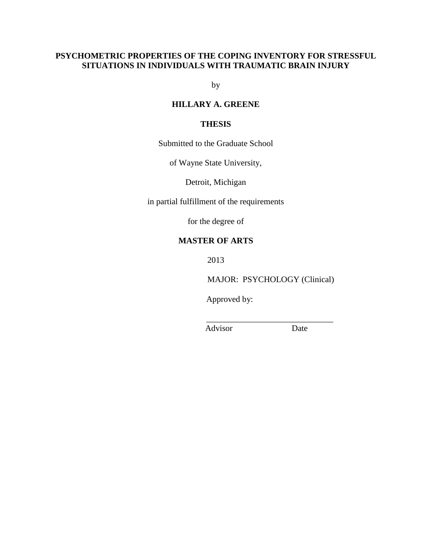# **PSYCHOMETRIC PROPERTIES OF THE COPING INVENTORY FOR STRESSFUL SITUATIONS IN INDIVIDUALS WITH TRAUMATIC BRAIN INJURY**

by

# **HILLARY A. GREENE**

# **THESIS**

Submitted to the Graduate School

of Wayne State University,

Detroit, Michigan

in partial fulfillment of the requirements

for the degree of

# **MASTER OF ARTS**

2013

MAJOR: PSYCHOLOGY (Clinical)

\_\_\_\_\_\_\_\_\_\_\_\_\_\_\_\_\_\_\_\_\_\_\_\_\_\_\_\_\_\_

Approved by:

Advisor Date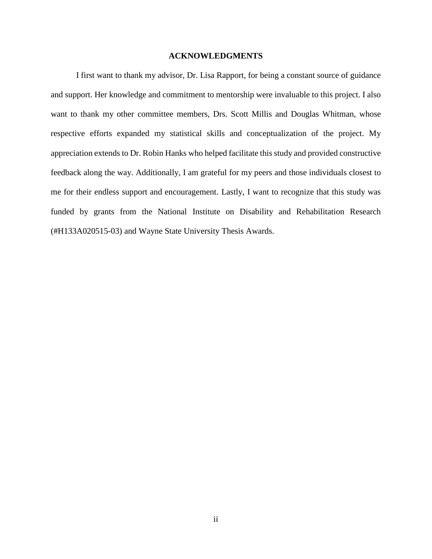#### **ACKNOWLEDGMENTS**

I first want to thank my advisor, Dr. Lisa Rapport, for being a constant source of guidance and support. Her knowledge and commitment to mentorship were invaluable to this project. I also want to thank my other committee members, Drs. Scott Millis and Douglas Whitman, whose respective efforts expanded my statistical skills and conceptualization of the project. My appreciation extends to Dr. Robin Hanks who helped facilitate this study and provided constructive feedback along the way. Additionally, I am grateful for my peers and those individuals closest to me for their endless support and encouragement. Lastly, I want to recognize that this study was funded by grants from the National Institute on Disability and Rehabilitation Research (#H133A020515-03) and Wayne State University Thesis Awards.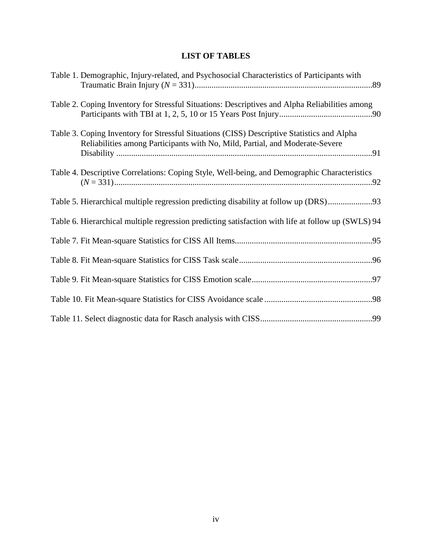# **LIST OF TABLES**

| Table 1. Demographic, Injury-related, and Psychosocial Characteristics of Participants with                                                                                |
|----------------------------------------------------------------------------------------------------------------------------------------------------------------------------|
| Table 2. Coping Inventory for Stressful Situations: Descriptives and Alpha Reliabilities among                                                                             |
| Table 3. Coping Inventory for Stressful Situations (CISS) Descriptive Statistics and Alpha<br>Reliabilities among Participants with No, Mild, Partial, and Moderate-Severe |
| Table 4. Descriptive Correlations: Coping Style, Well-being, and Demographic Characteristics                                                                               |
| Table 5. Hierarchical multiple regression predicting disability at follow up (DRS)93                                                                                       |
| Table 6. Hierarchical multiple regression predicting satisfaction with life at follow up (SWLS) 94                                                                         |
|                                                                                                                                                                            |
|                                                                                                                                                                            |
|                                                                                                                                                                            |
|                                                                                                                                                                            |
|                                                                                                                                                                            |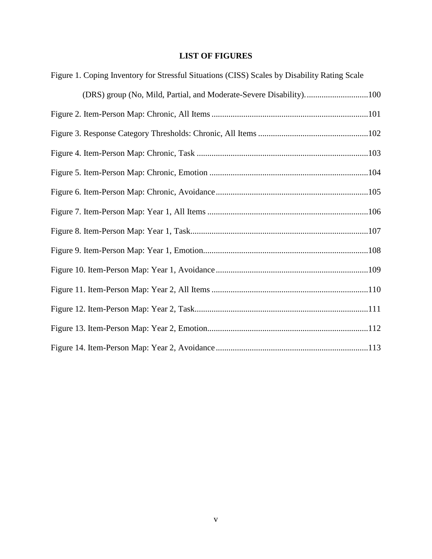# **LIST OF FIGURES**

| Figure 1. Coping Inventory for Stressful Situations (CISS) Scales by Disability Rating Scale |
|----------------------------------------------------------------------------------------------|
| (DRS) group (No, Mild, Partial, and Moderate-Severe Disability)100                           |
|                                                                                              |
|                                                                                              |
|                                                                                              |
|                                                                                              |
|                                                                                              |
|                                                                                              |
|                                                                                              |
|                                                                                              |
|                                                                                              |
|                                                                                              |
|                                                                                              |
|                                                                                              |
|                                                                                              |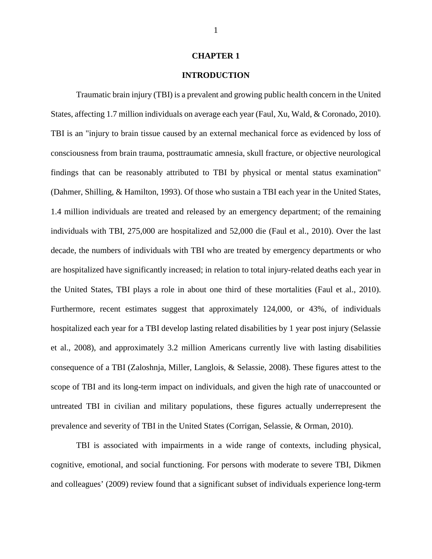#### **CHAPTER 1**

## **INTRODUCTION**

Traumatic brain injury (TBI) is a prevalent and growing public health concern in the United States, affecting 1.7 million individuals on average each year (Faul, Xu, Wald, & Coronado, 2010). TBI is an "injury to brain tissue caused by an external mechanical force as evidenced by loss of consciousness from brain trauma, posttraumatic amnesia, skull fracture, or objective neurological findings that can be reasonably attributed to TBI by physical or mental status examination" (Dahmer, Shilling, & Hamilton, 1993). Of those who sustain a TBI each year in the United States, 1.4 million individuals are treated and released by an emergency department; of the remaining individuals with TBI, 275,000 are hospitalized and 52,000 die (Faul et al., 2010). Over the last decade, the numbers of individuals with TBI who are treated by emergency departments or who are hospitalized have significantly increased; in relation to total injury-related deaths each year in the United States, TBI plays a role in about one third of these mortalities (Faul et al., 2010). Furthermore, recent estimates suggest that approximately 124,000, or 43%, of individuals hospitalized each year for a TBI develop lasting related disabilities by 1 year post injury (Selassie et al., 2008), and approximately 3.2 million Americans currently live with lasting disabilities consequence of a TBI (Zaloshnja, Miller, Langlois, & Selassie, 2008). These figures attest to the scope of TBI and its long-term impact on individuals, and given the high rate of unaccounted or untreated TBI in civilian and military populations, these figures actually underrepresent the prevalence and severity of TBI in the United States (Corrigan, Selassie, & Orman, 2010).

TBI is associated with impairments in a wide range of contexts, including physical, cognitive, emotional, and social functioning. For persons with moderate to severe TBI, Dikmen and colleagues' (2009) review found that a significant subset of individuals experience long-term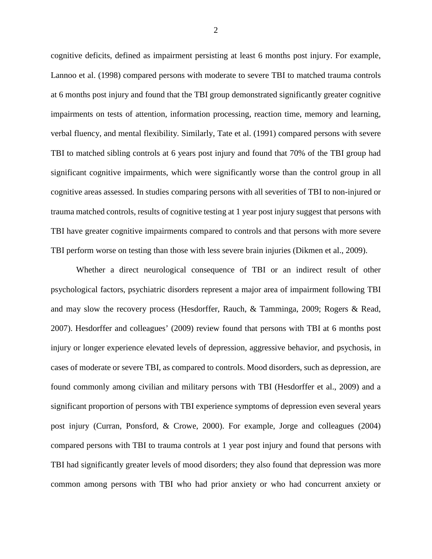cognitive deficits, defined as impairment persisting at least 6 months post injury. For example, Lannoo et al. (1998) compared persons with moderate to severe TBI to matched trauma controls at 6 months post injury and found that the TBI group demonstrated significantly greater cognitive impairments on tests of attention, information processing, reaction time, memory and learning, verbal fluency, and mental flexibility. Similarly, Tate et al. (1991) compared persons with severe TBI to matched sibling controls at 6 years post injury and found that 70% of the TBI group had significant cognitive impairments, which were significantly worse than the control group in all cognitive areas assessed. In studies comparing persons with all severities of TBI to non-injured or trauma matched controls, results of cognitive testing at 1 year post injury suggest that persons with TBI have greater cognitive impairments compared to controls and that persons with more severe TBI perform worse on testing than those with less severe brain injuries (Dikmen et al., 2009).

Whether a direct neurological consequence of TBI or an indirect result of other psychological factors, psychiatric disorders represent a major area of impairment following TBI and may slow the recovery process (Hesdorffer, Rauch, & Tamminga, 2009; Rogers & Read, 2007). Hesdorffer and colleagues' (2009) review found that persons with TBI at 6 months post injury or longer experience elevated levels of depression, aggressive behavior, and psychosis, in cases of moderate or severe TBI, as compared to controls. Mood disorders, such as depression, are found commonly among civilian and military persons with TBI (Hesdorffer et al., 2009) and a significant proportion of persons with TBI experience symptoms of depression even several years post injury (Curran, Ponsford, & Crowe, 2000). For example, Jorge and colleagues (2004) compared persons with TBI to trauma controls at 1 year post injury and found that persons with TBI had significantly greater levels of mood disorders; they also found that depression was more common among persons with TBI who had prior anxiety or who had concurrent anxiety or

2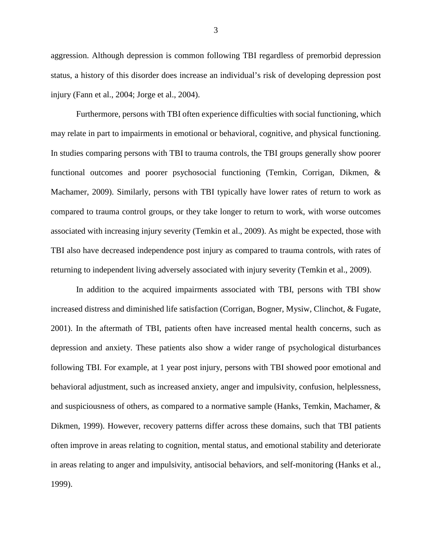aggression. Although depression is common following TBI regardless of premorbid depression status, a history of this disorder does increase an individual's risk of developing depression post injury (Fann et al., 2004; Jorge et al., 2004).

Furthermore, persons with TBI often experience difficulties with social functioning, which may relate in part to impairments in emotional or behavioral, cognitive, and physical functioning. In studies comparing persons with TBI to trauma controls, the TBI groups generally show poorer functional outcomes and poorer psychosocial functioning (Temkin, Corrigan, Dikmen, & Machamer, 2009). Similarly, persons with TBI typically have lower rates of return to work as compared to trauma control groups, or they take longer to return to work, with worse outcomes associated with increasing injury severity (Temkin et al., 2009). As might be expected, those with TBI also have decreased independence post injury as compared to trauma controls, with rates of returning to independent living adversely associated with injury severity (Temkin et al., 2009).

 In addition to the acquired impairments associated with TBI, persons with TBI show increased distress and diminished life satisfaction (Corrigan, Bogner, Mysiw, Clinchot, & Fugate, 2001). In the aftermath of TBI, patients often have increased mental health concerns, such as depression and anxiety. These patients also show a wider range of psychological disturbances following TBI. For example, at 1 year post injury, persons with TBI showed poor emotional and behavioral adjustment, such as increased anxiety, anger and impulsivity, confusion, helplessness, and suspiciousness of others, as compared to a normative sample (Hanks, Temkin, Machamer, & Dikmen, 1999). However, recovery patterns differ across these domains, such that TBI patients often improve in areas relating to cognition, mental status, and emotional stability and deteriorate in areas relating to anger and impulsivity, antisocial behaviors, and self-monitoring (Hanks et al., 1999).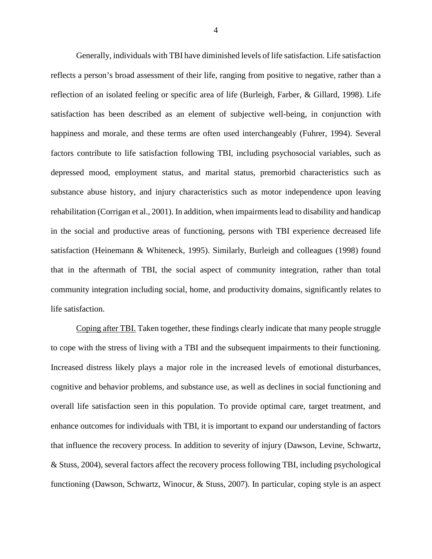Generally, individuals with TBI have diminished levels of life satisfaction. Life satisfaction reflects a person's broad assessment of their life, ranging from positive to negative, rather than a reflection of an isolated feeling or specific area of life (Burleigh, Farber, & Gillard, 1998). Life satisfaction has been described as an element of subjective well-being, in conjunction with happiness and morale, and these terms are often used interchangeably (Fuhrer, 1994). Several factors contribute to life satisfaction following TBI, including psychosocial variables, such as depressed mood, employment status, and marital status, premorbid characteristics such as substance abuse history, and injury characteristics such as motor independence upon leaving rehabilitation (Corrigan et al., 2001). In addition, when impairments lead to disability and handicap in the social and productive areas of functioning, persons with TBI experience decreased life satisfaction (Heinemann & Whiteneck, 1995). Similarly, Burleigh and colleagues (1998) found that in the aftermath of TBI, the social aspect of community integration, rather than total community integration including social, home, and productivity domains, significantly relates to life satisfaction.

Coping after TBI. Taken together, these findings clearly indicate that many people struggle to cope with the stress of living with a TBI and the subsequent impairments to their functioning. Increased distress likely plays a major role in the increased levels of emotional disturbances, cognitive and behavior problems, and substance use, as well as declines in social functioning and overall life satisfaction seen in this population. To provide optimal care, target treatment, and enhance outcomes for individuals with TBI, it is important to expand our understanding of factors that influence the recovery process. In addition to severity of injury (Dawson, Levine, Schwartz, & Stuss, 2004), several factors affect the recovery process following TBI, including psychological functioning (Dawson, Schwartz, Winocur, & Stuss, 2007). In particular, coping style is an aspect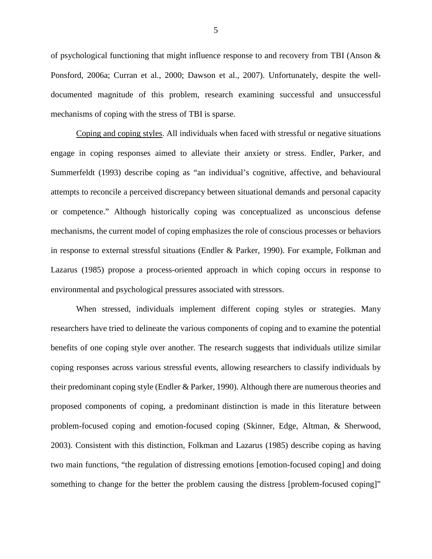of psychological functioning that might influence response to and recovery from TBI (Anson  $\&$ Ponsford, 2006a; Curran et al., 2000; Dawson et al., 2007). Unfortunately, despite the welldocumented magnitude of this problem, research examining successful and unsuccessful mechanisms of coping with the stress of TBI is sparse.

Coping and coping styles. All individuals when faced with stressful or negative situations engage in coping responses aimed to alleviate their anxiety or stress. Endler, Parker, and Summerfeldt (1993) describe coping as "an individual's cognitive, affective, and behavioural attempts to reconcile a perceived discrepancy between situational demands and personal capacity or competence." Although historically coping was conceptualized as unconscious defense mechanisms, the current model of coping emphasizes the role of conscious processes or behaviors in response to external stressful situations (Endler & Parker, 1990). For example, Folkman and Lazarus (1985) propose a process-oriented approach in which coping occurs in response to environmental and psychological pressures associated with stressors.

When stressed, individuals implement different coping styles or strategies. Many researchers have tried to delineate the various components of coping and to examine the potential benefits of one coping style over another. The research suggests that individuals utilize similar coping responses across various stressful events, allowing researchers to classify individuals by their predominant coping style (Endler & Parker, 1990). Although there are numerous theories and proposed components of coping, a predominant distinction is made in this literature between problem-focused coping and emotion-focused coping (Skinner, Edge, Altman, & Sherwood, 2003). Consistent with this distinction, Folkman and Lazarus (1985) describe coping as having two main functions, "the regulation of distressing emotions [emotion-focused coping] and doing something to change for the better the problem causing the distress [problem-focused coping]"

5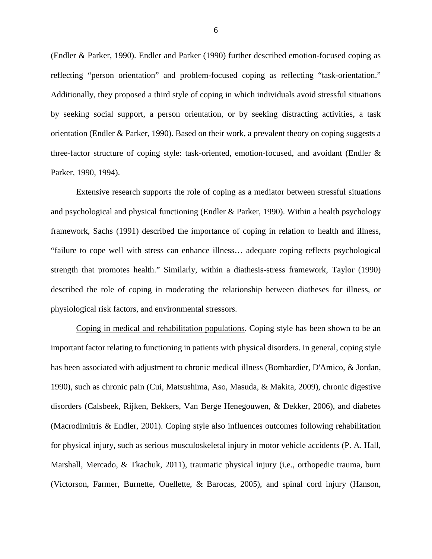(Endler & Parker, 1990). Endler and Parker (1990) further described emotion-focused coping as reflecting "person orientation" and problem-focused coping as reflecting "task-orientation." Additionally, they proposed a third style of coping in which individuals avoid stressful situations by seeking social support, a person orientation, or by seeking distracting activities, a task orientation (Endler & Parker, 1990). Based on their work, a prevalent theory on coping suggests a three-factor structure of coping style: task-oriented, emotion-focused, and avoidant (Endler & Parker, 1990, 1994).

Extensive research supports the role of coping as a mediator between stressful situations and psychological and physical functioning (Endler & Parker, 1990). Within a health psychology framework, Sachs (1991) described the importance of coping in relation to health and illness, "failure to cope well with stress can enhance illness… adequate coping reflects psychological strength that promotes health." Similarly, within a diathesis-stress framework, Taylor (1990) described the role of coping in moderating the relationship between diatheses for illness, or physiological risk factors, and environmental stressors.

Coping in medical and rehabilitation populations. Coping style has been shown to be an important factor relating to functioning in patients with physical disorders. In general, coping style has been associated with adjustment to chronic medical illness (Bombardier, D'Amico, & Jordan, 1990), such as chronic pain (Cui, Matsushima, Aso, Masuda, & Makita, 2009), chronic digestive disorders (Calsbeek, Rijken, Bekkers, Van Berge Henegouwen, & Dekker, 2006), and diabetes (Macrodimitris & Endler, 2001). Coping style also influences outcomes following rehabilitation for physical injury, such as serious musculoskeletal injury in motor vehicle accidents (P. A. Hall, Marshall, Mercado, & Tkachuk, 2011), traumatic physical injury (i.e., orthopedic trauma, burn (Victorson, Farmer, Burnette, Ouellette, & Barocas, 2005), and spinal cord injury (Hanson,

6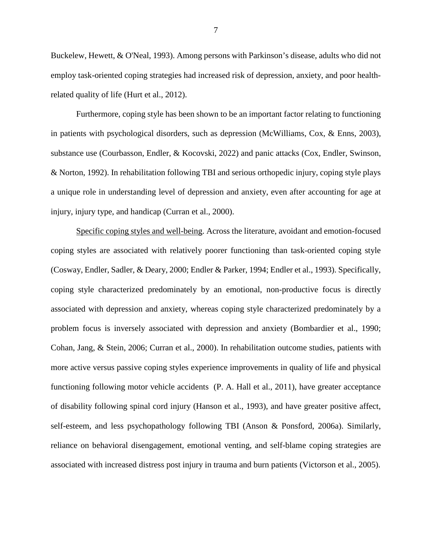Buckelew, Hewett, & O'Neal, 1993). Among persons with Parkinson's disease, adults who did not employ task-oriented coping strategies had increased risk of depression, anxiety, and poor healthrelated quality of life (Hurt et al., 2012).

Furthermore, coping style has been shown to be an important factor relating to functioning in patients with psychological disorders, such as depression (McWilliams, Cox, & Enns, 2003), substance use (Courbasson, Endler, & Kocovski, 2022) and panic attacks (Cox, Endler, Swinson, & Norton, 1992). In rehabilitation following TBI and serious orthopedic injury, coping style plays a unique role in understanding level of depression and anxiety, even after accounting for age at injury, injury type, and handicap (Curran et al., 2000).

Specific coping styles and well-being. Across the literature, avoidant and emotion-focused coping styles are associated with relatively poorer functioning than task-oriented coping style (Cosway, Endler, Sadler, & Deary, 2000; Endler & Parker, 1994; Endler et al., 1993). Specifically, coping style characterized predominately by an emotional, non-productive focus is directly associated with depression and anxiety, whereas coping style characterized predominately by a problem focus is inversely associated with depression and anxiety (Bombardier et al., 1990; Cohan, Jang, & Stein, 2006; Curran et al., 2000). In rehabilitation outcome studies, patients with more active versus passive coping styles experience improvements in quality of life and physical functioning following motor vehicle accidents (P. A. Hall et al., 2011), have greater acceptance of disability following spinal cord injury (Hanson et al., 1993), and have greater positive affect, self-esteem, and less psychopathology following TBI (Anson & Ponsford, 2006a). Similarly, reliance on behavioral disengagement, emotional venting, and self-blame coping strategies are associated with increased distress post injury in trauma and burn patients (Victorson et al., 2005).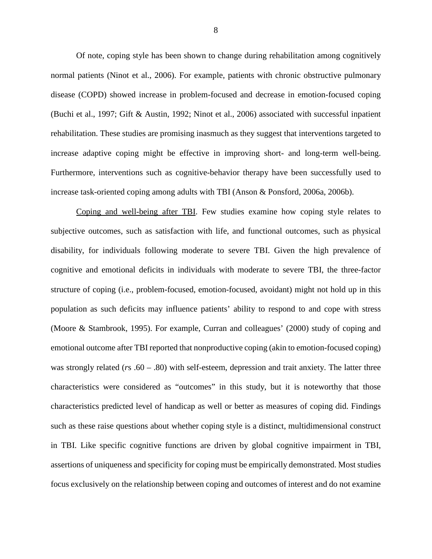Of note, coping style has been shown to change during rehabilitation among cognitively normal patients (Ninot et al., 2006). For example, patients with chronic obstructive pulmonary disease (COPD) showed increase in problem-focused and decrease in emotion-focused coping (Buchi et al., 1997; Gift & Austin, 1992; Ninot et al., 2006) associated with successful inpatient rehabilitation. These studies are promising inasmuch as they suggest that interventions targeted to increase adaptive coping might be effective in improving short- and long-term well-being. Furthermore, interventions such as cognitive-behavior therapy have been successfully used to increase task-oriented coping among adults with TBI (Anson & Ponsford, 2006a, 2006b).

Coping and well-being after TBI. Few studies examine how coping style relates to subjective outcomes, such as satisfaction with life, and functional outcomes, such as physical disability, for individuals following moderate to severe TBI. Given the high prevalence of cognitive and emotional deficits in individuals with moderate to severe TBI, the three-factor structure of coping (i.e., problem-focused, emotion-focused, avoidant) might not hold up in this population as such deficits may influence patients' ability to respond to and cope with stress (Moore & Stambrook, 1995). For example, Curran and colleagues' (2000) study of coping and emotional outcome after TBI reported that nonproductive coping (akin to emotion-focused coping) was strongly related (*r*s .60 – .80) with self-esteem, depression and trait anxiety. The latter three characteristics were considered as "outcomes" in this study, but it is noteworthy that those characteristics predicted level of handicap as well or better as measures of coping did. Findings such as these raise questions about whether coping style is a distinct, multidimensional construct in TBI. Like specific cognitive functions are driven by global cognitive impairment in TBI, assertions of uniqueness and specificity for coping must be empirically demonstrated. Most studies focus exclusively on the relationship between coping and outcomes of interest and do not examine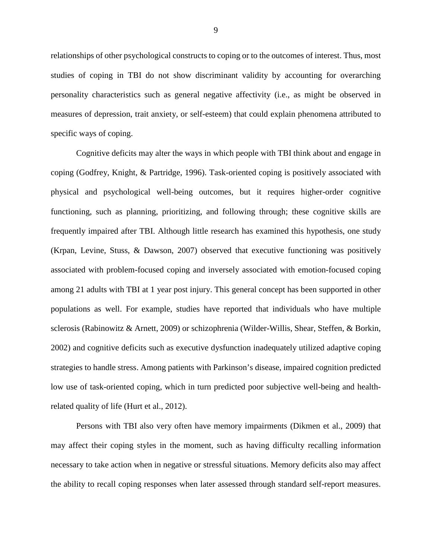relationships of other psychological constructs to coping or to the outcomes of interest. Thus, most studies of coping in TBI do not show discriminant validity by accounting for overarching personality characteristics such as general negative affectivity (i.e., as might be observed in measures of depression, trait anxiety, or self-esteem) that could explain phenomena attributed to specific ways of coping.

Cognitive deficits may alter the ways in which people with TBI think about and engage in coping (Godfrey, Knight, & Partridge, 1996). Task-oriented coping is positively associated with physical and psychological well-being outcomes, but it requires higher-order cognitive functioning, such as planning, prioritizing, and following through; these cognitive skills are frequently impaired after TBI. Although little research has examined this hypothesis, one study (Krpan, Levine, Stuss, & Dawson, 2007) observed that executive functioning was positively associated with problem-focused coping and inversely associated with emotion-focused coping among 21 adults with TBI at 1 year post injury. This general concept has been supported in other populations as well. For example, studies have reported that individuals who have multiple sclerosis (Rabinowitz & Arnett, 2009) or schizophrenia (Wilder-Willis, Shear, Steffen, & Borkin, 2002) and cognitive deficits such as executive dysfunction inadequately utilized adaptive coping strategies to handle stress. Among patients with Parkinson's disease, impaired cognition predicted low use of task-oriented coping, which in turn predicted poor subjective well-being and healthrelated quality of life (Hurt et al., 2012).

Persons with TBI also very often have memory impairments (Dikmen et al., 2009) that may affect their coping styles in the moment, such as having difficulty recalling information necessary to take action when in negative or stressful situations. Memory deficits also may affect the ability to recall coping responses when later assessed through standard self-report measures.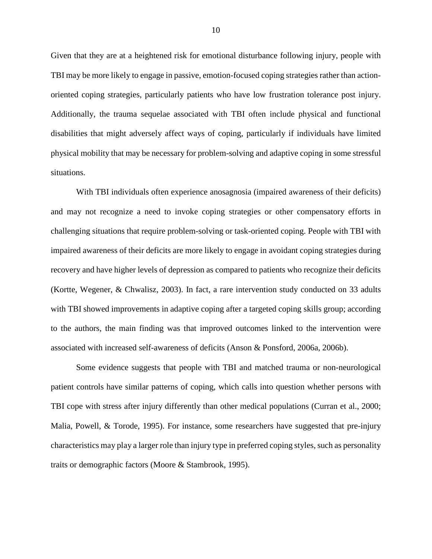Given that they are at a heightened risk for emotional disturbance following injury, people with TBI may be more likely to engage in passive, emotion-focused coping strategies rather than actionoriented coping strategies, particularly patients who have low frustration tolerance post injury. Additionally, the trauma sequelae associated with TBI often include physical and functional disabilities that might adversely affect ways of coping, particularly if individuals have limited physical mobility that may be necessary for problem-solving and adaptive coping in some stressful situations.

 With TBI individuals often experience anosagnosia (impaired awareness of their deficits) and may not recognize a need to invoke coping strategies or other compensatory efforts in challenging situations that require problem-solving or task-oriented coping. People with TBI with impaired awareness of their deficits are more likely to engage in avoidant coping strategies during recovery and have higher levels of depression as compared to patients who recognize their deficits (Kortte, Wegener, & Chwalisz, 2003). In fact, a rare intervention study conducted on 33 adults with TBI showed improvements in adaptive coping after a targeted coping skills group; according to the authors, the main finding was that improved outcomes linked to the intervention were associated with increased self-awareness of deficits (Anson & Ponsford, 2006a, 2006b).

Some evidence suggests that people with TBI and matched trauma or non-neurological patient controls have similar patterns of coping, which calls into question whether persons with TBI cope with stress after injury differently than other medical populations (Curran et al., 2000; Malia, Powell, & Torode, 1995). For instance, some researchers have suggested that pre-injury characteristics may play a larger role than injury type in preferred coping styles, such as personality traits or demographic factors (Moore & Stambrook, 1995).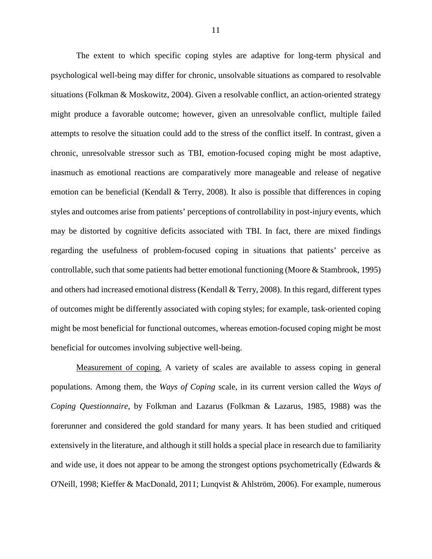The extent to which specific coping styles are adaptive for long-term physical and psychological well-being may differ for chronic, unsolvable situations as compared to resolvable situations (Folkman & Moskowitz, 2004). Given a resolvable conflict, an action-oriented strategy might produce a favorable outcome; however, given an unresolvable conflict, multiple failed attempts to resolve the situation could add to the stress of the conflict itself. In contrast, given a chronic, unresolvable stressor such as TBI, emotion-focused coping might be most adaptive, inasmuch as emotional reactions are comparatively more manageable and release of negative emotion can be beneficial (Kendall & Terry, 2008). It also is possible that differences in coping styles and outcomes arise from patients' perceptions of controllability in post-injury events, which may be distorted by cognitive deficits associated with TBI. In fact, there are mixed findings regarding the usefulness of problem-focused coping in situations that patients' perceive as controllable, such that some patients had better emotional functioning (Moore & Stambrook, 1995) and others had increased emotional distress (Kendall & Terry, 2008). In this regard, different types of outcomes might be differently associated with coping styles; for example, task-oriented coping might be most beneficial for functional outcomes, whereas emotion-focused coping might be most beneficial for outcomes involving subjective well-being.

Measurement of coping. A variety of scales are available to assess coping in general populations. Among them, the *Ways of Coping* scale, in its current version called the *Ways of Coping Questionnaire,* by Folkman and Lazarus (Folkman & Lazarus, 1985, 1988) was the forerunner and considered the gold standard for many years. It has been studied and critiqued extensively in the literature, and although it still holds a special place in research due to familiarity and wide use, it does not appear to be among the strongest options psychometrically (Edwards & O'Neill, 1998; Kieffer & MacDonald, 2011; Lunqvist & Ahlström, 2006). For example, numerous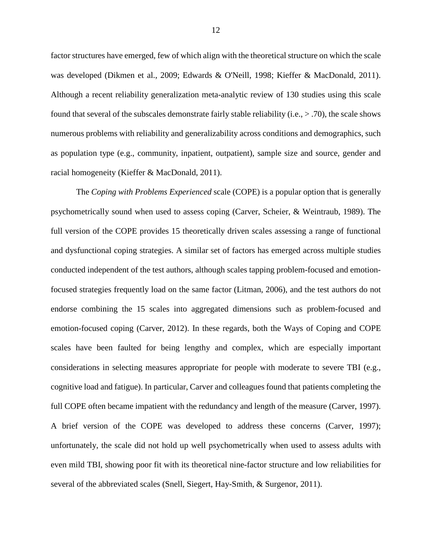factor structures have emerged, few of which align with the theoretical structure on which the scale was developed (Dikmen et al., 2009; Edwards & O'Neill, 1998; Kieffer & MacDonald, 2011). Although a recent reliability generalization meta-analytic review of 130 studies using this scale found that several of the subscales demonstrate fairly stable reliability (i.e.,  $>$  .70), the scale shows numerous problems with reliability and generalizability across conditions and demographics, such as population type (e.g., community, inpatient, outpatient), sample size and source, gender and racial homogeneity (Kieffer & MacDonald, 2011).

The *Coping with Problems Experienced* scale (COPE) is a popular option that is generally psychometrically sound when used to assess coping (Carver, Scheier, & Weintraub, 1989). The full version of the COPE provides 15 theoretically driven scales assessing a range of functional and dysfunctional coping strategies. A similar set of factors has emerged across multiple studies conducted independent of the test authors, although scales tapping problem-focused and emotionfocused strategies frequently load on the same factor (Litman, 2006), and the test authors do not endorse combining the 15 scales into aggregated dimensions such as problem-focused and emotion-focused coping (Carver, 2012). In these regards, both the Ways of Coping and COPE scales have been faulted for being lengthy and complex, which are especially important considerations in selecting measures appropriate for people with moderate to severe TBI (e.g., cognitive load and fatigue). In particular, Carver and colleagues found that patients completing the full COPE often became impatient with the redundancy and length of the measure (Carver, 1997). A brief version of the COPE was developed to address these concerns (Carver, 1997); unfortunately, the scale did not hold up well psychometrically when used to assess adults with even mild TBI, showing poor fit with its theoretical nine-factor structure and low reliabilities for several of the abbreviated scales (Snell, Siegert, Hay-Smith, & Surgenor, 2011).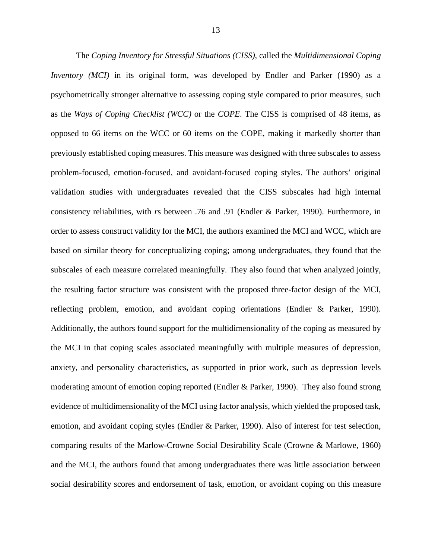The *Coping Inventory for Stressful Situations (CISS)*, called the *Multidimensional Coping Inventory (MCI)* in its original form, was developed by Endler and Parker (1990) as a psychometrically stronger alternative to assessing coping style compared to prior measures, such as the *Ways of Coping Checklist (WCC)* or the *COPE*. The CISS is comprised of 48 items, as opposed to 66 items on the WCC or 60 items on the COPE, making it markedly shorter than previously established coping measures. This measure was designed with three subscales to assess problem-focused, emotion-focused, and avoidant-focused coping styles. The authors' original validation studies with undergraduates revealed that the CISS subscales had high internal consistency reliabilities, with *r*s between .76 and .91 (Endler & Parker, 1990). Furthermore, in order to assess construct validity for the MCI, the authors examined the MCI and WCC, which are based on similar theory for conceptualizing coping; among undergraduates, they found that the subscales of each measure correlated meaningfully. They also found that when analyzed jointly, the resulting factor structure was consistent with the proposed three-factor design of the MCI, reflecting problem, emotion, and avoidant coping orientations (Endler & Parker, 1990). Additionally, the authors found support for the multidimensionality of the coping as measured by the MCI in that coping scales associated meaningfully with multiple measures of depression, anxiety, and personality characteristics, as supported in prior work, such as depression levels moderating amount of emotion coping reported (Endler & Parker, 1990). They also found strong evidence of multidimensionality of the MCI using factor analysis, which yielded the proposed task, emotion, and avoidant coping styles (Endler & Parker, 1990). Also of interest for test selection, comparing results of the Marlow-Crowne Social Desirability Scale (Crowne & Marlowe, 1960) and the MCI, the authors found that among undergraduates there was little association between social desirability scores and endorsement of task, emotion, or avoidant coping on this measure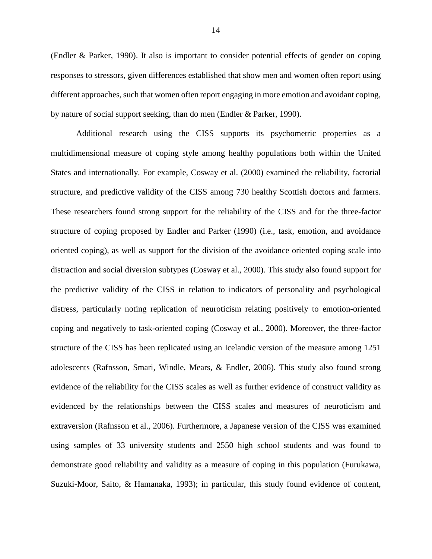(Endler & Parker, 1990). It also is important to consider potential effects of gender on coping responses to stressors, given differences established that show men and women often report using different approaches, such that women often report engaging in more emotion and avoidant coping, by nature of social support seeking, than do men (Endler & Parker, 1990).

Additional research using the CISS supports its psychometric properties as a multidimensional measure of coping style among healthy populations both within the United States and internationally. For example, Cosway et al. (2000) examined the reliability, factorial structure, and predictive validity of the CISS among 730 healthy Scottish doctors and farmers. These researchers found strong support for the reliability of the CISS and for the three-factor structure of coping proposed by Endler and Parker (1990) (i.e., task, emotion, and avoidance oriented coping), as well as support for the division of the avoidance oriented coping scale into distraction and social diversion subtypes (Cosway et al., 2000). This study also found support for the predictive validity of the CISS in relation to indicators of personality and psychological distress, particularly noting replication of neuroticism relating positively to emotion-oriented coping and negatively to task-oriented coping (Cosway et al., 2000). Moreover, the three-factor structure of the CISS has been replicated using an Icelandic version of the measure among 1251 adolescents (Rafnsson, Smari, Windle, Mears, & Endler, 2006). This study also found strong evidence of the reliability for the CISS scales as well as further evidence of construct validity as evidenced by the relationships between the CISS scales and measures of neuroticism and extraversion (Rafnsson et al., 2006). Furthermore, a Japanese version of the CISS was examined using samples of 33 university students and 2550 high school students and was found to demonstrate good reliability and validity as a measure of coping in this population (Furukawa, Suzuki-Moor, Saito, & Hamanaka, 1993); in particular, this study found evidence of content,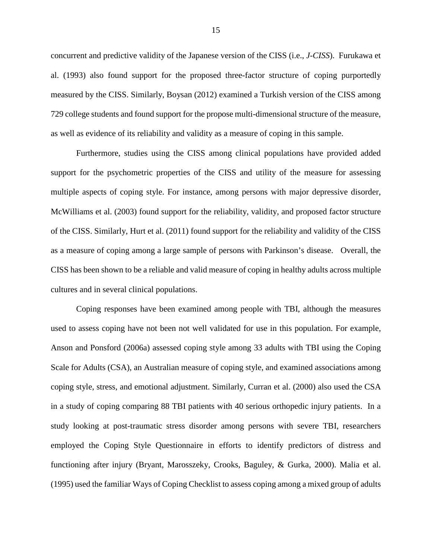concurrent and predictive validity of the Japanese version of the CISS (i.e., *J-CISS*). Furukawa et al. (1993) also found support for the proposed three-factor structure of coping purportedly measured by the CISS. Similarly, Boysan (2012) examined a Turkish version of the CISS among 729 college students and found support for the propose multi-dimensional structure of the measure, as well as evidence of its reliability and validity as a measure of coping in this sample.

Furthermore, studies using the CISS among clinical populations have provided added support for the psychometric properties of the CISS and utility of the measure for assessing multiple aspects of coping style. For instance, among persons with major depressive disorder, McWilliams et al. (2003) found support for the reliability, validity, and proposed factor structure of the CISS. Similarly, Hurt et al. (2011) found support for the reliability and validity of the CISS as a measure of coping among a large sample of persons with Parkinson's disease. Overall, the CISS has been shown to be a reliable and valid measure of coping in healthy adults across multiple cultures and in several clinical populations.

Coping responses have been examined among people with TBI, although the measures used to assess coping have not been not well validated for use in this population. For example, Anson and Ponsford (2006a) assessed coping style among 33 adults with TBI using the Coping Scale for Adults (CSA), an Australian measure of coping style, and examined associations among coping style, stress, and emotional adjustment. Similarly, Curran et al. (2000) also used the CSA in a study of coping comparing 88 TBI patients with 40 serious orthopedic injury patients. In a study looking at post-traumatic stress disorder among persons with severe TBI, researchers employed the Coping Style Questionnaire in efforts to identify predictors of distress and functioning after injury (Bryant, Marosszeky, Crooks, Baguley, & Gurka, 2000). Malia et al. (1995) used the familiar Ways of Coping Checklist to assess coping among a mixed group of adults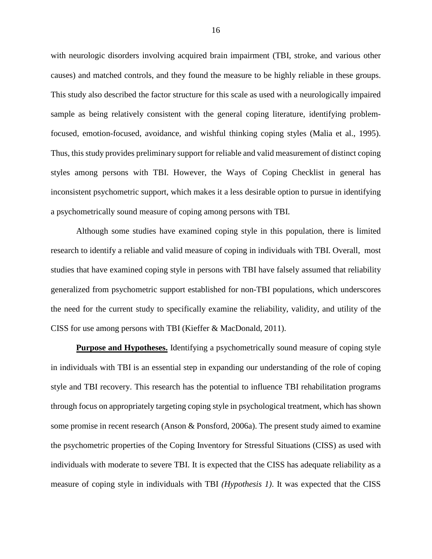with neurologic disorders involving acquired brain impairment (TBI, stroke, and various other causes) and matched controls, and they found the measure to be highly reliable in these groups. This study also described the factor structure for this scale as used with a neurologically impaired sample as being relatively consistent with the general coping literature, identifying problemfocused, emotion-focused, avoidance, and wishful thinking coping styles (Malia et al., 1995). Thus, this study provides preliminary support for reliable and valid measurement of distinct coping styles among persons with TBI. However, the Ways of Coping Checklist in general has inconsistent psychometric support, which makes it a less desirable option to pursue in identifying a psychometrically sound measure of coping among persons with TBI.

Although some studies have examined coping style in this population, there is limited research to identify a reliable and valid measure of coping in individuals with TBI. Overall, most studies that have examined coping style in persons with TBI have falsely assumed that reliability generalized from psychometric support established for non-TBI populations, which underscores the need for the current study to specifically examine the reliability, validity, and utility of the CISS for use among persons with TBI (Kieffer & MacDonald, 2011).

**Purpose and Hypotheses.** Identifying a psychometrically sound measure of coping style in individuals with TBI is an essential step in expanding our understanding of the role of coping style and TBI recovery. This research has the potential to influence TBI rehabilitation programs through focus on appropriately targeting coping style in psychological treatment, which has shown some promise in recent research (Anson & Ponsford, 2006a). The present study aimed to examine the psychometric properties of the Coping Inventory for Stressful Situations (CISS) as used with individuals with moderate to severe TBI. It is expected that the CISS has adequate reliability as a measure of coping style in individuals with TBI *(Hypothesis 1)*. It was expected that the CISS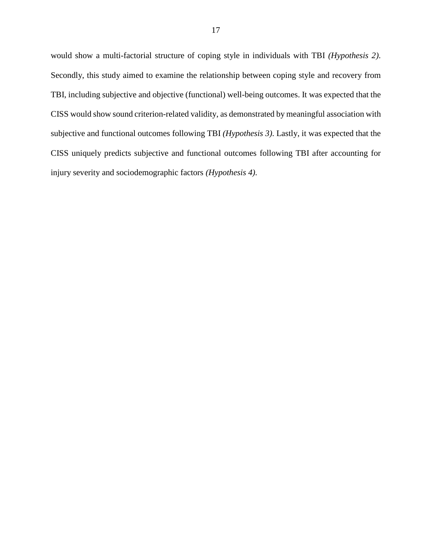would show a multi-factorial structure of coping style in individuals with TBI *(Hypothesis 2)*. Secondly, this study aimed to examine the relationship between coping style and recovery from TBI, including subjective and objective (functional) well-being outcomes. It was expected that the CISS would show sound criterion-related validity, as demonstrated by meaningful association with subjective and functional outcomes following TBI *(Hypothesis 3)*. Lastly, it was expected that the CISS uniquely predicts subjective and functional outcomes following TBI after accounting for injury severity and sociodemographic factors *(Hypothesis 4)*.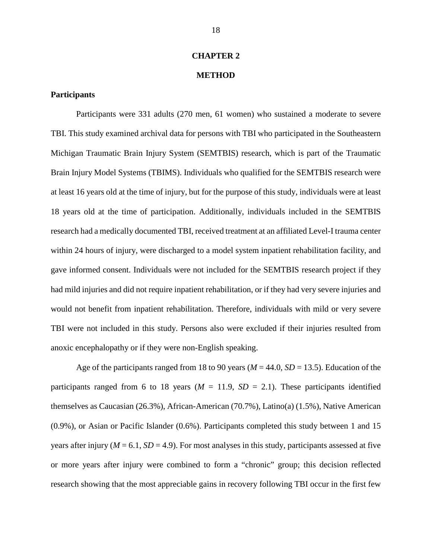#### **CHAPTER 2**

#### **METHOD**

# **Participants**

Participants were 331 adults (270 men, 61 women) who sustained a moderate to severe TBI. This study examined archival data for persons with TBI who participated in the Southeastern Michigan Traumatic Brain Injury System (SEMTBIS) research, which is part of the Traumatic Brain Injury Model Systems (TBIMS). Individuals who qualified for the SEMTBIS research were at least 16 years old at the time of injury, but for the purpose of this study, individuals were at least 18 years old at the time of participation. Additionally, individuals included in the SEMTBIS research had a medically documented TBI, received treatment at an affiliated Level-I trauma center within 24 hours of injury, were discharged to a model system inpatient rehabilitation facility, and gave informed consent. Individuals were not included for the SEMTBIS research project if they had mild injuries and did not require inpatient rehabilitation, or if they had very severe injuries and would not benefit from inpatient rehabilitation. Therefore, individuals with mild or very severe TBI were not included in this study. Persons also were excluded if their injuries resulted from anoxic encephalopathy or if they were non-English speaking.

Age of the participants ranged from 18 to 90 years (*M* = 44.0, *SD* = 13.5). Education of the participants ranged from 6 to 18 years  $(M = 11.9, SD = 2.1)$ . These participants identified themselves as Caucasian (26.3%), African-American (70.7%), Latino(a) (1.5%), Native American (0.9%), or Asian or Pacific Islander (0.6%). Participants completed this study between 1 and 15 years after injury ( $M = 6.1$ ,  $SD = 4.9$ ). For most analyses in this study, participants assessed at five or more years after injury were combined to form a "chronic" group; this decision reflected research showing that the most appreciable gains in recovery following TBI occur in the first few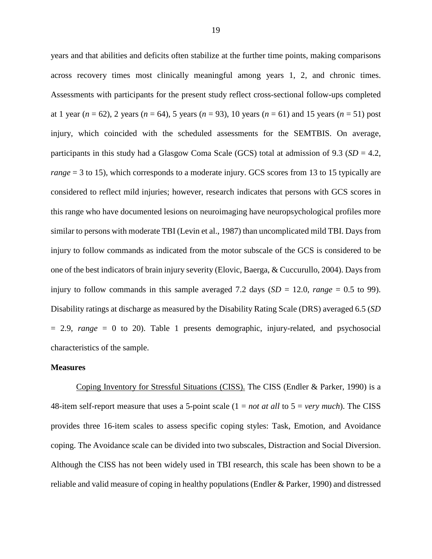years and that abilities and deficits often stabilize at the further time points, making comparisons across recovery times most clinically meaningful among years 1, 2, and chronic times. Assessments with participants for the present study reflect cross-sectional follow-ups completed at 1 year  $(n = 62)$ , 2 years  $(n = 64)$ , 5 years  $(n = 93)$ , 10 years  $(n = 61)$  and 15 years  $(n = 51)$  post injury, which coincided with the scheduled assessments for the SEMTBIS. On average, participants in this study had a Glasgow Coma Scale (GCS) total at admission of 9.3 (*SD* = 4.2, *range* = 3 to 15), which corresponds to a moderate injury. GCS scores from 13 to 15 typically are considered to reflect mild injuries; however, research indicates that persons with GCS scores in this range who have documented lesions on neuroimaging have neuropsychological profiles more similar to persons with moderate TBI (Levin et al., 1987) than uncomplicated mild TBI. Days from injury to follow commands as indicated from the motor subscale of the GCS is considered to be one of the best indicators of brain injury severity (Elovic, Baerga, & Cuccurullo, 2004). Days from injury to follow commands in this sample averaged 7.2 days  $(SD = 12.0, \text{ range} = 0.5 \text{ to } 99)$ . Disability ratings at discharge as measured by the Disability Rating Scale (DRS) averaged 6.5 (*SD*  = 2.9, *range* = 0 to 20). Table 1 presents demographic, injury-related, and psychosocial characteristics of the sample.

#### **Measures**

Coping Inventory for Stressful Situations (CISS). The CISS (Endler & Parker, 1990) is a 48-item self-report measure that uses a 5-point scale (1 = *not at all* to 5 = *very much*). The CISS provides three 16-item scales to assess specific coping styles: Task, Emotion, and Avoidance coping. The Avoidance scale can be divided into two subscales, Distraction and Social Diversion. Although the CISS has not been widely used in TBI research, this scale has been shown to be a reliable and valid measure of coping in healthy populations (Endler & Parker, 1990) and distressed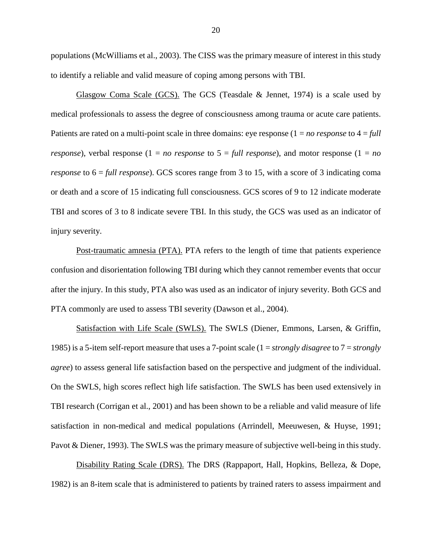populations (McWilliams et al., 2003). The CISS was the primary measure of interest in this study to identify a reliable and valid measure of coping among persons with TBI.

 Glasgow Coma Scale (GCS). The GCS (Teasdale & Jennet, 1974) is a scale used by medical professionals to assess the degree of consciousness among trauma or acute care patients. Patients are rated on a multi-point scale in three domains: eye response (1 = *no response* to 4 = *full response*), verbal response  $(1 = no$  *response* to  $5 = full$  *response*), and motor response  $(1 = no$ *response* to  $6 = \text{full response}$ . GCS scores range from 3 to 15, with a score of 3 indicating coma or death and a score of 15 indicating full consciousness. GCS scores of 9 to 12 indicate moderate TBI and scores of 3 to 8 indicate severe TBI. In this study, the GCS was used as an indicator of injury severity.

 Post-traumatic amnesia (PTA). PTA refers to the length of time that patients experience confusion and disorientation following TBI during which they cannot remember events that occur after the injury. In this study, PTA also was used as an indicator of injury severity. Both GCS and PTA commonly are used to assess TBI severity (Dawson et al., 2004).

 Satisfaction with Life Scale (SWLS). The SWLS (Diener, Emmons, Larsen, & Griffin, 1985) is a 5-item self-report measure that uses a 7-point scale (1 = *strongly disagree* to 7 = *strongly agree*) to assess general life satisfaction based on the perspective and judgment of the individual. On the SWLS, high scores reflect high life satisfaction. The SWLS has been used extensively in TBI research (Corrigan et al., 2001) and has been shown to be a reliable and valid measure of life satisfaction in non-medical and medical populations (Arrindell, Meeuwesen, & Huyse, 1991; Pavot & Diener, 1993). The SWLS was the primary measure of subjective well-being in this study.

Disability Rating Scale (DRS). The DRS (Rappaport, Hall, Hopkins, Belleza, & Dope, 1982) is an 8-item scale that is administered to patients by trained raters to assess impairment and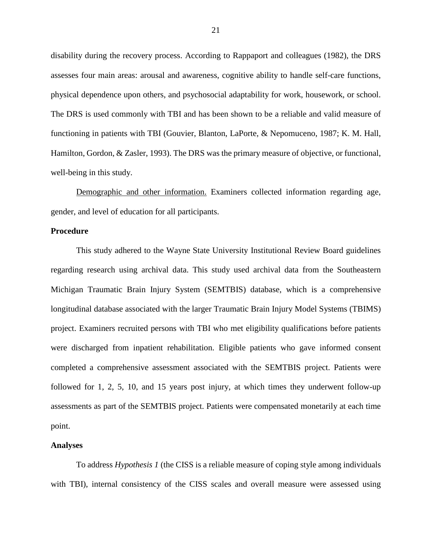disability during the recovery process. According to Rappaport and colleagues (1982), the DRS assesses four main areas: arousal and awareness, cognitive ability to handle self-care functions, physical dependence upon others, and psychosocial adaptability for work, housework, or school. The DRS is used commonly with TBI and has been shown to be a reliable and valid measure of functioning in patients with TBI (Gouvier, Blanton, LaPorte, & Nepomuceno, 1987; K. M. Hall, Hamilton, Gordon, & Zasler, 1993). The DRS was the primary measure of objective, or functional, well-being in this study.

Demographic and other information. Examiners collected information regarding age, gender, and level of education for all participants.

#### **Procedure**

 This study adhered to the Wayne State University Institutional Review Board guidelines regarding research using archival data. This study used archival data from the Southeastern Michigan Traumatic Brain Injury System (SEMTBIS) database, which is a comprehensive longitudinal database associated with the larger Traumatic Brain Injury Model Systems (TBIMS) project. Examiners recruited persons with TBI who met eligibility qualifications before patients were discharged from inpatient rehabilitation. Eligible patients who gave informed consent completed a comprehensive assessment associated with the SEMTBIS project. Patients were followed for 1, 2, 5, 10, and 15 years post injury, at which times they underwent follow-up assessments as part of the SEMTBIS project. Patients were compensated monetarily at each time point.

#### **Analyses**

 To address *Hypothesis 1* (the CISS is a reliable measure of coping style among individuals with TBI), internal consistency of the CISS scales and overall measure were assessed using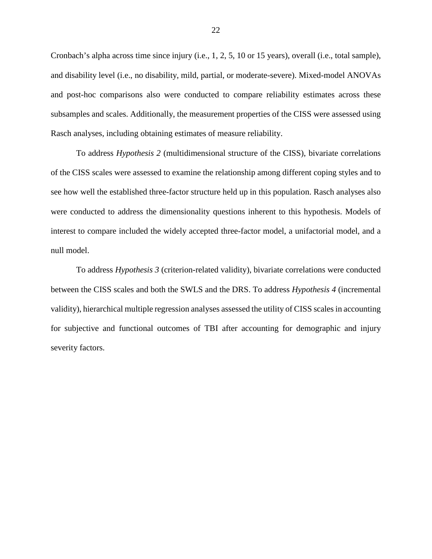Cronbach's alpha across time since injury (i.e., 1, 2, 5, 10 or 15 years), overall (i.e., total sample), and disability level (i.e., no disability, mild, partial, or moderate-severe). Mixed-model ANOVAs and post-hoc comparisons also were conducted to compare reliability estimates across these subsamples and scales. Additionally, the measurement properties of the CISS were assessed using Rasch analyses, including obtaining estimates of measure reliability.

To address *Hypothesis 2* (multidimensional structure of the CISS), bivariate correlations of the CISS scales were assessed to examine the relationship among different coping styles and to see how well the established three-factor structure held up in this population. Rasch analyses also were conducted to address the dimensionality questions inherent to this hypothesis. Models of interest to compare included the widely accepted three-factor model, a unifactorial model, and a null model.

To address *Hypothesis 3* (criterion-related validity), bivariate correlations were conducted between the CISS scales and both the SWLS and the DRS. To address *Hypothesis 4* (incremental validity), hierarchical multiple regression analyses assessed the utility of CISS scales in accounting for subjective and functional outcomes of TBI after accounting for demographic and injury severity factors.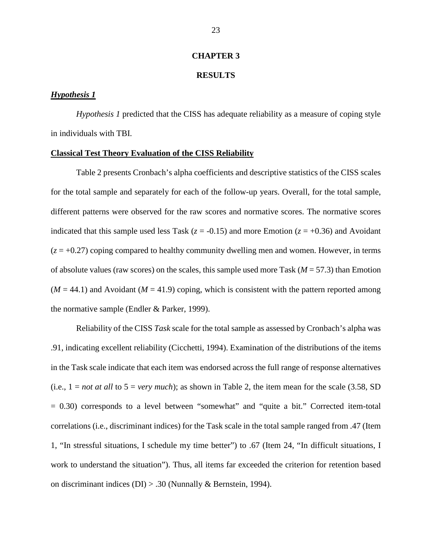#### **CHAPTER 3**

#### **RESULTS**

### *Hypothesis 1*

*Hypothesis 1* predicted that the CISS has adequate reliability as a measure of coping style in individuals with TBI.

#### **Classical Test Theory Evaluation of the CISS Reliability**

Table 2 presents Cronbach's alpha coefficients and descriptive statistics of the CISS scales for the total sample and separately for each of the follow-up years. Overall, for the total sample, different patterns were observed for the raw scores and normative scores. The normative scores indicated that this sample used less Task ( $z = -0.15$ ) and more Emotion ( $z = +0.36$ ) and Avoidant  $(z = +0.27)$  coping compared to healthy community dwelling men and women. However, in terms of absolute values (raw scores) on the scales, this sample used more Task (*M* = 57.3) than Emotion  $(M = 44.1)$  and Avoidant  $(M = 41.9)$  coping, which is consistent with the pattern reported among the normative sample (Endler & Parker, 1999).

Reliability of the CISS *Task* scale for the total sample as assessed by Cronbach's alpha was .91, indicating excellent reliability (Cicchetti, 1994). Examination of the distributions of the items in the Task scale indicate that each item was endorsed across the full range of response alternatives  $(i.e., 1 = not at all to 5 = very much)$ ; as shown in Table 2, the item mean for the scale (3.58, SD) = 0.30) corresponds to a level between "somewhat" and "quite a bit." Corrected item-total correlations (i.e., discriminant indices) for the Task scale in the total sample ranged from .47 (Item 1, "In stressful situations, I schedule my time better") to .67 (Item 24, "In difficult situations, I work to understand the situation"). Thus, all items far exceeded the criterion for retention based on discriminant indices (DI) > .30 (Nunnally & Bernstein, 1994).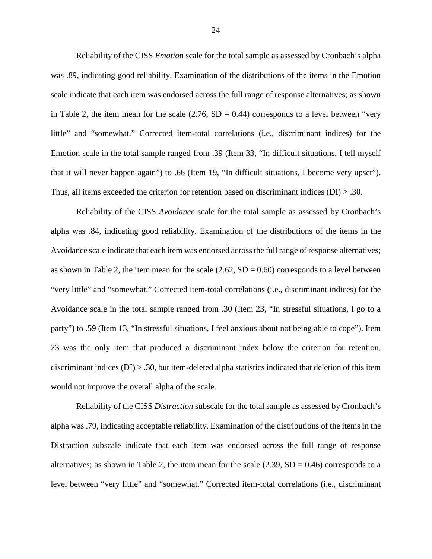Reliability of the CISS *Emotion* scale for the total sample as assessed by Cronbach's alpha was .89, indicating good reliability. Examination of the distributions of the items in the Emotion scale indicate that each item was endorsed across the full range of response alternatives; as shown in Table 2, the item mean for the scale  $(2.76, SD = 0.44)$  corresponds to a level between "very little" and "somewhat." Corrected item-total correlations (i.e., discriminant indices) for the Emotion scale in the total sample ranged from .39 (Item 33, "In difficult situations, I tell myself that it will never happen again") to .66 (Item 19, "In difficult situations, I become very upset"). Thus, all items exceeded the criterion for retention based on discriminant indices ( $DI$ )  $> .30$ .

Reliability of the CISS *Avoidance* scale for the total sample as assessed by Cronbach's alpha was .84, indicating good reliability. Examination of the distributions of the items in the Avoidance scale indicate that each item was endorsed across the full range of response alternatives; as shown in Table 2, the item mean for the scale  $(2.62, SD = 0.60)$  corresponds to a level between "very little" and "somewhat." Corrected item-total correlations (i.e., discriminant indices) for the Avoidance scale in the total sample ranged from .30 (Item 23, "In stressful situations, I go to a party") to .59 (Item 13, "In stressful situations, I feel anxious about not being able to cope"). Item 23 was the only item that produced a discriminant index below the criterion for retention, discriminant indices  $(DI) > .30$ , but item-deleted alpha statistics indicated that deletion of this item would not improve the overall alpha of the scale.

Reliability of the CISS *Distraction* subscale for the total sample as assessed by Cronbach's alpha was .79, indicating acceptable reliability. Examination of the distributions of the items in the Distraction subscale indicate that each item was endorsed across the full range of response alternatives; as shown in Table 2, the item mean for the scale  $(2.39, SD = 0.46)$  corresponds to a level between "very little" and "somewhat." Corrected item-total correlations (i.e., discriminant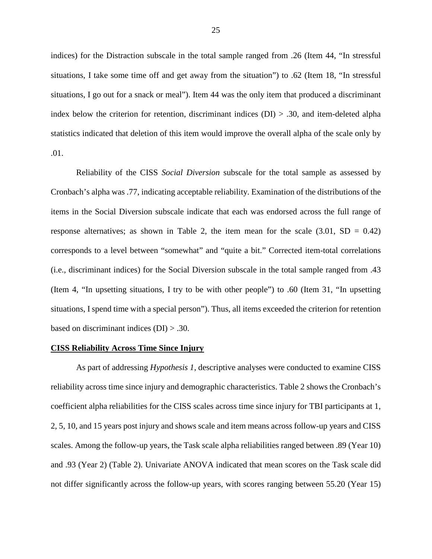indices) for the Distraction subscale in the total sample ranged from .26 (Item 44, "In stressful situations, I take some time off and get away from the situation") to .62 (Item 18, "In stressful situations, I go out for a snack or meal"). Item 44 was the only item that produced a discriminant index below the criterion for retention, discriminant indices  $(DI) > .30$ , and item-deleted alpha statistics indicated that deletion of this item would improve the overall alpha of the scale only by .01.

Reliability of the CISS *Social Diversion* subscale for the total sample as assessed by Cronbach's alpha was .77, indicating acceptable reliability. Examination of the distributions of the items in the Social Diversion subscale indicate that each was endorsed across the full range of response alternatives; as shown in Table 2, the item mean for the scale  $(3.01, SD = 0.42)$ corresponds to a level between "somewhat" and "quite a bit." Corrected item-total correlations (i.e., discriminant indices) for the Social Diversion subscale in the total sample ranged from .43 (Item 4, "In upsetting situations, I try to be with other people") to .60 (Item 31, "In upsetting situations, I spend time with a special person"). Thus, all items exceeded the criterion for retention based on discriminant indices  $(DI) > .30$ .

#### **CISS Reliability Across Time Since Injury**

As part of addressing *Hypothesis 1*, descriptive analyses were conducted to examine CISS reliability across time since injury and demographic characteristics. Table 2 shows the Cronbach's coefficient alpha reliabilities for the CISS scales across time since injury for TBI participants at 1, 2, 5, 10, and 15 years post injury and shows scale and item means across follow-up years and CISS scales. Among the follow-up years, the Task scale alpha reliabilities ranged between .89 (Year 10) and .93 (Year 2) (Table 2). Univariate ANOVA indicated that mean scores on the Task scale did not differ significantly across the follow-up years, with scores ranging between 55.20 (Year 15)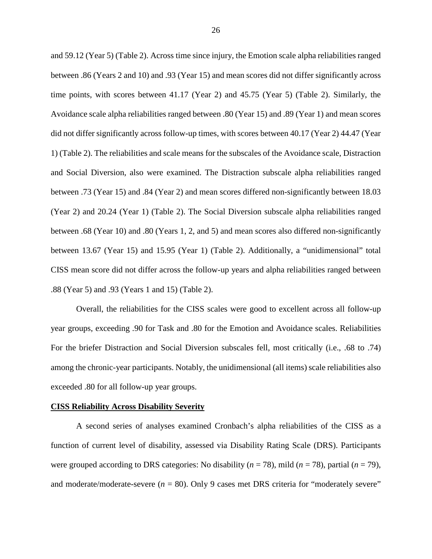and 59.12 (Year 5) (Table 2). Across time since injury, the Emotion scale alpha reliabilities ranged between .86 (Years 2 and 10) and .93 (Year 15) and mean scores did not differ significantly across time points, with scores between 41.17 (Year 2) and 45.75 (Year 5) (Table 2). Similarly, the Avoidance scale alpha reliabilities ranged between .80 (Year 15) and .89 (Year 1) and mean scores did not differ significantly across follow-up times, with scores between 40.17 (Year 2) 44.47 (Year 1) (Table 2). The reliabilities and scale means for the subscales of the Avoidance scale, Distraction and Social Diversion, also were examined. The Distraction subscale alpha reliabilities ranged between .73 (Year 15) and .84 (Year 2) and mean scores differed non-significantly between 18.03 (Year 2) and 20.24 (Year 1) (Table 2). The Social Diversion subscale alpha reliabilities ranged between .68 (Year 10) and .80 (Years 1, 2, and 5) and mean scores also differed non-significantly between 13.67 (Year 15) and 15.95 (Year 1) (Table 2). Additionally, a "unidimensional" total CISS mean score did not differ across the follow-up years and alpha reliabilities ranged between .88 (Year 5) and .93 (Years 1 and 15) (Table 2).

Overall, the reliabilities for the CISS scales were good to excellent across all follow-up year groups, exceeding .90 for Task and .80 for the Emotion and Avoidance scales. Reliabilities For the briefer Distraction and Social Diversion subscales fell, most critically (i.e., .68 to .74) among the chronic-year participants. Notably, the unidimensional (all items) scale reliabilities also exceeded .80 for all follow-up year groups.

#### **CISS Reliability Across Disability Severity**

A second series of analyses examined Cronbach's alpha reliabilities of the CISS as a function of current level of disability, assessed via Disability Rating Scale (DRS). Participants were grouped according to DRS categories: No disability  $(n = 78)$ , mild  $(n = 78)$ , partial  $(n = 79)$ , and moderate/moderate-severe  $(n = 80)$ . Only 9 cases met DRS criteria for "moderately severe"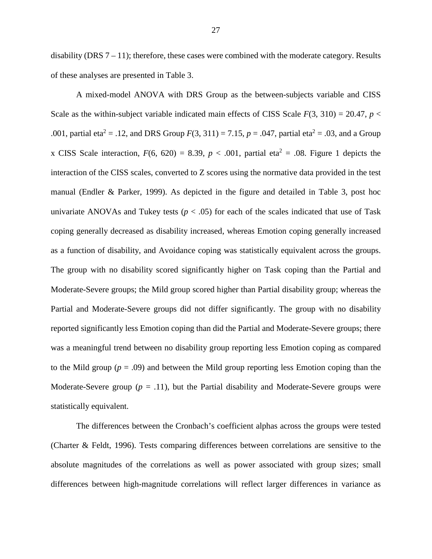disability (DRS  $7 - 11$ ); therefore, these cases were combined with the moderate category. Results of these analyses are presented in Table 3.

A mixed-model ANOVA with DRS Group as the between-subjects variable and CISS Scale as the within-subject variable indicated main effects of CISS Scale  $F(3, 310) = 20.47$ ,  $p <$ .001, partial eta<sup>2</sup> = .12, and DRS Group  $F(3, 311) = 7.15$ ,  $p = .047$ , partial eta<sup>2</sup> = .03, and a Group x CISS Scale interaction,  $F(6, 620) = 8.39$ ,  $p < .001$ , partial eta<sup>2</sup> = .08. Figure 1 depicts the interaction of the CISS scales, converted to Z scores using the normative data provided in the test manual (Endler & Parker, 1999). As depicted in the figure and detailed in Table 3, post hoc univariate ANOVAs and Tukey tests ( $p < .05$ ) for each of the scales indicated that use of Task coping generally decreased as disability increased, whereas Emotion coping generally increased as a function of disability, and Avoidance coping was statistically equivalent across the groups. The group with no disability scored significantly higher on Task coping than the Partial and Moderate-Severe groups; the Mild group scored higher than Partial disability group; whereas the Partial and Moderate-Severe groups did not differ significantly. The group with no disability reported significantly less Emotion coping than did the Partial and Moderate-Severe groups; there was a meaningful trend between no disability group reporting less Emotion coping as compared to the Mild group ( $p = .09$ ) and between the Mild group reporting less Emotion coping than the Moderate-Severe group  $(p = .11)$ , but the Partial disability and Moderate-Severe groups were statistically equivalent.

The differences between the Cronbach's coefficient alphas across the groups were tested (Charter & Feldt, 1996). Tests comparing differences between correlations are sensitive to the absolute magnitudes of the correlations as well as power associated with group sizes; small differences between high-magnitude correlations will reflect larger differences in variance as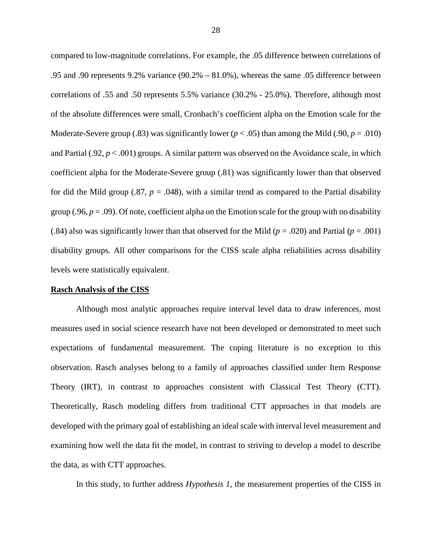compared to low-magnitude correlations. For example, the .05 difference between correlations of .95 and .90 represents 9.2% variance (90.2% – 81.0%), whereas the same .05 difference between correlations of .55 and .50 represents 5.5% variance (30.2% - 25.0%). Therefore, although most of the absolute differences were small, Cronbach's coefficient alpha on the Emotion scale for the Moderate-Severe group (.83) was significantly lower  $(p < .05)$  than among the Mild (.90,  $p = .010$ ) and Partial (.92, *p* < .001) groups. A similar pattern was observed on the Avoidance scale, in which coefficient alpha for the Moderate-Severe group (.81) was significantly lower than that observed for did the Mild group (.87,  $p = .048$ ), with a similar trend as compared to the Partial disability group (.96,  $p = .09$ ). Of note, coefficient alpha on the Emotion scale for the group with no disability (.84) also was significantly lower than that observed for the Mild ( $p = .020$ ) and Partial ( $p = .001$ ) disability groups. All other comparisons for the CISS scale alpha reliabilities across disability levels were statistically equivalent.

#### **Rasch Analysis of the CISS**

Although most analytic approaches require interval level data to draw inferences, most measures used in social science research have not been developed or demonstrated to meet such expectations of fundamental measurement. The coping literature is no exception to this observation. Rasch analyses belong to a family of approaches classified under Item Response Theory (IRT), in contrast to approaches consistent with Classical Test Theory (CTT). Theoretically, Rasch modeling differs from traditional CTT approaches in that models are developed with the primary goal of establishing an ideal scale with interval level measurement and examining how well the data fit the model, in contrast to striving to develop a model to describe the data, as with CTT approaches.

In this study, to further address *Hypothesis 1*, the measurement properties of the CISS in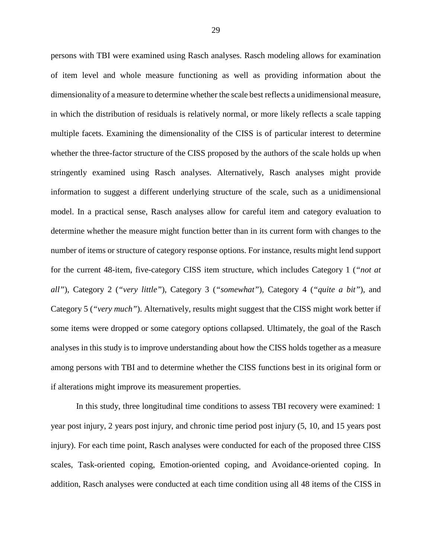persons with TBI were examined using Rasch analyses. Rasch modeling allows for examination of item level and whole measure functioning as well as providing information about the dimensionality of a measure to determine whether the scale best reflects a unidimensional measure, in which the distribution of residuals is relatively normal, or more likely reflects a scale tapping multiple facets. Examining the dimensionality of the CISS is of particular interest to determine whether the three-factor structure of the CISS proposed by the authors of the scale holds up when stringently examined using Rasch analyses. Alternatively, Rasch analyses might provide information to suggest a different underlying structure of the scale, such as a unidimensional model. In a practical sense, Rasch analyses allow for careful item and category evaluation to determine whether the measure might function better than in its current form with changes to the number of items or structure of category response options. For instance, results might lend support for the current 48-item, five-category CISS item structure, which includes Category 1 (*"not at all"*), Category 2 (*"very little"*), Category 3 (*"somewhat"*), Category 4 (*"quite a bit"*), and Category 5 (*"very much"*). Alternatively, results might suggest that the CISS might work better if some items were dropped or some category options collapsed. Ultimately, the goal of the Rasch analyses in this study is to improve understanding about how the CISS holds together as a measure among persons with TBI and to determine whether the CISS functions best in its original form or if alterations might improve its measurement properties.

In this study, three longitudinal time conditions to assess TBI recovery were examined: 1 year post injury, 2 years post injury, and chronic time period post injury (5, 10, and 15 years post injury). For each time point, Rasch analyses were conducted for each of the proposed three CISS scales, Task-oriented coping, Emotion-oriented coping, and Avoidance-oriented coping. In addition, Rasch analyses were conducted at each time condition using all 48 items of the CISS in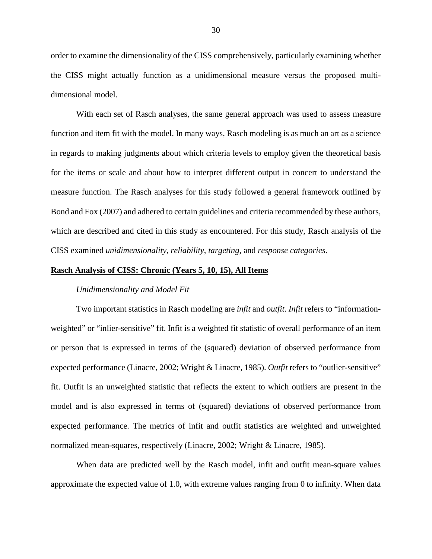order to examine the dimensionality of the CISS comprehensively, particularly examining whether the CISS might actually function as a unidimensional measure versus the proposed multidimensional model.

With each set of Rasch analyses, the same general approach was used to assess measure function and item fit with the model. In many ways, Rasch modeling is as much an art as a science in regards to making judgments about which criteria levels to employ given the theoretical basis for the items or scale and about how to interpret different output in concert to understand the measure function. The Rasch analyses for this study followed a general framework outlined by Bond and Fox (2007) and adhered to certain guidelines and criteria recommended by these authors, which are described and cited in this study as encountered. For this study, Rasch analysis of the CISS examined *unidimensionality*, *reliability*, *targeting*, and *response categories*.

#### **Rasch Analysis of CISS: Chronic (Years 5, 10, 15), All Items**

#### *Unidimensionality and Model Fit*

Two important statistics in Rasch modeling are *infit* and *outfit*. *Infit* refers to "informationweighted" or "inlier-sensitive" fit. Infit is a weighted fit statistic of overall performance of an item or person that is expressed in terms of the (squared) deviation of observed performance from expected performance (Linacre, 2002; Wright & Linacre, 1985). *Outfit* refers to "outlier-sensitive" fit. Outfit is an unweighted statistic that reflects the extent to which outliers are present in the model and is also expressed in terms of (squared) deviations of observed performance from expected performance. The metrics of infit and outfit statistics are weighted and unweighted normalized mean-squares, respectively (Linacre, 2002; Wright & Linacre, 1985).

When data are predicted well by the Rasch model, infit and outfit mean-square values approximate the expected value of 1.0, with extreme values ranging from 0 to infinity. When data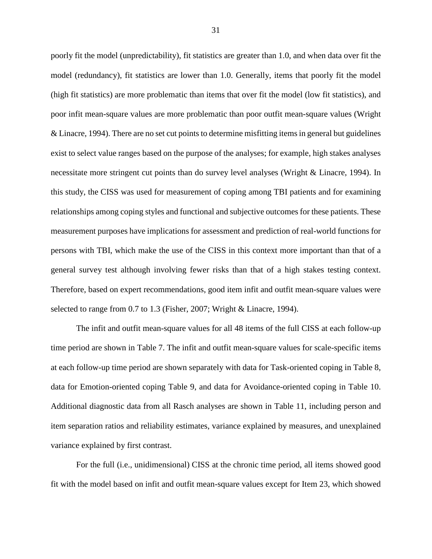poorly fit the model (unpredictability), fit statistics are greater than 1.0, and when data over fit the model (redundancy), fit statistics are lower than 1.0. Generally, items that poorly fit the model (high fit statistics) are more problematic than items that over fit the model (low fit statistics), and poor infit mean-square values are more problematic than poor outfit mean-square values (Wright & Linacre, 1994). There are no set cut points to determine misfitting items in general but guidelines exist to select value ranges based on the purpose of the analyses; for example, high stakes analyses necessitate more stringent cut points than do survey level analyses (Wright & Linacre, 1994). In this study, the CISS was used for measurement of coping among TBI patients and for examining relationships among coping styles and functional and subjective outcomes for these patients. These measurement purposes have implications for assessment and prediction of real-world functions for persons with TBI, which make the use of the CISS in this context more important than that of a general survey test although involving fewer risks than that of a high stakes testing context. Therefore, based on expert recommendations, good item infit and outfit mean-square values were selected to range from 0.7 to 1.3 (Fisher, 2007; Wright & Linacre, 1994).

The infit and outfit mean-square values for all 48 items of the full CISS at each follow-up time period are shown in Table 7. The infit and outfit mean-square values for scale-specific items at each follow-up time period are shown separately with data for Task-oriented coping in Table 8, data for Emotion-oriented coping Table 9, and data for Avoidance-oriented coping in Table 10. Additional diagnostic data from all Rasch analyses are shown in Table 11, including person and item separation ratios and reliability estimates, variance explained by measures, and unexplained variance explained by first contrast.

For the full (i.e., unidimensional) CISS at the chronic time period, all items showed good fit with the model based on infit and outfit mean-square values except for Item 23, which showed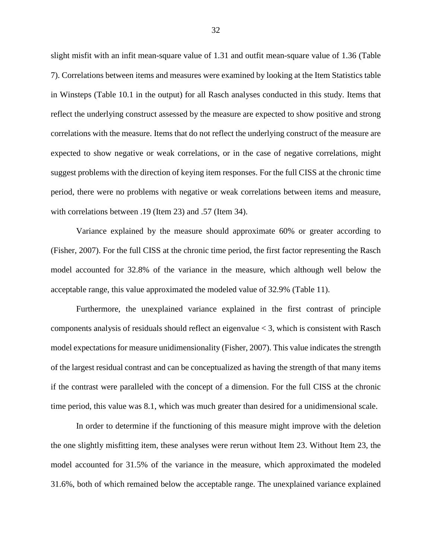slight misfit with an infit mean-square value of 1.31 and outfit mean-square value of 1.36 (Table 7). Correlations between items and measures were examined by looking at the Item Statistics table in Winsteps (Table 10.1 in the output) for all Rasch analyses conducted in this study. Items that reflect the underlying construct assessed by the measure are expected to show positive and strong correlations with the measure. Items that do not reflect the underlying construct of the measure are expected to show negative or weak correlations, or in the case of negative correlations, might suggest problems with the direction of keying item responses. For the full CISS at the chronic time period, there were no problems with negative or weak correlations between items and measure, with correlations between .19 (Item 23) and .57 (Item 34).

Variance explained by the measure should approximate 60% or greater according to (Fisher, 2007). For the full CISS at the chronic time period, the first factor representing the Rasch model accounted for 32.8% of the variance in the measure, which although well below the acceptable range, this value approximated the modeled value of 32.9% (Table 11).

Furthermore, the unexplained variance explained in the first contrast of principle components analysis of residuals should reflect an eigenvalue < 3, which is consistent with Rasch model expectations for measure unidimensionality (Fisher, 2007). This value indicates the strength of the largest residual contrast and can be conceptualized as having the strength of that many items if the contrast were paralleled with the concept of a dimension. For the full CISS at the chronic time period, this value was 8.1, which was much greater than desired for a unidimensional scale.

In order to determine if the functioning of this measure might improve with the deletion the one slightly misfitting item, these analyses were rerun without Item 23. Without Item 23, the model accounted for 31.5% of the variance in the measure, which approximated the modeled 31.6%, both of which remained below the acceptable range. The unexplained variance explained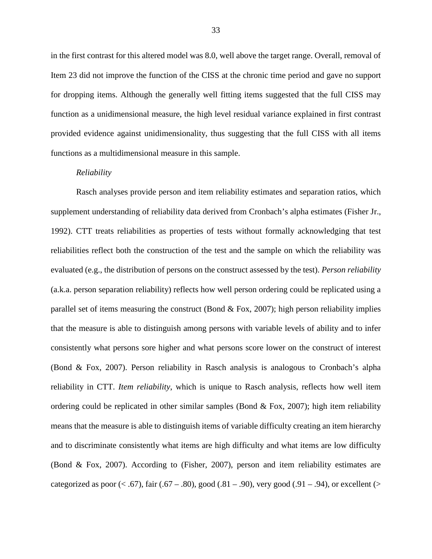in the first contrast for this altered model was 8.0, well above the target range. Overall, removal of Item 23 did not improve the function of the CISS at the chronic time period and gave no support for dropping items. Although the generally well fitting items suggested that the full CISS may function as a unidimensional measure, the high level residual variance explained in first contrast provided evidence against unidimensionality, thus suggesting that the full CISS with all items functions as a multidimensional measure in this sample.

### *Reliability*

Rasch analyses provide person and item reliability estimates and separation ratios, which supplement understanding of reliability data derived from Cronbach's alpha estimates (Fisher Jr., 1992). CTT treats reliabilities as properties of tests without formally acknowledging that test reliabilities reflect both the construction of the test and the sample on which the reliability was evaluated (e.g., the distribution of persons on the construct assessed by the test). *Person reliability*  (a.k.a. person separation reliability) reflects how well person ordering could be replicated using a parallel set of items measuring the construct (Bond  $\&$  Fox, 2007); high person reliability implies that the measure is able to distinguish among persons with variable levels of ability and to infer consistently what persons sore higher and what persons score lower on the construct of interest (Bond & Fox, 2007). Person reliability in Rasch analysis is analogous to Cronbach's alpha reliability in CTT. *Item reliability*, which is unique to Rasch analysis, reflects how well item ordering could be replicated in other similar samples (Bond  $\&$  Fox, 2007); high item reliability means that the measure is able to distinguish items of variable difficulty creating an item hierarchy and to discriminate consistently what items are high difficulty and what items are low difficulty (Bond & Fox, 2007). According to (Fisher, 2007), person and item reliability estimates are categorized as poor  $(< .67)$ , fair  $(.67 - .80)$ , good  $(.81 - .90)$ , very good  $(.91 - .94)$ , or excellent  $(>$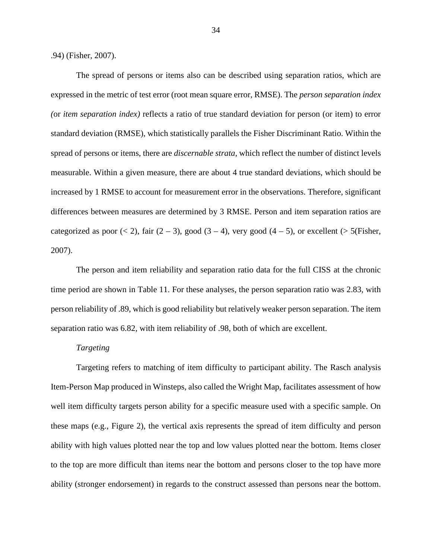.94) (Fisher, 2007).

The spread of persons or items also can be described using separation ratios, which are expressed in the metric of test error (root mean square error, RMSE). The *person separation index (*or *item separation index)* reflects a ratio of true standard deviation for person (or item) to error standard deviation (RMSE), which statistically parallels the Fisher Discriminant Ratio. Within the spread of persons or items, there are *discernable strata*, which reflect the number of distinct levels measurable. Within a given measure, there are about 4 true standard deviations, which should be increased by 1 RMSE to account for measurement error in the observations. Therefore, significant differences between measures are determined by 3 RMSE. Person and item separation ratios are categorized as poor  $(< 2)$ , fair  $(2 – 3)$ , good  $(3 – 4)$ , very good  $(4 – 5)$ , or excellent  $(> 5$ (Fisher, 2007).

The person and item reliability and separation ratio data for the full CISS at the chronic time period are shown in Table 11. For these analyses, the person separation ratio was 2.83, with person reliability of .89, which is good reliability but relatively weaker person separation. The item separation ratio was 6.82, with item reliability of .98, both of which are excellent.

# *Targeting*

Targeting refers to matching of item difficulty to participant ability. The Rasch analysis Item-Person Map produced in Winsteps, also called the Wright Map, facilitates assessment of how well item difficulty targets person ability for a specific measure used with a specific sample. On these maps (e.g., Figure 2), the vertical axis represents the spread of item difficulty and person ability with high values plotted near the top and low values plotted near the bottom. Items closer to the top are more difficult than items near the bottom and persons closer to the top have more ability (stronger endorsement) in regards to the construct assessed than persons near the bottom.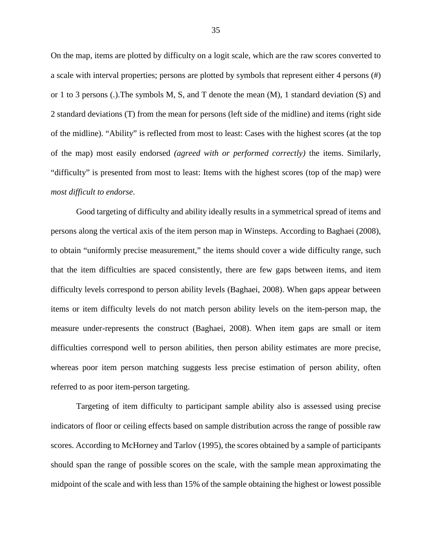On the map, items are plotted by difficulty on a logit scale, which are the raw scores converted to a scale with interval properties; persons are plotted by symbols that represent either 4 persons (#) or 1 to 3 persons (.). The symbols M, S, and T denote the mean  $(M)$ , 1 standard deviation  $(S)$  and 2 standard deviations (T) from the mean for persons (left side of the midline) and items (right side of the midline). "Ability" is reflected from most to least: Cases with the highest scores (at the top of the map) most easily endorsed *(agreed with or performed correctly)* the items. Similarly, "difficulty" is presented from most to least: Items with the highest scores (top of the map) were *most difficult to endorse*.

Good targeting of difficulty and ability ideally results in a symmetrical spread of items and persons along the vertical axis of the item person map in Winsteps. According to Baghaei (2008), to obtain "uniformly precise measurement," the items should cover a wide difficulty range, such that the item difficulties are spaced consistently, there are few gaps between items, and item difficulty levels correspond to person ability levels (Baghaei, 2008). When gaps appear between items or item difficulty levels do not match person ability levels on the item-person map, the measure under-represents the construct (Baghaei, 2008). When item gaps are small or item difficulties correspond well to person abilities, then person ability estimates are more precise, whereas poor item person matching suggests less precise estimation of person ability, often referred to as poor item-person targeting.

Targeting of item difficulty to participant sample ability also is assessed using precise indicators of floor or ceiling effects based on sample distribution across the range of possible raw scores. According to McHorney and Tarlov (1995), the scores obtained by a sample of participants should span the range of possible scores on the scale, with the sample mean approximating the midpoint of the scale and with less than 15% of the sample obtaining the highest or lowest possible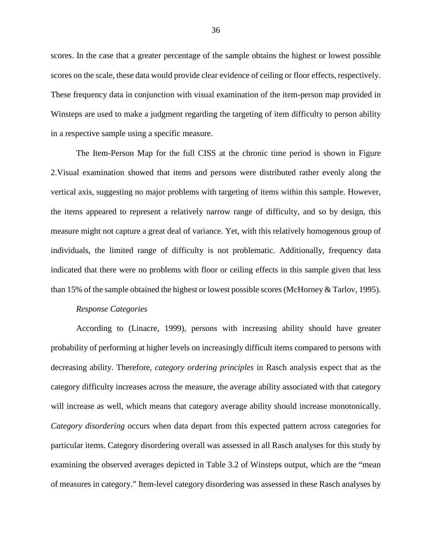scores. In the case that a greater percentage of the sample obtains the highest or lowest possible scores on the scale, these data would provide clear evidence of ceiling or floor effects, respectively. These frequency data in conjunction with visual examination of the item-person map provided in Winsteps are used to make a judgment regarding the targeting of item difficulty to person ability in a respective sample using a specific measure.

The Item-Person Map for the full CISS at the chronic time period is shown in Figure 2.Visual examination showed that items and persons were distributed rather evenly along the vertical axis, suggesting no major problems with targeting of items within this sample. However, the items appeared to represent a relatively narrow range of difficulty, and so by design, this measure might not capture a great deal of variance. Yet, with this relatively homogenous group of individuals, the limited range of difficulty is not problematic. Additionally, frequency data indicated that there were no problems with floor or ceiling effects in this sample given that less than 15% of the sample obtained the highest or lowest possible scores (McHorney & Tarlov, 1995).

## *Response Categories*

According to (Linacre, 1999), persons with increasing ability should have greater probability of performing at higher levels on increasingly difficult items compared to persons with decreasing ability. Therefore, *category ordering principles* in Rasch analysis expect that as the category difficulty increases across the measure, the average ability associated with that category will increase as well, which means that category average ability should increase monotonically. *Category disordering* occurs when data depart from this expected pattern across categories for particular items. Category disordering overall was assessed in all Rasch analyses for this study by examining the observed averages depicted in Table 3.2 of Winsteps output, which are the "mean of measures in category." Item-level category disordering was assessed in these Rasch analyses by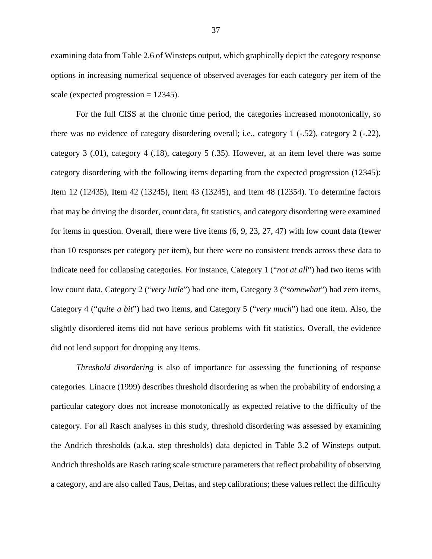examining data from Table 2.6 of Winsteps output, which graphically depict the category response options in increasing numerical sequence of observed averages for each category per item of the scale (expected progression  $= 12345$ ).

For the full CISS at the chronic time period, the categories increased monotonically, so there was no evidence of category disordering overall; i.e., category 1 (-.52), category 2 (-.22), category 3 (.01), category 4 (.18), category 5 (.35). However, at an item level there was some category disordering with the following items departing from the expected progression (12345): Item 12 (12435), Item 42 (13245), Item 43 (13245), and Item 48 (12354). To determine factors that may be driving the disorder, count data, fit statistics, and category disordering were examined for items in question. Overall, there were five items (6, 9, 23, 27, 47) with low count data (fewer than 10 responses per category per item), but there were no consistent trends across these data to indicate need for collapsing categories. For instance, Category 1 ("*not at all*") had two items with low count data, Category 2 ("*very little*") had one item, Category 3 ("*somewhat*") had zero items, Category 4 ("*quite a bit*") had two items, and Category 5 ("*very much*") had one item. Also, the slightly disordered items did not have serious problems with fit statistics. Overall, the evidence did not lend support for dropping any items.

*Threshold disordering* is also of importance for assessing the functioning of response categories. Linacre (1999) describes threshold disordering as when the probability of endorsing a particular category does not increase monotonically as expected relative to the difficulty of the category. For all Rasch analyses in this study, threshold disordering was assessed by examining the Andrich thresholds (a.k.a. step thresholds) data depicted in Table 3.2 of Winsteps output. Andrich thresholds are Rasch rating scale structure parameters that reflect probability of observing a category, and are also called Taus, Deltas, and step calibrations; these values reflect the difficulty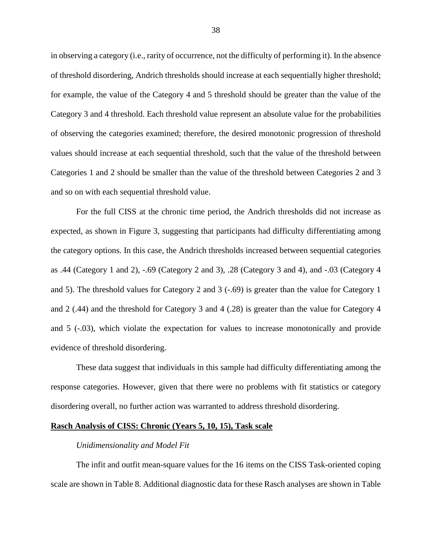in observing a category (i.e., rarity of occurrence, not the difficulty of performing it). In the absence of threshold disordering, Andrich thresholds should increase at each sequentially higher threshold; for example, the value of the Category 4 and 5 threshold should be greater than the value of the Category 3 and 4 threshold. Each threshold value represent an absolute value for the probabilities of observing the categories examined; therefore, the desired monotonic progression of threshold values should increase at each sequential threshold, such that the value of the threshold between Categories 1 and 2 should be smaller than the value of the threshold between Categories 2 and 3 and so on with each sequential threshold value.

For the full CISS at the chronic time period, the Andrich thresholds did not increase as expected, as shown in Figure 3, suggesting that participants had difficulty differentiating among the category options. In this case, the Andrich thresholds increased between sequential categories as .44 (Category 1 and 2), -.69 (Category 2 and 3), .28 (Category 3 and 4), and -.03 (Category 4 and 5). The threshold values for Category 2 and 3 (-.69) is greater than the value for Category 1 and 2 (.44) and the threshold for Category 3 and 4 (.28) is greater than the value for Category 4 and 5 (-.03), which violate the expectation for values to increase monotonically and provide evidence of threshold disordering.

These data suggest that individuals in this sample had difficulty differentiating among the response categories. However, given that there were no problems with fit statistics or category disordering overall, no further action was warranted to address threshold disordering.

# **Rasch Analysis of CISS: Chronic (Years 5, 10, 15), Task scale**

## *Unidimensionality and Model Fit*

The infit and outfit mean-square values for the 16 items on the CISS Task-oriented coping scale are shown in Table 8. Additional diagnostic data for these Rasch analyses are shown in Table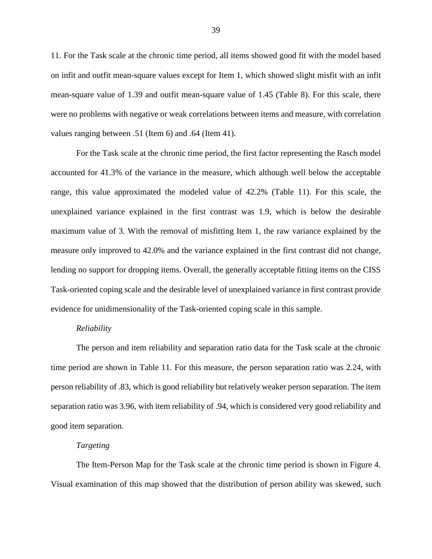11. For the Task scale at the chronic time period, all items showed good fit with the model based on infit and outfit mean-square values except for Item 1, which showed slight misfit with an infit mean-square value of 1.39 and outfit mean-square value of 1.45 (Table 8). For this scale, there were no problems with negative or weak correlations between items and measure, with correlation values ranging between .51 (Item 6) and .64 (Item 41).

For the Task scale at the chronic time period, the first factor representing the Rasch model accounted for 41.3% of the variance in the measure, which although well below the acceptable range, this value approximated the modeled value of 42.2% (Table 11). For this scale, the unexplained variance explained in the first contrast was 1.9, which is below the desirable maximum value of 3. With the removal of misfitting Item 1, the raw variance explained by the measure only improved to 42.0% and the variance explained in the first contrast did not change, lending no support for dropping items. Overall, the generally acceptable fitting items on the CISS Task-oriented coping scale and the desirable level of unexplained variance in first contrast provide evidence for unidimensionality of the Task-oriented coping scale in this sample.

## *Reliability*

The person and item reliability and separation ratio data for the Task scale at the chronic time period are shown in Table 11. For this measure, the person separation ratio was 2.24, with person reliability of .83, which is good reliability but relatively weaker person separation. The item separation ratio was 3.96, with item reliability of .94, which is considered very good reliability and good item separation.

## *Targeting*

The Item-Person Map for the Task scale at the chronic time period is shown in Figure 4. Visual examination of this map showed that the distribution of person ability was skewed, such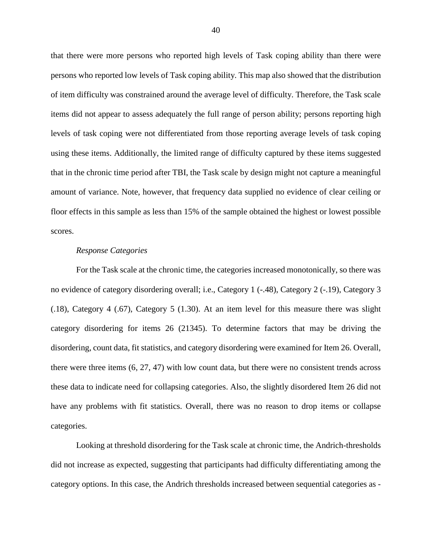that there were more persons who reported high levels of Task coping ability than there were persons who reported low levels of Task coping ability. This map also showed that the distribution of item difficulty was constrained around the average level of difficulty. Therefore, the Task scale items did not appear to assess adequately the full range of person ability; persons reporting high levels of task coping were not differentiated from those reporting average levels of task coping using these items. Additionally, the limited range of difficulty captured by these items suggested that in the chronic time period after TBI, the Task scale by design might not capture a meaningful amount of variance. Note, however, that frequency data supplied no evidence of clear ceiling or floor effects in this sample as less than 15% of the sample obtained the highest or lowest possible scores.

## *Response Categories*

For the Task scale at the chronic time, the categories increased monotonically, so there was no evidence of category disordering overall; i.e., Category 1 (-.48), Category 2 (-.19), Category 3 (.18), Category 4 (.67), Category 5 (1.30). At an item level for this measure there was slight category disordering for items 26 (21345). To determine factors that may be driving the disordering, count data, fit statistics, and category disordering were examined for Item 26. Overall, there were three items (6, 27, 47) with low count data, but there were no consistent trends across these data to indicate need for collapsing categories. Also, the slightly disordered Item 26 did not have any problems with fit statistics. Overall, there was no reason to drop items or collapse categories.

Looking at threshold disordering for the Task scale at chronic time, the Andrich-thresholds did not increase as expected, suggesting that participants had difficulty differentiating among the category options. In this case, the Andrich thresholds increased between sequential categories as -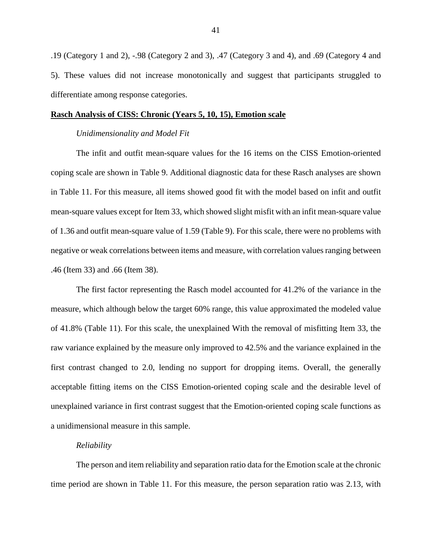.19 (Category 1 and 2), -.98 (Category 2 and 3), .47 (Category 3 and 4), and .69 (Category 4 and 5). These values did not increase monotonically and suggest that participants struggled to differentiate among response categories.

#### **Rasch Analysis of CISS: Chronic (Years 5, 10, 15), Emotion scale**

#### *Unidimensionality and Model Fit*

The infit and outfit mean-square values for the 16 items on the CISS Emotion-oriented coping scale are shown in Table 9. Additional diagnostic data for these Rasch analyses are shown in Table 11. For this measure, all items showed good fit with the model based on infit and outfit mean-square values except for Item 33, which showed slight misfit with an infit mean-square value of 1.36 and outfit mean-square value of 1.59 (Table 9). For this scale, there were no problems with negative or weak correlations between items and measure, with correlation values ranging between .46 (Item 33) and .66 (Item 38).

The first factor representing the Rasch model accounted for 41.2% of the variance in the measure, which although below the target 60% range, this value approximated the modeled value of 41.8% (Table 11). For this scale, the unexplained With the removal of misfitting Item 33, the raw variance explained by the measure only improved to 42.5% and the variance explained in the first contrast changed to 2.0, lending no support for dropping items. Overall, the generally acceptable fitting items on the CISS Emotion-oriented coping scale and the desirable level of unexplained variance in first contrast suggest that the Emotion-oriented coping scale functions as a unidimensional measure in this sample.

#### *Reliability*

The person and item reliability and separation ratio data for the Emotion scale at the chronic time period are shown in Table 11. For this measure, the person separation ratio was 2.13, with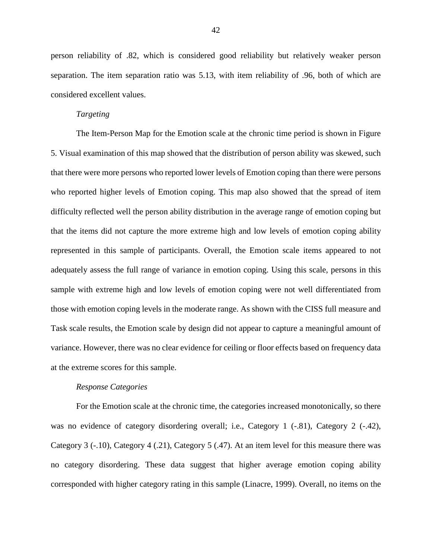person reliability of .82, which is considered good reliability but relatively weaker person separation. The item separation ratio was 5.13, with item reliability of .96, both of which are considered excellent values.

## *Targeting*

The Item-Person Map for the Emotion scale at the chronic time period is shown in Figure 5. Visual examination of this map showed that the distribution of person ability was skewed, such that there were more persons who reported lower levels of Emotion coping than there were persons who reported higher levels of Emotion coping. This map also showed that the spread of item difficulty reflected well the person ability distribution in the average range of emotion coping but that the items did not capture the more extreme high and low levels of emotion coping ability represented in this sample of participants. Overall, the Emotion scale items appeared to not adequately assess the full range of variance in emotion coping. Using this scale, persons in this sample with extreme high and low levels of emotion coping were not well differentiated from those with emotion coping levels in the moderate range. As shown with the CISS full measure and Task scale results, the Emotion scale by design did not appear to capture a meaningful amount of variance. However, there was no clear evidence for ceiling or floor effects based on frequency data at the extreme scores for this sample.

## *Response Categories*

For the Emotion scale at the chronic time, the categories increased monotonically, so there was no evidence of category disordering overall; i.e., Category 1 (-.81), Category 2 (-.42), Category 3 (-.10), Category 4 (.21), Category 5 (.47). At an item level for this measure there was no category disordering. These data suggest that higher average emotion coping ability corresponded with higher category rating in this sample (Linacre, 1999). Overall, no items on the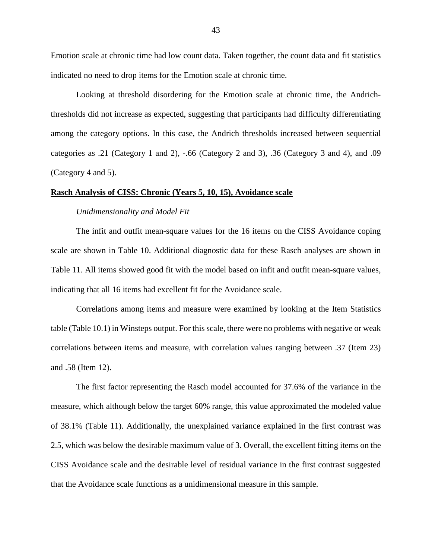Emotion scale at chronic time had low count data. Taken together, the count data and fit statistics indicated no need to drop items for the Emotion scale at chronic time.

Looking at threshold disordering for the Emotion scale at chronic time, the Andrichthresholds did not increase as expected, suggesting that participants had difficulty differentiating among the category options. In this case, the Andrich thresholds increased between sequential categories as .21 (Category 1 and 2), -.66 (Category 2 and 3), .36 (Category 3 and 4), and .09 (Category 4 and 5).

## **Rasch Analysis of CISS: Chronic (Years 5, 10, 15), Avoidance scale**

## *Unidimensionality and Model Fit*

The infit and outfit mean-square values for the 16 items on the CISS Avoidance coping scale are shown in Table 10. Additional diagnostic data for these Rasch analyses are shown in Table 11. All items showed good fit with the model based on infit and outfit mean-square values, indicating that all 16 items had excellent fit for the Avoidance scale.

Correlations among items and measure were examined by looking at the Item Statistics table (Table 10.1) in Winsteps output. For this scale, there were no problems with negative or weak correlations between items and measure, with correlation values ranging between .37 (Item 23) and .58 (Item 12).

The first factor representing the Rasch model accounted for 37.6% of the variance in the measure, which although below the target 60% range, this value approximated the modeled value of 38.1% (Table 11). Additionally, the unexplained variance explained in the first contrast was 2.5, which was below the desirable maximum value of 3. Overall, the excellent fitting items on the CISS Avoidance scale and the desirable level of residual variance in the first contrast suggested that the Avoidance scale functions as a unidimensional measure in this sample.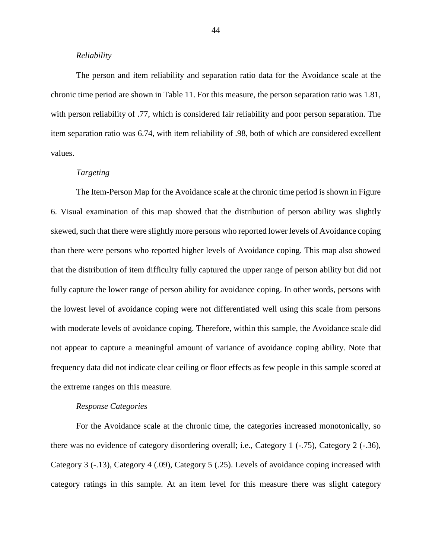#### *Reliability*

The person and item reliability and separation ratio data for the Avoidance scale at the chronic time period are shown in Table 11. For this measure, the person separation ratio was 1.81, with person reliability of .77, which is considered fair reliability and poor person separation. The item separation ratio was 6.74, with item reliability of .98, both of which are considered excellent values.

### *Targeting*

The Item-Person Map for the Avoidance scale at the chronic time period is shown in Figure 6. Visual examination of this map showed that the distribution of person ability was slightly skewed, such that there were slightly more persons who reported lower levels of Avoidance coping than there were persons who reported higher levels of Avoidance coping. This map also showed that the distribution of item difficulty fully captured the upper range of person ability but did not fully capture the lower range of person ability for avoidance coping. In other words, persons with the lowest level of avoidance coping were not differentiated well using this scale from persons with moderate levels of avoidance coping. Therefore, within this sample, the Avoidance scale did not appear to capture a meaningful amount of variance of avoidance coping ability. Note that frequency data did not indicate clear ceiling or floor effects as few people in this sample scored at the extreme ranges on this measure.

#### *Response Categories*

For the Avoidance scale at the chronic time, the categories increased monotonically, so there was no evidence of category disordering overall; i.e., Category 1 (-.75), Category 2 (-.36), Category 3 (-.13), Category 4 (.09), Category 5 (.25). Levels of avoidance coping increased with category ratings in this sample. At an item level for this measure there was slight category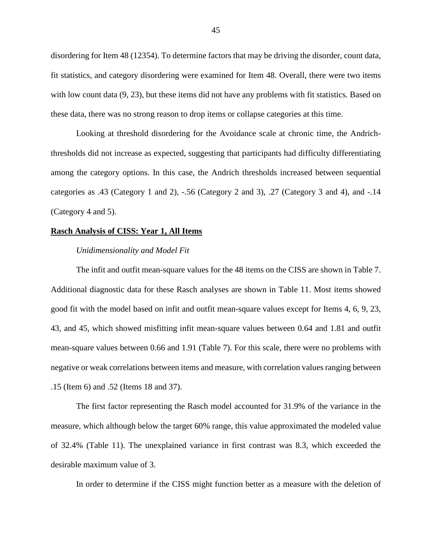disordering for Item 48 (12354). To determine factors that may be driving the disorder, count data, fit statistics, and category disordering were examined for Item 48. Overall, there were two items with low count data  $(9, 23)$ , but these items did not have any problems with fit statistics. Based on these data, there was no strong reason to drop items or collapse categories at this time.

Looking at threshold disordering for the Avoidance scale at chronic time, the Andrichthresholds did not increase as expected, suggesting that participants had difficulty differentiating among the category options. In this case, the Andrich thresholds increased between sequential categories as .43 (Category 1 and 2), -.56 (Category 2 and 3), .27 (Category 3 and 4), and -.14 (Category 4 and 5).

#### **Rasch Analysis of CISS: Year 1, All Items**

#### *Unidimensionality and Model Fit*

The infit and outfit mean-square values for the 48 items on the CISS are shown in Table 7. Additional diagnostic data for these Rasch analyses are shown in Table 11. Most items showed good fit with the model based on infit and outfit mean-square values except for Items 4, 6, 9, 23, 43, and 45, which showed misfitting infit mean-square values between 0.64 and 1.81 and outfit mean-square values between 0.66 and 1.91 (Table 7). For this scale, there were no problems with negative or weak correlations between items and measure, with correlation values ranging between .15 (Item 6) and .52 (Items 18 and 37).

The first factor representing the Rasch model accounted for 31.9% of the variance in the measure, which although below the target 60% range, this value approximated the modeled value of 32.4% (Table 11). The unexplained variance in first contrast was 8.3, which exceeded the desirable maximum value of 3.

In order to determine if the CISS might function better as a measure with the deletion of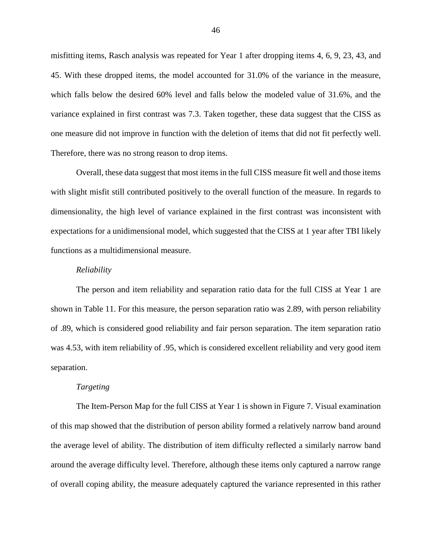misfitting items, Rasch analysis was repeated for Year 1 after dropping items 4, 6, 9, 23, 43, and 45. With these dropped items, the model accounted for 31.0% of the variance in the measure, which falls below the desired 60% level and falls below the modeled value of 31.6%, and the variance explained in first contrast was 7.3. Taken together, these data suggest that the CISS as one measure did not improve in function with the deletion of items that did not fit perfectly well. Therefore, there was no strong reason to drop items.

Overall, these data suggest that most items in the full CISS measure fit well and those items with slight misfit still contributed positively to the overall function of the measure. In regards to dimensionality, the high level of variance explained in the first contrast was inconsistent with expectations for a unidimensional model, which suggested that the CISS at 1 year after TBI likely functions as a multidimensional measure.

#### *Reliability*

The person and item reliability and separation ratio data for the full CISS at Year 1 are shown in Table 11. For this measure, the person separation ratio was 2.89, with person reliability of .89, which is considered good reliability and fair person separation. The item separation ratio was 4.53, with item reliability of .95, which is considered excellent reliability and very good item separation.

# *Targeting*

The Item-Person Map for the full CISS at Year 1 is shown in Figure 7. Visual examination of this map showed that the distribution of person ability formed a relatively narrow band around the average level of ability. The distribution of item difficulty reflected a similarly narrow band around the average difficulty level. Therefore, although these items only captured a narrow range of overall coping ability, the measure adequately captured the variance represented in this rather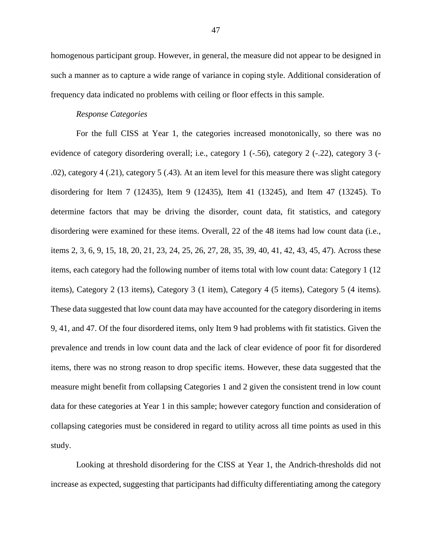homogenous participant group. However, in general, the measure did not appear to be designed in such a manner as to capture a wide range of variance in coping style. Additional consideration of frequency data indicated no problems with ceiling or floor effects in this sample.

# *Response Categories*

For the full CISS at Year 1, the categories increased monotonically, so there was no evidence of category disordering overall; i.e., category 1 (-.56), category 2 (-.22), category 3 (- .02), category 4 (.21), category 5 (.43). At an item level for this measure there was slight category disordering for Item 7 (12435), Item 9 (12435), Item 41 (13245), and Item 47 (13245). To determine factors that may be driving the disorder, count data, fit statistics, and category disordering were examined for these items. Overall, 22 of the 48 items had low count data (i.e., items 2, 3, 6, 9, 15, 18, 20, 21, 23, 24, 25, 26, 27, 28, 35, 39, 40, 41, 42, 43, 45, 47). Across these items, each category had the following number of items total with low count data: Category 1 (12 items), Category 2 (13 items), Category 3 (1 item), Category 4 (5 items), Category 5 (4 items). These data suggested that low count data may have accounted for the category disordering in items 9, 41, and 47. Of the four disordered items, only Item 9 had problems with fit statistics. Given the prevalence and trends in low count data and the lack of clear evidence of poor fit for disordered items, there was no strong reason to drop specific items. However, these data suggested that the measure might benefit from collapsing Categories 1 and 2 given the consistent trend in low count data for these categories at Year 1 in this sample; however category function and consideration of collapsing categories must be considered in regard to utility across all time points as used in this study.

Looking at threshold disordering for the CISS at Year 1, the Andrich-thresholds did not increase as expected, suggesting that participants had difficulty differentiating among the category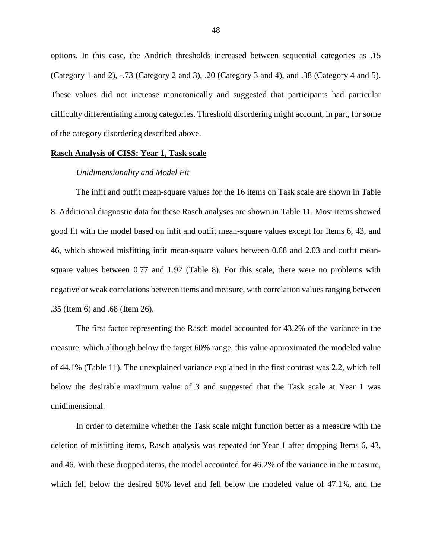options. In this case, the Andrich thresholds increased between sequential categories as .15 (Category 1 and 2), -.73 (Category 2 and 3), .20 (Category 3 and 4), and .38 (Category 4 and 5). These values did not increase monotonically and suggested that participants had particular difficulty differentiating among categories. Threshold disordering might account, in part, for some of the category disordering described above.

#### **Rasch Analysis of CISS: Year 1, Task scale**

#### *Unidimensionality and Model Fit*

The infit and outfit mean-square values for the 16 items on Task scale are shown in Table 8. Additional diagnostic data for these Rasch analyses are shown in Table 11. Most items showed good fit with the model based on infit and outfit mean-square values except for Items 6, 43, and 46, which showed misfitting infit mean-square values between 0.68 and 2.03 and outfit meansquare values between 0.77 and 1.92 (Table 8). For this scale, there were no problems with negative or weak correlations between items and measure, with correlation values ranging between .35 (Item 6) and .68 (Item 26).

The first factor representing the Rasch model accounted for 43.2% of the variance in the measure, which although below the target 60% range, this value approximated the modeled value of 44.1% (Table 11). The unexplained variance explained in the first contrast was 2.2, which fell below the desirable maximum value of 3 and suggested that the Task scale at Year 1 was unidimensional.

In order to determine whether the Task scale might function better as a measure with the deletion of misfitting items, Rasch analysis was repeated for Year 1 after dropping Items 6, 43, and 46. With these dropped items, the model accounted for 46.2% of the variance in the measure, which fell below the desired 60% level and fell below the modeled value of 47.1%, and the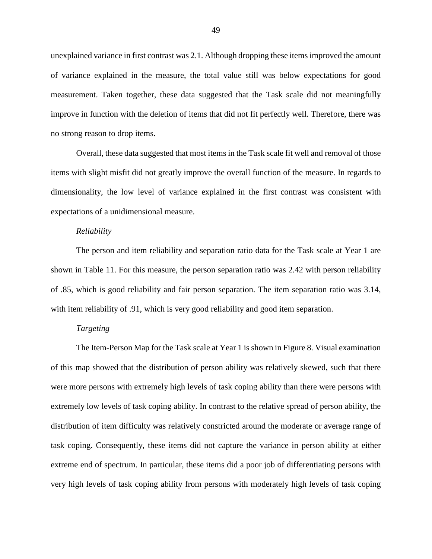unexplained variance in first contrast was 2.1. Although dropping these items improved the amount of variance explained in the measure, the total value still was below expectations for good measurement. Taken together, these data suggested that the Task scale did not meaningfully improve in function with the deletion of items that did not fit perfectly well. Therefore, there was no strong reason to drop items.

Overall, these data suggested that most items in the Task scale fit well and removal of those items with slight misfit did not greatly improve the overall function of the measure. In regards to dimensionality, the low level of variance explained in the first contrast was consistent with expectations of a unidimensional measure.

## *Reliability*

The person and item reliability and separation ratio data for the Task scale at Year 1 are shown in Table 11. For this measure, the person separation ratio was 2.42 with person reliability of .85, which is good reliability and fair person separation. The item separation ratio was 3.14, with item reliability of .91, which is very good reliability and good item separation.

## *Targeting*

The Item-Person Map for the Task scale at Year 1 is shown in Figure 8. Visual examination of this map showed that the distribution of person ability was relatively skewed, such that there were more persons with extremely high levels of task coping ability than there were persons with extremely low levels of task coping ability. In contrast to the relative spread of person ability, the distribution of item difficulty was relatively constricted around the moderate or average range of task coping. Consequently, these items did not capture the variance in person ability at either extreme end of spectrum. In particular, these items did a poor job of differentiating persons with very high levels of task coping ability from persons with moderately high levels of task coping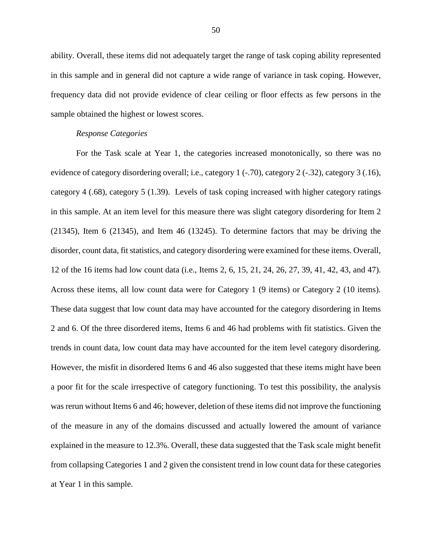ability. Overall, these items did not adequately target the range of task coping ability represented in this sample and in general did not capture a wide range of variance in task coping. However, frequency data did not provide evidence of clear ceiling or floor effects as few persons in the sample obtained the highest or lowest scores.

## *Response Categories*

For the Task scale at Year 1, the categories increased monotonically, so there was no evidence of category disordering overall; i.e., category 1 (-.70), category 2 (-.32), category 3 (.16), category 4 (.68), category 5 (1.39). Levels of task coping increased with higher category ratings in this sample. At an item level for this measure there was slight category disordering for Item 2 (21345), Item 6 (21345), and Item 46 (13245). To determine factors that may be driving the disorder, count data, fit statistics, and category disordering were examined for these items. Overall, 12 of the 16 items had low count data (i.e., Items 2, 6, 15, 21, 24, 26, 27, 39, 41, 42, 43, and 47). Across these items, all low count data were for Category 1 (9 items) or Category 2 (10 items). These data suggest that low count data may have accounted for the category disordering in Items 2 and 6. Of the three disordered items, Items 6 and 46 had problems with fit statistics. Given the trends in count data, low count data may have accounted for the item level category disordering. However, the misfit in disordered Items 6 and 46 also suggested that these items might have been a poor fit for the scale irrespective of category functioning. To test this possibility, the analysis was rerun without Items 6 and 46; however, deletion of these items did not improve the functioning of the measure in any of the domains discussed and actually lowered the amount of variance explained in the measure to 12.3%. Overall, these data suggested that the Task scale might benefit from collapsing Categories 1 and 2 given the consistent trend in low count data for these categories at Year 1 in this sample.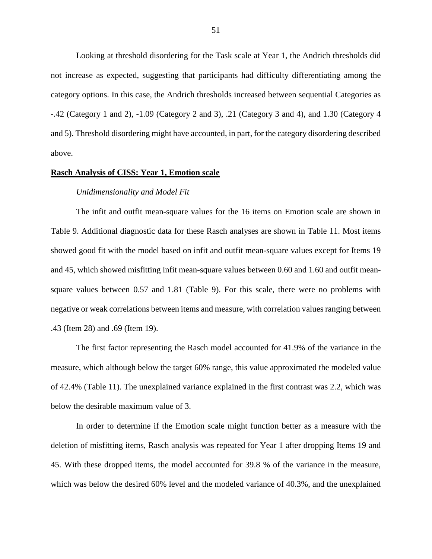Looking at threshold disordering for the Task scale at Year 1, the Andrich thresholds did not increase as expected, suggesting that participants had difficulty differentiating among the category options. In this case, the Andrich thresholds increased between sequential Categories as -.42 (Category 1 and 2), -1.09 (Category 2 and 3), .21 (Category 3 and 4), and 1.30 (Category 4 and 5). Threshold disordering might have accounted, in part, for the category disordering described above.

## **Rasch Analysis of CISS: Year 1, Emotion scale**

#### *Unidimensionality and Model Fit*

The infit and outfit mean-square values for the 16 items on Emotion scale are shown in Table 9. Additional diagnostic data for these Rasch analyses are shown in Table 11. Most items showed good fit with the model based on infit and outfit mean-square values except for Items 19 and 45, which showed misfitting infit mean-square values between 0.60 and 1.60 and outfit meansquare values between 0.57 and 1.81 (Table 9). For this scale, there were no problems with negative or weak correlations between items and measure, with correlation values ranging between .43 (Item 28) and .69 (Item 19).

The first factor representing the Rasch model accounted for 41.9% of the variance in the measure, which although below the target 60% range, this value approximated the modeled value of 42.4% (Table 11). The unexplained variance explained in the first contrast was 2.2, which was below the desirable maximum value of 3.

In order to determine if the Emotion scale might function better as a measure with the deletion of misfitting items, Rasch analysis was repeated for Year 1 after dropping Items 19 and 45. With these dropped items, the model accounted for 39.8 % of the variance in the measure, which was below the desired 60% level and the modeled variance of 40.3%, and the unexplained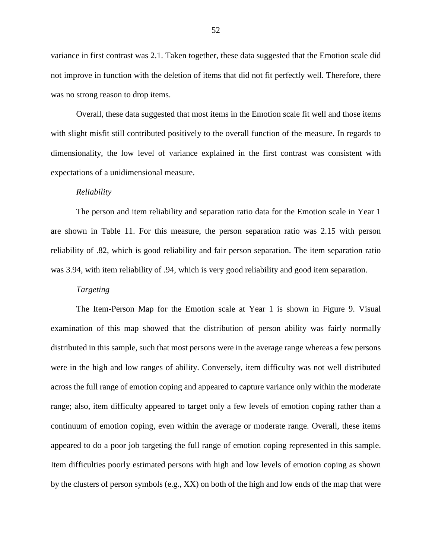variance in first contrast was 2.1. Taken together, these data suggested that the Emotion scale did not improve in function with the deletion of items that did not fit perfectly well. Therefore, there was no strong reason to drop items.

Overall, these data suggested that most items in the Emotion scale fit well and those items with slight misfit still contributed positively to the overall function of the measure. In regards to dimensionality, the low level of variance explained in the first contrast was consistent with expectations of a unidimensional measure.

## *Reliability*

The person and item reliability and separation ratio data for the Emotion scale in Year 1 are shown in Table 11. For this measure, the person separation ratio was 2.15 with person reliability of .82, which is good reliability and fair person separation. The item separation ratio was 3.94, with item reliability of .94, which is very good reliability and good item separation.

## *Targeting*

The Item-Person Map for the Emotion scale at Year 1 is shown in Figure 9. Visual examination of this map showed that the distribution of person ability was fairly normally distributed in this sample, such that most persons were in the average range whereas a few persons were in the high and low ranges of ability. Conversely, item difficulty was not well distributed across the full range of emotion coping and appeared to capture variance only within the moderate range; also, item difficulty appeared to target only a few levels of emotion coping rather than a continuum of emotion coping, even within the average or moderate range. Overall, these items appeared to do a poor job targeting the full range of emotion coping represented in this sample. Item difficulties poorly estimated persons with high and low levels of emotion coping as shown by the clusters of person symbols (e.g., XX) on both of the high and low ends of the map that were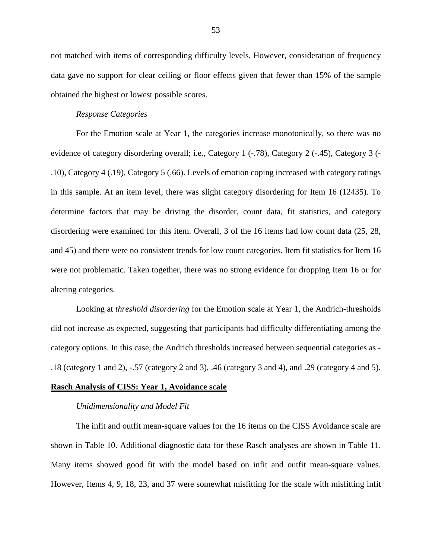not matched with items of corresponding difficulty levels. However, consideration of frequency data gave no support for clear ceiling or floor effects given that fewer than 15% of the sample obtained the highest or lowest possible scores.

# *Response Categories*

For the Emotion scale at Year 1, the categories increase monotonically, so there was no evidence of category disordering overall; i.e., Category 1 (-.78), Category 2 (-.45), Category 3 (- .10), Category 4 (.19), Category 5 (.66). Levels of emotion coping increased with category ratings in this sample. At an item level, there was slight category disordering for Item 16 (12435). To determine factors that may be driving the disorder, count data, fit statistics, and category disordering were examined for this item. Overall, 3 of the 16 items had low count data (25, 28, and 45) and there were no consistent trends for low count categories. Item fit statistics for Item 16 were not problematic. Taken together, there was no strong evidence for dropping Item 16 or for altering categories.

Looking at *threshold disordering* for the Emotion scale at Year 1, the Andrich-thresholds did not increase as expected, suggesting that participants had difficulty differentiating among the category options. In this case, the Andrich thresholds increased between sequential categories as - .18 (category 1 and 2), -.57 (category 2 and 3), .46 (category 3 and 4), and .29 (category 4 and 5).

## **Rasch Analysis of CISS: Year 1, Avoidance scale**

#### *Unidimensionality and Model Fit*

The infit and outfit mean-square values for the 16 items on the CISS Avoidance scale are shown in Table 10. Additional diagnostic data for these Rasch analyses are shown in Table 11. Many items showed good fit with the model based on infit and outfit mean-square values. However, Items 4, 9, 18, 23, and 37 were somewhat misfitting for the scale with misfitting infit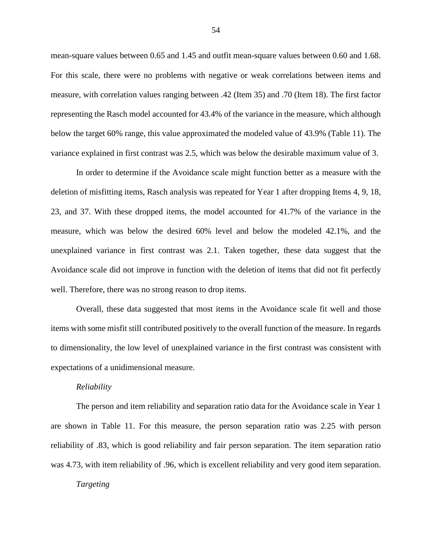mean-square values between 0.65 and 1.45 and outfit mean-square values between 0.60 and 1.68. For this scale, there were no problems with negative or weak correlations between items and measure, with correlation values ranging between .42 (Item 35) and .70 (Item 18). The first factor representing the Rasch model accounted for 43.4% of the variance in the measure, which although below the target 60% range, this value approximated the modeled value of 43.9% (Table 11). The variance explained in first contrast was 2.5, which was below the desirable maximum value of 3.

In order to determine if the Avoidance scale might function better as a measure with the deletion of misfitting items, Rasch analysis was repeated for Year 1 after dropping Items 4, 9, 18, 23, and 37. With these dropped items, the model accounted for 41.7% of the variance in the measure, which was below the desired 60% level and below the modeled 42.1%, and the unexplained variance in first contrast was 2.1. Taken together, these data suggest that the Avoidance scale did not improve in function with the deletion of items that did not fit perfectly well. Therefore, there was no strong reason to drop items.

Overall, these data suggested that most items in the Avoidance scale fit well and those items with some misfit still contributed positively to the overall function of the measure. In regards to dimensionality, the low level of unexplained variance in the first contrast was consistent with expectations of a unidimensional measure.

#### *Reliability*

The person and item reliability and separation ratio data for the Avoidance scale in Year 1 are shown in Table 11. For this measure, the person separation ratio was 2.25 with person reliability of .83, which is good reliability and fair person separation. The item separation ratio was 4.73, with item reliability of .96, which is excellent reliability and very good item separation.

#### *Targeting*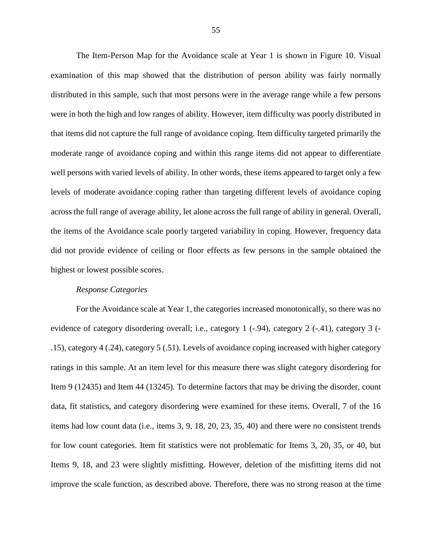The Item-Person Map for the Avoidance scale at Year 1 is shown in Figure 10. Visual examination of this map showed that the distribution of person ability was fairly normally distributed in this sample, such that most persons were in the average range while a few persons were in both the high and low ranges of ability. However, item difficulty was poorly distributed in that items did not capture the full range of avoidance coping. Item difficulty targeted primarily the moderate range of avoidance coping and within this range items did not appear to differentiate well persons with varied levels of ability. In other words, these items appeared to target only a few levels of moderate avoidance coping rather than targeting different levels of avoidance coping across the full range of average ability, let alone across the full range of ability in general. Overall, the items of the Avoidance scale poorly targeted variability in coping. However, frequency data did not provide evidence of ceiling or floor effects as few persons in the sample obtained the highest or lowest possible scores.

## *Response Categories*

For the Avoidance scale at Year 1, the categories increased monotonically, so there was no evidence of category disordering overall; i.e., category 1 (-.94), category 2 (-.41), category 3 (- .15), category 4 (.24), category 5 (.51). Levels of avoidance coping increased with higher category ratings in this sample. At an item level for this measure there was slight category disordering for Item 9 (12435) and Item 44 (13245). To determine factors that may be driving the disorder, count data, fit statistics, and category disordering were examined for these items. Overall, 7 of the 16 items had low count data (i.e., items 3, 9, 18, 20, 23, 35, 40) and there were no consistent trends for low count categories. Item fit statistics were not problematic for Items 3, 20, 35, or 40, but Items 9, 18, and 23 were slightly misfitting. However, deletion of the misfitting items did not improve the scale function, as described above. Therefore, there was no strong reason at the time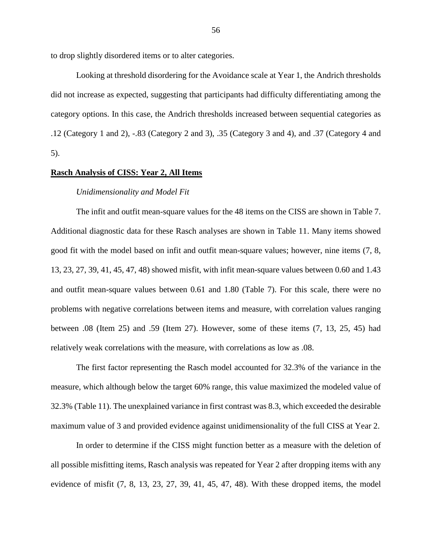to drop slightly disordered items or to alter categories.

Looking at threshold disordering for the Avoidance scale at Year 1, the Andrich thresholds did not increase as expected, suggesting that participants had difficulty differentiating among the category options. In this case, the Andrich thresholds increased between sequential categories as .12 (Category 1 and 2), -.83 (Category 2 and 3), .35 (Category 3 and 4), and .37 (Category 4 and 5).

# **Rasch Analysis of CISS: Year 2, All Items**

#### *Unidimensionality and Model Fit*

The infit and outfit mean-square values for the 48 items on the CISS are shown in Table 7. Additional diagnostic data for these Rasch analyses are shown in Table 11. Many items showed good fit with the model based on infit and outfit mean-square values; however, nine items (7, 8, 13, 23, 27, 39, 41, 45, 47, 48) showed misfit, with infit mean-square values between 0.60 and 1.43 and outfit mean-square values between 0.61 and 1.80 (Table 7). For this scale, there were no problems with negative correlations between items and measure, with correlation values ranging between .08 (Item 25) and .59 (Item 27). However, some of these items (7, 13, 25, 45) had relatively weak correlations with the measure, with correlations as low as .08.

The first factor representing the Rasch model accounted for 32.3% of the variance in the measure, which although below the target 60% range, this value maximized the modeled value of 32.3% (Table 11). The unexplained variance in first contrast was 8.3, which exceeded the desirable maximum value of 3 and provided evidence against unidimensionality of the full CISS at Year 2.

In order to determine if the CISS might function better as a measure with the deletion of all possible misfitting items, Rasch analysis was repeated for Year 2 after dropping items with any evidence of misfit (7, 8, 13, 23, 27, 39, 41, 45, 47, 48). With these dropped items, the model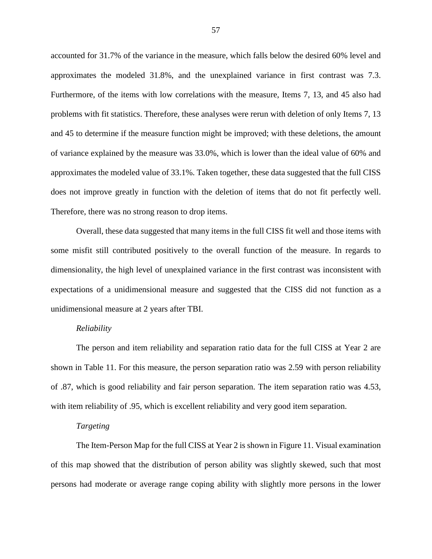accounted for 31.7% of the variance in the measure, which falls below the desired 60% level and approximates the modeled 31.8%, and the unexplained variance in first contrast was 7.3. Furthermore, of the items with low correlations with the measure, Items 7, 13, and 45 also had problems with fit statistics. Therefore, these analyses were rerun with deletion of only Items 7, 13 and 45 to determine if the measure function might be improved; with these deletions, the amount of variance explained by the measure was 33.0%, which is lower than the ideal value of 60% and approximates the modeled value of 33.1%. Taken together, these data suggested that the full CISS does not improve greatly in function with the deletion of items that do not fit perfectly well. Therefore, there was no strong reason to drop items.

Overall, these data suggested that many items in the full CISS fit well and those items with some misfit still contributed positively to the overall function of the measure. In regards to dimensionality, the high level of unexplained variance in the first contrast was inconsistent with expectations of a unidimensional measure and suggested that the CISS did not function as a unidimensional measure at 2 years after TBI.

## *Reliability*

The person and item reliability and separation ratio data for the full CISS at Year 2 are shown in Table 11. For this measure, the person separation ratio was 2.59 with person reliability of .87, which is good reliability and fair person separation. The item separation ratio was 4.53, with item reliability of .95, which is excellent reliability and very good item separation.

### *Targeting*

The Item-Person Map for the full CISS at Year 2 is shown in Figure 11. Visual examination of this map showed that the distribution of person ability was slightly skewed, such that most persons had moderate or average range coping ability with slightly more persons in the lower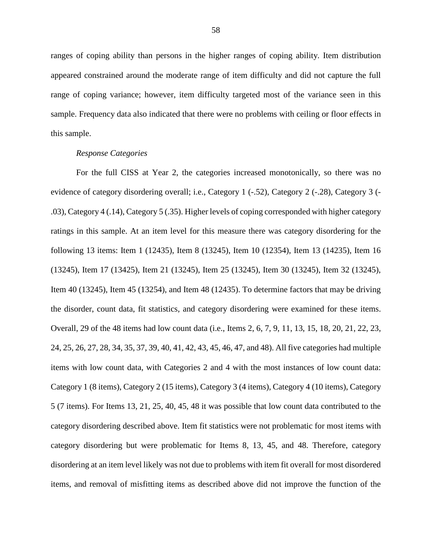ranges of coping ability than persons in the higher ranges of coping ability. Item distribution appeared constrained around the moderate range of item difficulty and did not capture the full range of coping variance; however, item difficulty targeted most of the variance seen in this sample. Frequency data also indicated that there were no problems with ceiling or floor effects in this sample.

# *Response Categories*

For the full CISS at Year 2, the categories increased monotonically, so there was no evidence of category disordering overall; i.e., Category 1 (-.52), Category 2 (-.28), Category 3 (- .03), Category 4 (.14), Category 5 (.35). Higher levels of coping corresponded with higher category ratings in this sample. At an item level for this measure there was category disordering for the following 13 items: Item 1 (12435), Item 8 (13245), Item 10 (12354), Item 13 (14235), Item 16 (13245), Item 17 (13425), Item 21 (13245), Item 25 (13245), Item 30 (13245), Item 32 (13245), Item 40 (13245), Item 45 (13254), and Item 48 (12435). To determine factors that may be driving the disorder, count data, fit statistics, and category disordering were examined for these items. Overall, 29 of the 48 items had low count data (i.e., Items 2, 6, 7, 9, 11, 13, 15, 18, 20, 21, 22, 23, 24, 25, 26, 27, 28, 34, 35, 37, 39, 40, 41, 42, 43, 45, 46, 47, and 48). All five categories had multiple items with low count data, with Categories 2 and 4 with the most instances of low count data: Category 1 (8 items), Category 2 (15 items), Category 3 (4 items), Category 4 (10 items), Category 5 (7 items). For Items 13, 21, 25, 40, 45, 48 it was possible that low count data contributed to the category disordering described above. Item fit statistics were not problematic for most items with category disordering but were problematic for Items 8, 13, 45, and 48. Therefore, category disordering at an item level likely was not due to problems with item fit overall for most disordered items, and removal of misfitting items as described above did not improve the function of the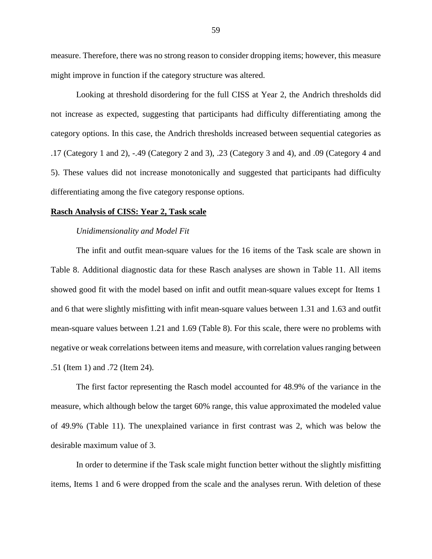measure. Therefore, there was no strong reason to consider dropping items; however, this measure might improve in function if the category structure was altered.

Looking at threshold disordering for the full CISS at Year 2, the Andrich thresholds did not increase as expected, suggesting that participants had difficulty differentiating among the category options. In this case, the Andrich thresholds increased between sequential categories as .17 (Category 1 and 2), -.49 (Category 2 and 3), .23 (Category 3 and 4), and .09 (Category 4 and 5). These values did not increase monotonically and suggested that participants had difficulty differentiating among the five category response options.

## **Rasch Analysis of CISS: Year 2, Task scale**

## *Unidimensionality and Model Fit*

The infit and outfit mean-square values for the 16 items of the Task scale are shown in Table 8. Additional diagnostic data for these Rasch analyses are shown in Table 11. All items showed good fit with the model based on infit and outfit mean-square values except for Items 1 and 6 that were slightly misfitting with infit mean-square values between 1.31 and 1.63 and outfit mean-square values between 1.21 and 1.69 (Table 8). For this scale, there were no problems with negative or weak correlations between items and measure, with correlation values ranging between .51 (Item 1) and .72 (Item 24).

The first factor representing the Rasch model accounted for 48.9% of the variance in the measure, which although below the target 60% range, this value approximated the modeled value of 49.9% (Table 11). The unexplained variance in first contrast was 2, which was below the desirable maximum value of 3.

In order to determine if the Task scale might function better without the slightly misfitting items, Items 1 and 6 were dropped from the scale and the analyses rerun. With deletion of these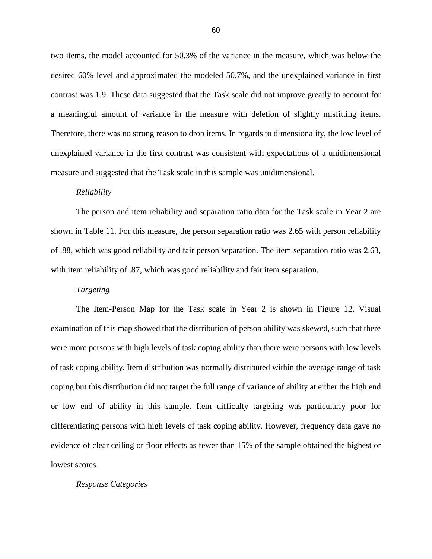two items, the model accounted for 50.3% of the variance in the measure, which was below the desired 60% level and approximated the modeled 50.7%, and the unexplained variance in first contrast was 1.9. These data suggested that the Task scale did not improve greatly to account for a meaningful amount of variance in the measure with deletion of slightly misfitting items. Therefore, there was no strong reason to drop items. In regards to dimensionality, the low level of unexplained variance in the first contrast was consistent with expectations of a unidimensional measure and suggested that the Task scale in this sample was unidimensional.

#### *Reliability*

The person and item reliability and separation ratio data for the Task scale in Year 2 are shown in Table 11. For this measure, the person separation ratio was 2.65 with person reliability of .88, which was good reliability and fair person separation. The item separation ratio was 2.63, with item reliability of .87, which was good reliability and fair item separation.

## *Targeting*

The Item-Person Map for the Task scale in Year 2 is shown in Figure 12. Visual examination of this map showed that the distribution of person ability was skewed, such that there were more persons with high levels of task coping ability than there were persons with low levels of task coping ability. Item distribution was normally distributed within the average range of task coping but this distribution did not target the full range of variance of ability at either the high end or low end of ability in this sample. Item difficulty targeting was particularly poor for differentiating persons with high levels of task coping ability. However, frequency data gave no evidence of clear ceiling or floor effects as fewer than 15% of the sample obtained the highest or lowest scores.

#### *Response Categories*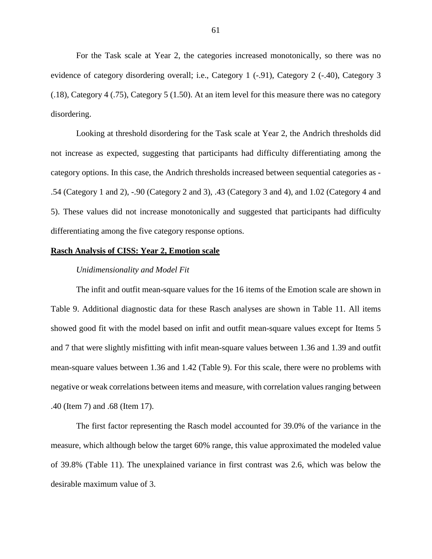For the Task scale at Year 2, the categories increased monotonically, so there was no evidence of category disordering overall; i.e., Category 1 (-.91), Category 2 (-.40), Category 3 (.18), Category 4 (.75), Category 5 (1.50). At an item level for this measure there was no category disordering.

Looking at threshold disordering for the Task scale at Year 2, the Andrich thresholds did not increase as expected, suggesting that participants had difficulty differentiating among the category options. In this case, the Andrich thresholds increased between sequential categories as - .54 (Category 1 and 2), -.90 (Category 2 and 3), .43 (Category 3 and 4), and 1.02 (Category 4 and 5). These values did not increase monotonically and suggested that participants had difficulty differentiating among the five category response options.

## **Rasch Analysis of CISS: Year 2, Emotion scale**

#### *Unidimensionality and Model Fit*

The infit and outfit mean-square values for the 16 items of the Emotion scale are shown in Table 9. Additional diagnostic data for these Rasch analyses are shown in Table 11. All items showed good fit with the model based on infit and outfit mean-square values except for Items 5 and 7 that were slightly misfitting with infit mean-square values between 1.36 and 1.39 and outfit mean-square values between 1.36 and 1.42 (Table 9). For this scale, there were no problems with negative or weak correlations between items and measure, with correlation values ranging between .40 (Item 7) and .68 (Item 17).

The first factor representing the Rasch model accounted for 39.0% of the variance in the measure, which although below the target 60% range, this value approximated the modeled value of 39.8% (Table 11). The unexplained variance in first contrast was 2.6, which was below the desirable maximum value of 3.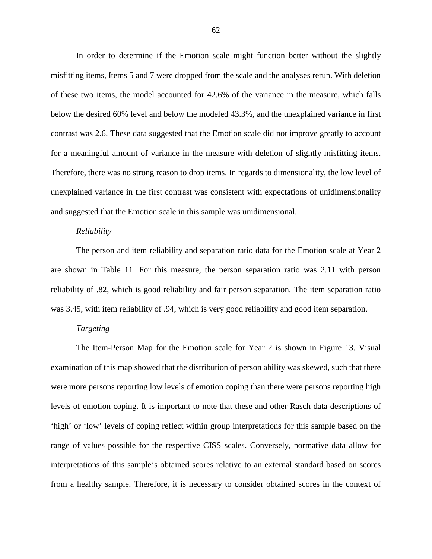In order to determine if the Emotion scale might function better without the slightly misfitting items, Items 5 and 7 were dropped from the scale and the analyses rerun. With deletion of these two items, the model accounted for 42.6% of the variance in the measure, which falls below the desired 60% level and below the modeled 43.3%, and the unexplained variance in first contrast was 2.6. These data suggested that the Emotion scale did not improve greatly to account for a meaningful amount of variance in the measure with deletion of slightly misfitting items. Therefore, there was no strong reason to drop items. In regards to dimensionality, the low level of unexplained variance in the first contrast was consistent with expectations of unidimensionality and suggested that the Emotion scale in this sample was unidimensional.

#### *Reliability*

The person and item reliability and separation ratio data for the Emotion scale at Year 2 are shown in Table 11. For this measure, the person separation ratio was 2.11 with person reliability of .82, which is good reliability and fair person separation. The item separation ratio was 3.45, with item reliability of .94, which is very good reliability and good item separation.

## *Targeting*

The Item-Person Map for the Emotion scale for Year 2 is shown in Figure 13. Visual examination of this map showed that the distribution of person ability was skewed, such that there were more persons reporting low levels of emotion coping than there were persons reporting high levels of emotion coping. It is important to note that these and other Rasch data descriptions of 'high' or 'low' levels of coping reflect within group interpretations for this sample based on the range of values possible for the respective CISS scales. Conversely, normative data allow for interpretations of this sample's obtained scores relative to an external standard based on scores from a healthy sample. Therefore, it is necessary to consider obtained scores in the context of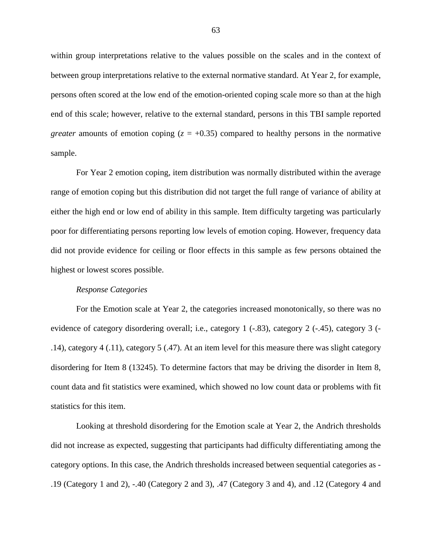within group interpretations relative to the values possible on the scales and in the context of between group interpretations relative to the external normative standard. At Year 2, for example, persons often scored at the low end of the emotion-oriented coping scale more so than at the high end of this scale; however, relative to the external standard, persons in this TBI sample reported *greater* amounts of emotion coping  $(z = +0.35)$  compared to healthy persons in the normative sample.

For Year 2 emotion coping, item distribution was normally distributed within the average range of emotion coping but this distribution did not target the full range of variance of ability at either the high end or low end of ability in this sample. Item difficulty targeting was particularly poor for differentiating persons reporting low levels of emotion coping. However, frequency data did not provide evidence for ceiling or floor effects in this sample as few persons obtained the highest or lowest scores possible.

## *Response Categories*

For the Emotion scale at Year 2, the categories increased monotonically, so there was no evidence of category disordering overall; i.e., category 1 (-.83), category 2 (-.45), category 3 (- .14), category 4 (.11), category 5 (.47). At an item level for this measure there was slight category disordering for Item 8 (13245). To determine factors that may be driving the disorder in Item 8, count data and fit statistics were examined, which showed no low count data or problems with fit statistics for this item.

Looking at threshold disordering for the Emotion scale at Year 2, the Andrich thresholds did not increase as expected, suggesting that participants had difficulty differentiating among the category options. In this case, the Andrich thresholds increased between sequential categories as - .19 (Category 1 and 2), -.40 (Category 2 and 3), .47 (Category 3 and 4), and .12 (Category 4 and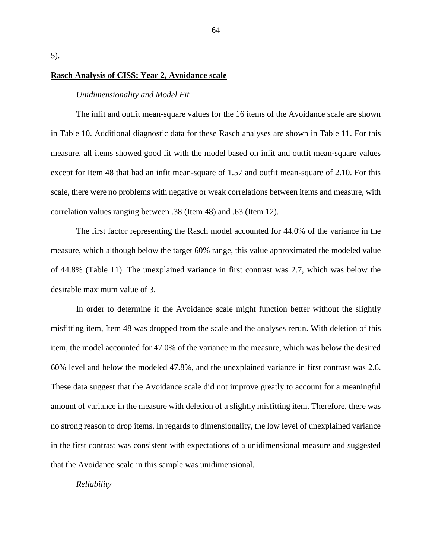5).

## **Rasch Analysis of CISS: Year 2, Avoidance scale**

# *Unidimensionality and Model Fit*

The infit and outfit mean-square values for the 16 items of the Avoidance scale are shown in Table 10. Additional diagnostic data for these Rasch analyses are shown in Table 11. For this measure, all items showed good fit with the model based on infit and outfit mean-square values except for Item 48 that had an infit mean-square of 1.57 and outfit mean-square of 2.10. For this scale, there were no problems with negative or weak correlations between items and measure, with correlation values ranging between .38 (Item 48) and .63 (Item 12).

The first factor representing the Rasch model accounted for 44.0% of the variance in the measure, which although below the target 60% range, this value approximated the modeled value of 44.8% (Table 11). The unexplained variance in first contrast was 2.7, which was below the desirable maximum value of 3.

In order to determine if the Avoidance scale might function better without the slightly misfitting item, Item 48 was dropped from the scale and the analyses rerun. With deletion of this item, the model accounted for 47.0% of the variance in the measure, which was below the desired 60% level and below the modeled 47.8%, and the unexplained variance in first contrast was 2.6. These data suggest that the Avoidance scale did not improve greatly to account for a meaningful amount of variance in the measure with deletion of a slightly misfitting item. Therefore, there was no strong reason to drop items. In regards to dimensionality, the low level of unexplained variance in the first contrast was consistent with expectations of a unidimensional measure and suggested that the Avoidance scale in this sample was unidimensional.

#### *Reliability*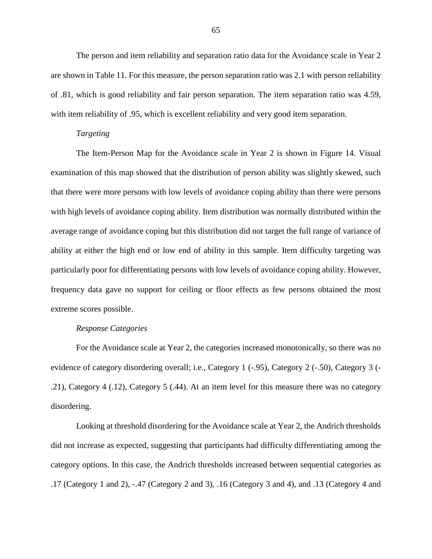The person and item reliability and separation ratio data for the Avoidance scale in Year 2 are shown in Table 11. For this measure, the person separation ratio was 2.1 with person reliability of .81, which is good reliability and fair person separation. The item separation ratio was 4.59, with item reliability of .95, which is excellent reliability and very good item separation.

#### *Targeting*

The Item-Person Map for the Avoidance scale in Year 2 is shown in Figure 14. Visual examination of this map showed that the distribution of person ability was slightly skewed, such that there were more persons with low levels of avoidance coping ability than there were persons with high levels of avoidance coping ability. Item distribution was normally distributed within the average range of avoidance coping but this distribution did not target the full range of variance of ability at either the high end or low end of ability in this sample. Item difficulty targeting was particularly poor for differentiating persons with low levels of avoidance coping ability. However, frequency data gave no support for ceiling or floor effects as few persons obtained the most extreme scores possible.

## *Response Categories*

For the Avoidance scale at Year 2, the categories increased monotonically, so there was no evidence of category disordering overall; i.e., Category 1 (-.95), Category 2 (-.50), Category 3 (- .21), Category 4 (.12), Category 5 (.44). At an item level for this measure there was no category disordering.

Looking at threshold disordering for the Avoidance scale at Year 2, the Andrich thresholds did not increase as expected, suggesting that participants had difficulty differentiating among the category options. In this case, the Andrich thresholds increased between sequential categories as .17 (Category 1 and 2), -.47 (Category 2 and 3), .16 (Category 3 and 4), and .13 (Category 4 and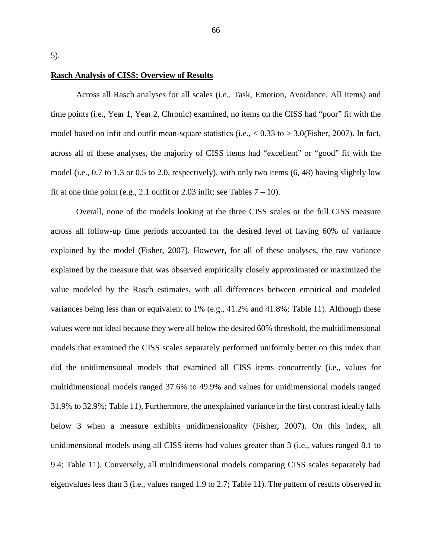5).

## **Rasch Analysis of CISS: Overview of Results**

Across all Rasch analyses for all scales (i.e., Task, Emotion, Avoidance, All Items) and time points (i.e., Year 1, Year 2, Chronic) examined, no items on the CISS had "poor" fit with the model based on infit and outfit mean-square statistics (i.e.,  $< 0.33$  to  $> 3.0$ (Fisher, 2007). In fact, across all of these analyses, the majority of CISS items had "excellent" or "good" fit with the model (i.e., 0.7 to 1.3 or 0.5 to 2.0, respectively), with only two items (6, 48) having slightly low fit at one time point (e.g., 2.1 outfit or 2.03 infit; see Tables  $7 - 10$ ).

Overall, none of the models looking at the three CISS scales or the full CISS measure across all follow-up time periods accounted for the desired level of having 60% of variance explained by the model (Fisher, 2007). However, for all of these analyses, the raw variance explained by the measure that was observed empirically closely approximated or maximized the value modeled by the Rasch estimates, with all differences between empirical and modeled variances being less than or equivalent to 1% (e.g., 41.2% and 41.8%; Table 11). Although these values were not ideal because they were all below the desired 60% threshold, the multidimensional models that examined the CISS scales separately performed uniformly better on this index than did the unidimensional models that examined all CISS items concurrently (i.e., values for multidimensional models ranged 37.6% to 49.9% and values for unidimensional models ranged 31.9% to 32.9%; Table 11). Furthermore, the unexplained variance in the first contrast ideally falls below 3 when a measure exhibits unidimensionality (Fisher, 2007). On this index, all unidimensional models using all CISS items had values greater than 3 (i.e., values ranged 8.1 to 9.4; Table 11). Conversely, all multidimensional models comparing CISS scales separately had eigenvalues less than 3 (i.e., values ranged 1.9 to 2.7; Table 11). The pattern of results observed in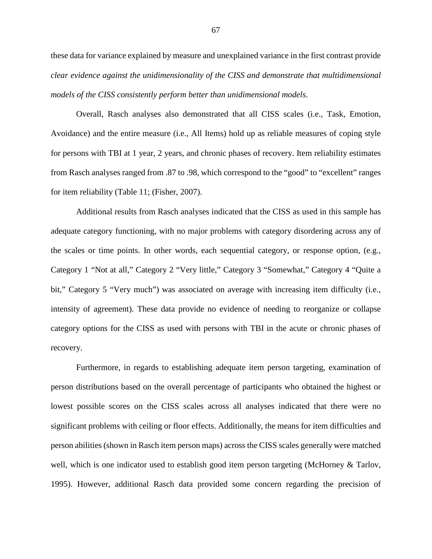these data for variance explained by measure and unexplained variance in the first contrast provide *clear evidence against the unidimensionality of the CISS and demonstrate that multidimensional models of the CISS consistently perform better than unidimensional models*.

Overall, Rasch analyses also demonstrated that all CISS scales (i.e., Task, Emotion, Avoidance) and the entire measure (i.e., All Items) hold up as reliable measures of coping style for persons with TBI at 1 year, 2 years, and chronic phases of recovery. Item reliability estimates from Rasch analyses ranged from .87 to .98, which correspond to the "good" to "excellent" ranges for item reliability (Table 11; (Fisher, 2007).

Additional results from Rasch analyses indicated that the CISS as used in this sample has adequate category functioning, with no major problems with category disordering across any of the scales or time points. In other words, each sequential category, or response option, (e.g., Category 1 "Not at all," Category 2 "Very little," Category 3 "Somewhat," Category 4 "Quite a bit," Category 5 "Very much") was associated on average with increasing item difficulty (i.e., intensity of agreement). These data provide no evidence of needing to reorganize or collapse category options for the CISS as used with persons with TBI in the acute or chronic phases of recovery.

Furthermore, in regards to establishing adequate item person targeting, examination of person distributions based on the overall percentage of participants who obtained the highest or lowest possible scores on the CISS scales across all analyses indicated that there were no significant problems with ceiling or floor effects. Additionally, the means for item difficulties and person abilities (shown in Rasch item person maps) across the CISS scales generally were matched well, which is one indicator used to establish good item person targeting (McHorney & Tarlov, 1995). However, additional Rasch data provided some concern regarding the precision of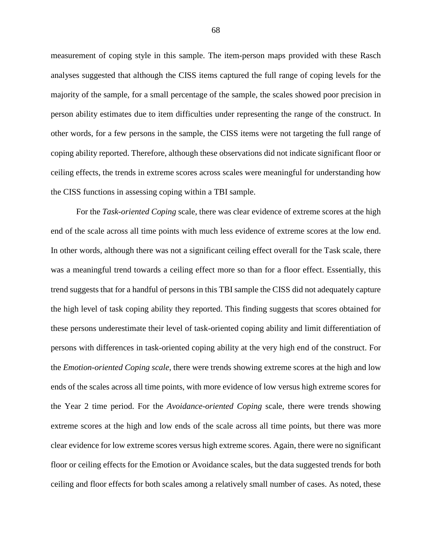measurement of coping style in this sample. The item-person maps provided with these Rasch analyses suggested that although the CISS items captured the full range of coping levels for the majority of the sample, for a small percentage of the sample, the scales showed poor precision in person ability estimates due to item difficulties under representing the range of the construct. In other words, for a few persons in the sample, the CISS items were not targeting the full range of coping ability reported. Therefore, although these observations did not indicate significant floor or ceiling effects, the trends in extreme scores across scales were meaningful for understanding how the CISS functions in assessing coping within a TBI sample.

For the *Task-oriented Coping* scale, there was clear evidence of extreme scores at the high end of the scale across all time points with much less evidence of extreme scores at the low end. In other words, although there was not a significant ceiling effect overall for the Task scale, there was a meaningful trend towards a ceiling effect more so than for a floor effect. Essentially, this trend suggests that for a handful of persons in this TBI sample the CISS did not adequately capture the high level of task coping ability they reported. This finding suggests that scores obtained for these persons underestimate their level of task-oriented coping ability and limit differentiation of persons with differences in task-oriented coping ability at the very high end of the construct. For the *Emotion-oriented Coping scale*, there were trends showing extreme scores at the high and low ends of the scales across all time points, with more evidence of low versus high extreme scores for the Year 2 time period. For the *Avoidance-oriented Coping* scale, there were trends showing extreme scores at the high and low ends of the scale across all time points, but there was more clear evidence for low extreme scores versus high extreme scores. Again, there were no significant floor or ceiling effects for the Emotion or Avoidance scales, but the data suggested trends for both ceiling and floor effects for both scales among a relatively small number of cases. As noted, these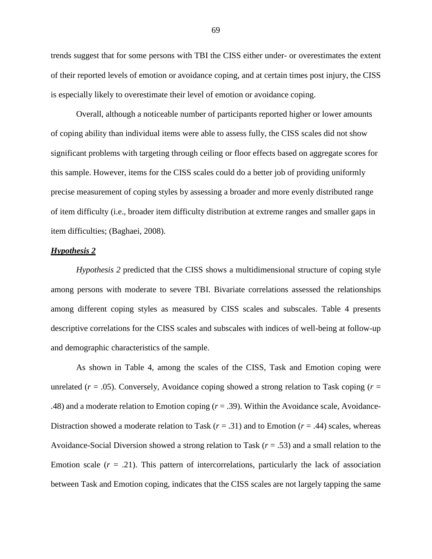trends suggest that for some persons with TBI the CISS either under- or overestimates the extent of their reported levels of emotion or avoidance coping, and at certain times post injury, the CISS is especially likely to overestimate their level of emotion or avoidance coping.

Overall, although a noticeable number of participants reported higher or lower amounts of coping ability than individual items were able to assess fully, the CISS scales did not show significant problems with targeting through ceiling or floor effects based on aggregate scores for this sample. However, items for the CISS scales could do a better job of providing uniformly precise measurement of coping styles by assessing a broader and more evenly distributed range of item difficulty (i.e., broader item difficulty distribution at extreme ranges and smaller gaps in item difficulties; (Baghaei, 2008).

#### *Hypothesis 2*

*Hypothesis 2* predicted that the CISS shows a multidimensional structure of coping style among persons with moderate to severe TBI. Bivariate correlations assessed the relationships among different coping styles as measured by CISS scales and subscales. Table 4 presents descriptive correlations for the CISS scales and subscales with indices of well-being at follow-up and demographic characteristics of the sample.

As shown in Table 4, among the scales of the CISS, Task and Emotion coping were unrelated ( $r = .05$ ). Conversely, Avoidance coping showed a strong relation to Task coping ( $r =$ .48) and a moderate relation to Emotion coping (*r* = .39). Within the Avoidance scale, Avoidance-Distraction showed a moderate relation to Task  $(r = .31)$  and to Emotion  $(r = .44)$  scales, whereas Avoidance-Social Diversion showed a strong relation to Task (*r* = .53) and a small relation to the Emotion scale  $(r = .21)$ . This pattern of intercorrelations, particularly the lack of association between Task and Emotion coping, indicates that the CISS scales are not largely tapping the same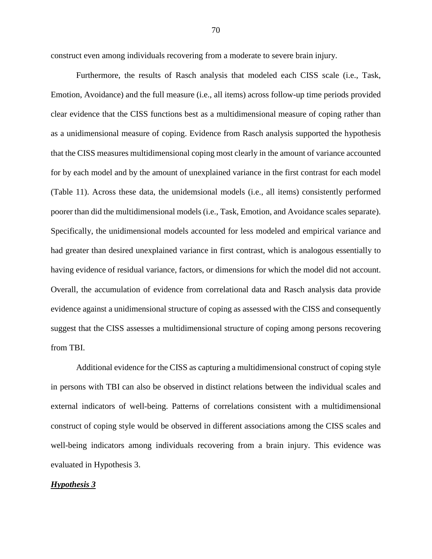construct even among individuals recovering from a moderate to severe brain injury.

Furthermore, the results of Rasch analysis that modeled each CISS scale (i.e., Task, Emotion, Avoidance) and the full measure (i.e., all items) across follow-up time periods provided clear evidence that the CISS functions best as a multidimensional measure of coping rather than as a unidimensional measure of coping. Evidence from Rasch analysis supported the hypothesis that the CISS measures multidimensional coping most clearly in the amount of variance accounted for by each model and by the amount of unexplained variance in the first contrast for each model (Table 11). Across these data, the unidemsional models (i.e., all items) consistently performed poorer than did the multidimensional models (i.e., Task, Emotion, and Avoidance scales separate). Specifically, the unidimensional models accounted for less modeled and empirical variance and had greater than desired unexplained variance in first contrast, which is analogous essentially to having evidence of residual variance, factors, or dimensions for which the model did not account. Overall, the accumulation of evidence from correlational data and Rasch analysis data provide evidence against a unidimensional structure of coping as assessed with the CISS and consequently suggest that the CISS assesses a multidimensional structure of coping among persons recovering from TBI.

Additional evidence for the CISS as capturing a multidimensional construct of coping style in persons with TBI can also be observed in distinct relations between the individual scales and external indicators of well-being. Patterns of correlations consistent with a multidimensional construct of coping style would be observed in different associations among the CISS scales and well-being indicators among individuals recovering from a brain injury. This evidence was evaluated in Hypothesis 3.

#### *Hypothesis 3*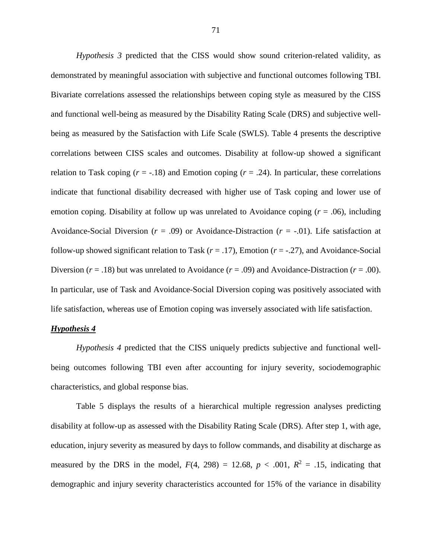*Hypothesis 3* predicted that the CISS would show sound criterion-related validity, as demonstrated by meaningful association with subjective and functional outcomes following TBI. Bivariate correlations assessed the relationships between coping style as measured by the CISS and functional well-being as measured by the Disability Rating Scale (DRS) and subjective wellbeing as measured by the Satisfaction with Life Scale (SWLS). Table 4 presents the descriptive correlations between CISS scales and outcomes. Disability at follow-up showed a significant relation to Task coping  $(r = -18)$  and Emotion coping  $(r = .24)$ . In particular, these correlations indicate that functional disability decreased with higher use of Task coping and lower use of emotion coping. Disability at follow up was unrelated to Avoidance coping (*r* = .06), including Avoidance-Social Diversion (*r* = .09) or Avoidance-Distraction (*r* = -.01). Life satisfaction at follow-up showed significant relation to Task  $(r = .17)$ , Emotion  $(r = .27)$ , and Avoidance-Social Diversion ( $r = .18$ ) but was unrelated to Avoidance ( $r = .09$ ) and Avoidance-Distraction ( $r = .00$ ). In particular, use of Task and Avoidance-Social Diversion coping was positively associated with life satisfaction, whereas use of Emotion coping was inversely associated with life satisfaction.

## *Hypothesis 4*

*Hypothesis 4* predicted that the CISS uniquely predicts subjective and functional wellbeing outcomes following TBI even after accounting for injury severity, sociodemographic characteristics, and global response bias.

Table 5 displays the results of a hierarchical multiple regression analyses predicting disability at follow-up as assessed with the Disability Rating Scale (DRS). After step 1, with age, education, injury severity as measured by days to follow commands, and disability at discharge as measured by the DRS in the model,  $F(4, 298) = 12.68$ ,  $p < .001$ ,  $R^2 = .15$ , indicating that demographic and injury severity characteristics accounted for 15% of the variance in disability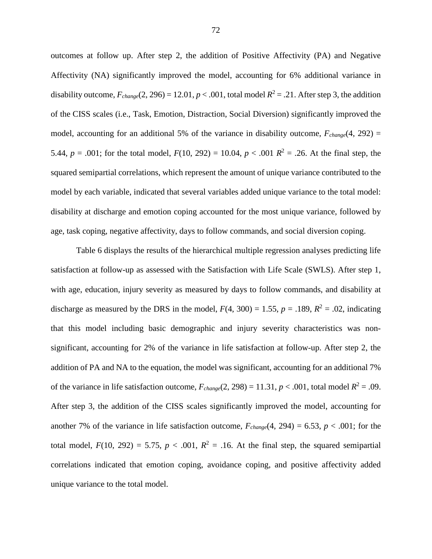outcomes at follow up. After step 2, the addition of Positive Affectivity (PA) and Negative Affectivity (NA) significantly improved the model, accounting for 6% additional variance in disability outcome,  $F_{change}(2, 296) = 12.01$ ,  $p < .001$ , total model  $R^2 = .21$ . After step 3, the addition of the CISS scales (i.e., Task, Emotion, Distraction, Social Diversion) significantly improved the model, accounting for an additional 5% of the variance in disability outcome,  $F_{change}(4, 292)$  = 5.44,  $p = .001$ ; for the total model,  $F(10, 292) = 10.04$ ,  $p < .001$   $R^2 = .26$ . At the final step, the squared semipartial correlations, which represent the amount of unique variance contributed to the model by each variable, indicated that several variables added unique variance to the total model: disability at discharge and emotion coping accounted for the most unique variance, followed by age, task coping, negative affectivity, days to follow commands, and social diversion coping.

Table 6 displays the results of the hierarchical multiple regression analyses predicting life satisfaction at follow-up as assessed with the Satisfaction with Life Scale (SWLS). After step 1, with age, education, injury severity as measured by days to follow commands, and disability at discharge as measured by the DRS in the model,  $F(4, 300) = 1.55$ ,  $p = .189$ ,  $R^2 = .02$ , indicating that this model including basic demographic and injury severity characteristics was nonsignificant, accounting for 2% of the variance in life satisfaction at follow-up. After step 2, the addition of PA and NA to the equation, the model was significant, accounting for an additional 7% of the variance in life satisfaction outcome,  $F_{change}(2, 298) = 11.31, p < .001$ , total model  $R^2 = .09$ . After step 3, the addition of the CISS scales significantly improved the model, accounting for another 7% of the variance in life satisfaction outcome,  $F_{change}(4, 294) = 6.53$ ,  $p < .001$ ; for the total model,  $F(10, 292) = 5.75$ ,  $p < .001$ ,  $R^2 = .16$ . At the final step, the squared semipartial correlations indicated that emotion coping, avoidance coping, and positive affectivity added unique variance to the total model.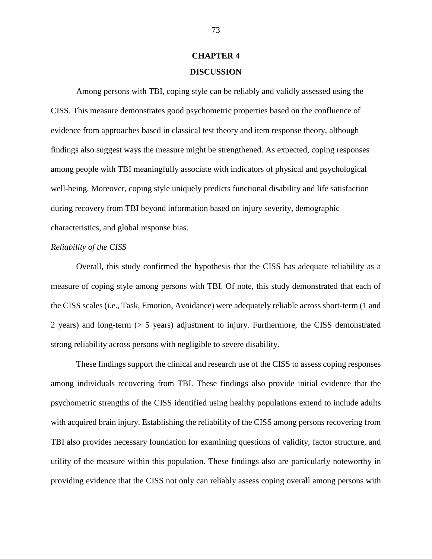# **CHAPTER 4 DISCUSSION**

Among persons with TBI, coping style can be reliably and validly assessed using the CISS. This measure demonstrates good psychometric properties based on the confluence of evidence from approaches based in classical test theory and item response theory, although findings also suggest ways the measure might be strengthened. As expected, coping responses among people with TBI meaningfully associate with indicators of physical and psychological well-being. Moreover, coping style uniquely predicts functional disability and life satisfaction during recovery from TBI beyond information based on injury severity, demographic characteristics, and global response bias.

#### *Reliability of the CISS*

Overall, this study confirmed the hypothesis that the CISS has adequate reliability as a measure of coping style among persons with TBI. Of note, this study demonstrated that each of the CISS scales (i.e., Task, Emotion, Avoidance) were adequately reliable across short-term (1 and 2 years) and long-term  $(2 5 \text{ years})$  adjustment to injury. Furthermore, the CISS demonstrated strong reliability across persons with negligible to severe disability.

These findings support the clinical and research use of the CISS to assess coping responses among individuals recovering from TBI. These findings also provide initial evidence that the psychometric strengths of the CISS identified using healthy populations extend to include adults with acquired brain injury. Establishing the reliability of the CISS among persons recovering from TBI also provides necessary foundation for examining questions of validity, factor structure, and utility of the measure within this population. These findings also are particularly noteworthy in providing evidence that the CISS not only can reliably assess coping overall among persons with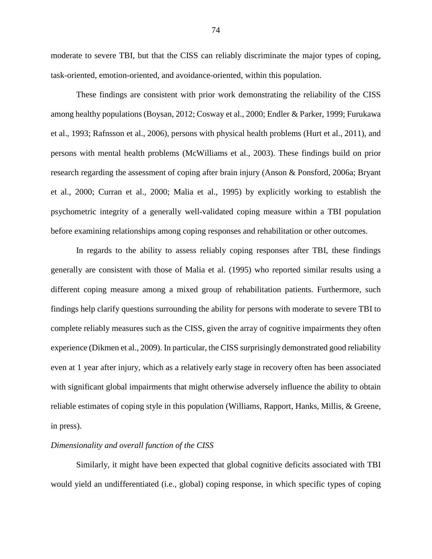moderate to severe TBI, but that the CISS can reliably discriminate the major types of coping, task-oriented, emotion-oriented, and avoidance-oriented, within this population.

These findings are consistent with prior work demonstrating the reliability of the CISS among healthy populations (Boysan, 2012; Cosway et al., 2000; Endler & Parker, 1999; Furukawa et al., 1993; Rafnsson et al., 2006), persons with physical health problems (Hurt et al., 2011), and persons with mental health problems (McWilliams et al., 2003). These findings build on prior research regarding the assessment of coping after brain injury (Anson & Ponsford, 2006a; Bryant et al., 2000; Curran et al., 2000; Malia et al., 1995) by explicitly working to establish the psychometric integrity of a generally well-validated coping measure within a TBI population before examining relationships among coping responses and rehabilitation or other outcomes.

In regards to the ability to assess reliably coping responses after TBI, these findings generally are consistent with those of Malia et al. (1995) who reported similar results using a different coping measure among a mixed group of rehabilitation patients. Furthermore, such findings help clarify questions surrounding the ability for persons with moderate to severe TBI to complete reliably measures such as the CISS, given the array of cognitive impairments they often experience (Dikmen et al., 2009). In particular, the CISS surprisingly demonstrated good reliability even at 1 year after injury, which as a relatively early stage in recovery often has been associated with significant global impairments that might otherwise adversely influence the ability to obtain reliable estimates of coping style in this population (Williams, Rapport, Hanks, Millis, & Greene, in press).

#### *Dimensionality and overall function of the CISS*

Similarly, it might have been expected that global cognitive deficits associated with TBI would yield an undifferentiated (i.e., global) coping response, in which specific types of coping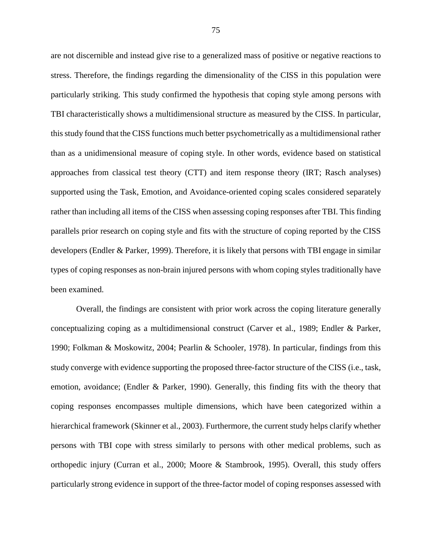are not discernible and instead give rise to a generalized mass of positive or negative reactions to stress. Therefore, the findings regarding the dimensionality of the CISS in this population were particularly striking. This study confirmed the hypothesis that coping style among persons with TBI characteristically shows a multidimensional structure as measured by the CISS. In particular, this study found that the CISS functions much better psychometrically as a multidimensional rather than as a unidimensional measure of coping style. In other words, evidence based on statistical approaches from classical test theory (CTT) and item response theory (IRT; Rasch analyses) supported using the Task, Emotion, and Avoidance-oriented coping scales considered separately rather than including all items of the CISS when assessing coping responses after TBI. This finding parallels prior research on coping style and fits with the structure of coping reported by the CISS developers (Endler & Parker, 1999). Therefore, it is likely that persons with TBI engage in similar types of coping responses as non-brain injured persons with whom coping styles traditionally have been examined.

Overall, the findings are consistent with prior work across the coping literature generally conceptualizing coping as a multidimensional construct (Carver et al., 1989; Endler & Parker, 1990; Folkman & Moskowitz, 2004; Pearlin & Schooler, 1978). In particular, findings from this study converge with evidence supporting the proposed three-factor structure of the CISS (i.e., task, emotion, avoidance; (Endler & Parker, 1990). Generally, this finding fits with the theory that coping responses encompasses multiple dimensions, which have been categorized within a hierarchical framework (Skinner et al., 2003). Furthermore, the current study helps clarify whether persons with TBI cope with stress similarly to persons with other medical problems, such as orthopedic injury (Curran et al., 2000; Moore & Stambrook, 1995). Overall, this study offers particularly strong evidence in support of the three-factor model of coping responses assessed with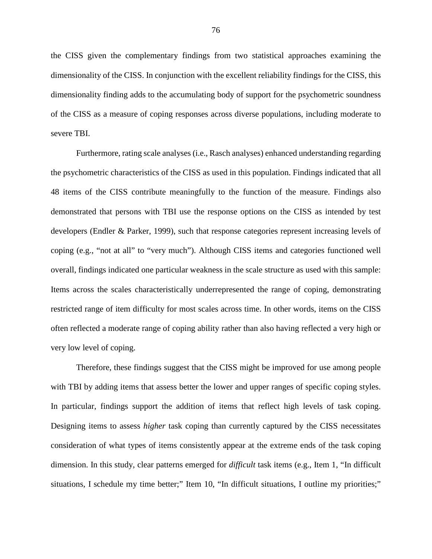the CISS given the complementary findings from two statistical approaches examining the dimensionality of the CISS. In conjunction with the excellent reliability findings for the CISS, this dimensionality finding adds to the accumulating body of support for the psychometric soundness of the CISS as a measure of coping responses across diverse populations, including moderate to severe TBI.

Furthermore, rating scale analyses (i.e., Rasch analyses) enhanced understanding regarding the psychometric characteristics of the CISS as used in this population. Findings indicated that all 48 items of the CISS contribute meaningfully to the function of the measure. Findings also demonstrated that persons with TBI use the response options on the CISS as intended by test developers (Endler & Parker, 1999), such that response categories represent increasing levels of coping (e.g., "not at all" to "very much"). Although CISS items and categories functioned well overall, findings indicated one particular weakness in the scale structure as used with this sample: Items across the scales characteristically underrepresented the range of coping, demonstrating restricted range of item difficulty for most scales across time. In other words, items on the CISS often reflected a moderate range of coping ability rather than also having reflected a very high or very low level of coping.

Therefore, these findings suggest that the CISS might be improved for use among people with TBI by adding items that assess better the lower and upper ranges of specific coping styles. In particular, findings support the addition of items that reflect high levels of task coping. Designing items to assess *higher* task coping than currently captured by the CISS necessitates consideration of what types of items consistently appear at the extreme ends of the task coping dimension. In this study, clear patterns emerged for *difficult* task items (e.g., Item 1, "In difficult situations, I schedule my time better;" Item 10, "In difficult situations, I outline my priorities;"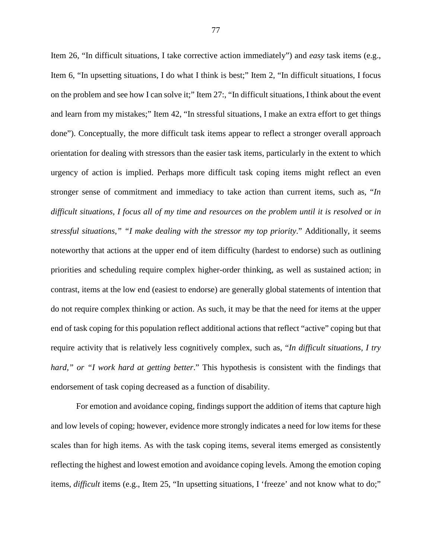Item 26, "In difficult situations, I take corrective action immediately") and *easy* task items (e.g., Item 6, "In upsetting situations, I do what I think is best;" Item 2, "In difficult situations, I focus on the problem and see how I can solve it;" Item 27:, "In difficult situations, I think about the event and learn from my mistakes;" Item 42, "In stressful situations, I make an extra effort to get things done"). Conceptually, the more difficult task items appear to reflect a stronger overall approach orientation for dealing with stressors than the easier task items, particularly in the extent to which urgency of action is implied. Perhaps more difficult task coping items might reflect an even stronger sense of commitment and immediacy to take action than current items, such as, "*In difficult situations, I focus all of my time and resources on the problem until it is resolved* or *in stressful situations," "I make dealing with the stressor my top priority*." Additionally, it seems noteworthy that actions at the upper end of item difficulty (hardest to endorse) such as outlining priorities and scheduling require complex higher-order thinking, as well as sustained action; in contrast, items at the low end (easiest to endorse) are generally global statements of intention that do not require complex thinking or action. As such, it may be that the need for items at the upper end of task coping for this population reflect additional actions that reflect "active" coping but that require activity that is relatively less cognitively complex, such as, "*In difficult situations, I try hard," or "I work hard at getting better*." This hypothesis is consistent with the findings that endorsement of task coping decreased as a function of disability.

For emotion and avoidance coping, findings support the addition of items that capture high and low levels of coping; however, evidence more strongly indicates a need for low items for these scales than for high items. As with the task coping items, several items emerged as consistently reflecting the highest and lowest emotion and avoidance coping levels. Among the emotion coping items, *difficult* items (e.g., Item 25, "In upsetting situations, I 'freeze' and not know what to do;"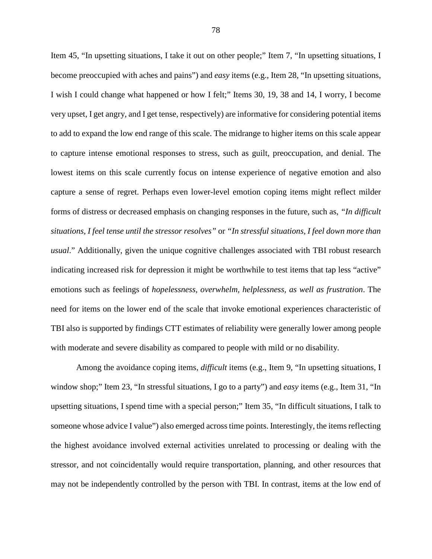Item 45, "In upsetting situations, I take it out on other people;" Item 7, "In upsetting situations, I become preoccupied with aches and pains") and *easy* items (e.g., Item 28, "In upsetting situations, I wish I could change what happened or how I felt;" Items 30, 19, 38 and 14, I worry, I become very upset, I get angry, and I get tense, respectively) are informative for considering potential items to add to expand the low end range of this scale. The midrange to higher items on this scale appear to capture intense emotional responses to stress, such as guilt, preoccupation, and denial. The lowest items on this scale currently focus on intense experience of negative emotion and also capture a sense of regret. Perhaps even lower-level emotion coping items might reflect milder forms of distress or decreased emphasis on changing responses in the future, such as, *"In difficult situations, I feel tense until the stressor resolves"* or *"In stressful situations, I feel down more than usual*." Additionally, given the unique cognitive challenges associated with TBI robust research indicating increased risk for depression it might be worthwhile to test items that tap less "active" emotions such as feelings of *hopelessness, overwhelm, helplessness, as well as frustration*. The need for items on the lower end of the scale that invoke emotional experiences characteristic of TBI also is supported by findings CTT estimates of reliability were generally lower among people with moderate and severe disability as compared to people with mild or no disability.

Among the avoidance coping items, *difficult* items (e.g., Item 9, "In upsetting situations, I window shop;" Item 23, "In stressful situations, I go to a party") and *easy* items (e.g., Item 31, "In upsetting situations, I spend time with a special person;" Item 35, "In difficult situations, I talk to someone whose advice I value") also emerged across time points. Interestingly, the items reflecting the highest avoidance involved external activities unrelated to processing or dealing with the stressor, and not coincidentally would require transportation, planning, and other resources that may not be independently controlled by the person with TBI. In contrast, items at the low end of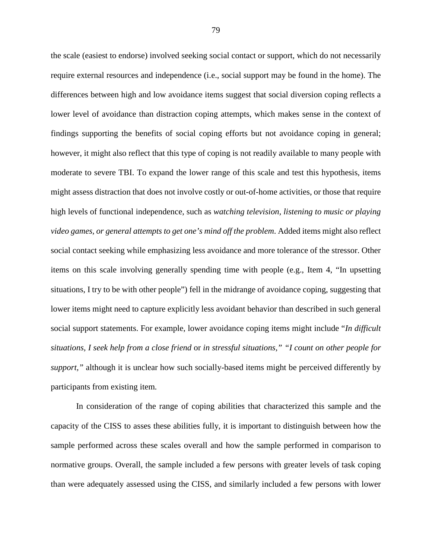the scale (easiest to endorse) involved seeking social contact or support, which do not necessarily require external resources and independence (i.e., social support may be found in the home). The differences between high and low avoidance items suggest that social diversion coping reflects a lower level of avoidance than distraction coping attempts, which makes sense in the context of findings supporting the benefits of social coping efforts but not avoidance coping in general; however, it might also reflect that this type of coping is not readily available to many people with moderate to severe TBI. To expand the lower range of this scale and test this hypothesis, items might assess distraction that does not involve costly or out-of-home activities, or those that require high levels of functional independence, such as *watching television, listening to music or playing video games, or general attempts to get one's mind off the problem*. Added items might also reflect social contact seeking while emphasizing less avoidance and more tolerance of the stressor. Other items on this scale involving generally spending time with people (e.g., Item 4, "In upsetting situations, I try to be with other people") fell in the midrange of avoidance coping, suggesting that lower items might need to capture explicitly less avoidant behavior than described in such general social support statements. For example, lower avoidance coping items might include "*In difficult situations, I seek help from a close friend* or *in stressful situations," "I count on other people for support,"* although it is unclear how such socially-based items might be perceived differently by participants from existing item*.* 

In consideration of the range of coping abilities that characterized this sample and the capacity of the CISS to asses these abilities fully, it is important to distinguish between how the sample performed across these scales overall and how the sample performed in comparison to normative groups. Overall, the sample included a few persons with greater levels of task coping than were adequately assessed using the CISS, and similarly included a few persons with lower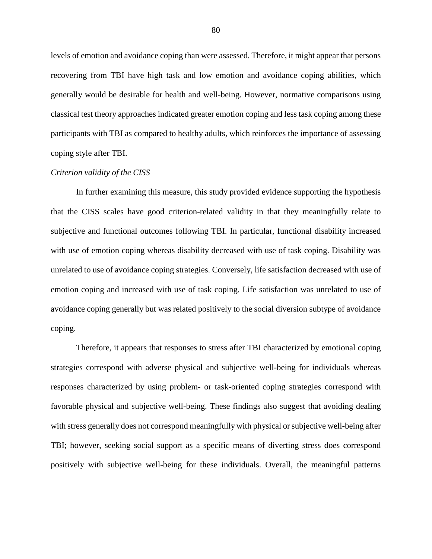levels of emotion and avoidance coping than were assessed. Therefore, it might appear that persons recovering from TBI have high task and low emotion and avoidance coping abilities, which generally would be desirable for health and well-being. However, normative comparisons using classical test theory approaches indicated greater emotion coping and less task coping among these participants with TBI as compared to healthy adults, which reinforces the importance of assessing coping style after TBI.

## *Criterion validity of the CISS*

In further examining this measure, this study provided evidence supporting the hypothesis that the CISS scales have good criterion-related validity in that they meaningfully relate to subjective and functional outcomes following TBI. In particular, functional disability increased with use of emotion coping whereas disability decreased with use of task coping. Disability was unrelated to use of avoidance coping strategies. Conversely, life satisfaction decreased with use of emotion coping and increased with use of task coping. Life satisfaction was unrelated to use of avoidance coping generally but was related positively to the social diversion subtype of avoidance coping.

Therefore, it appears that responses to stress after TBI characterized by emotional coping strategies correspond with adverse physical and subjective well-being for individuals whereas responses characterized by using problem- or task-oriented coping strategies correspond with favorable physical and subjective well-being. These findings also suggest that avoiding dealing with stress generally does not correspond meaningfully with physical or subjective well-being after TBI; however, seeking social support as a specific means of diverting stress does correspond positively with subjective well-being for these individuals. Overall, the meaningful patterns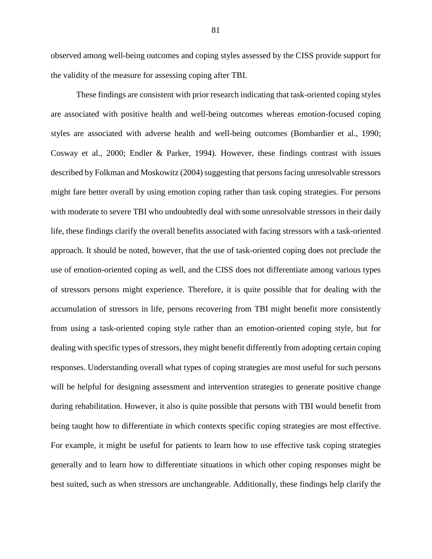observed among well-being outcomes and coping styles assessed by the CISS provide support for the validity of the measure for assessing coping after TBI.

These findings are consistent with prior research indicating that task-oriented coping styles are associated with positive health and well-being outcomes whereas emotion-focused coping styles are associated with adverse health and well-being outcomes (Bombardier et al., 1990; Cosway et al., 2000; Endler & Parker, 1994). However, these findings contrast with issues described by Folkman and Moskowitz (2004) suggesting that persons facing unresolvable stressors might fare better overall by using emotion coping rather than task coping strategies. For persons with moderate to severe TBI who undoubtedly deal with some unresolvable stressors in their daily life, these findings clarify the overall benefits associated with facing stressors with a task-oriented approach. It should be noted, however, that the use of task-oriented coping does not preclude the use of emotion-oriented coping as well, and the CISS does not differentiate among various types of stressors persons might experience. Therefore, it is quite possible that for dealing with the accumulation of stressors in life, persons recovering from TBI might benefit more consistently from using a task-oriented coping style rather than an emotion-oriented coping style, but for dealing with specific types of stressors, they might benefit differently from adopting certain coping responses. Understanding overall what types of coping strategies are most useful for such persons will be helpful for designing assessment and intervention strategies to generate positive change during rehabilitation. However, it also is quite possible that persons with TBI would benefit from being taught how to differentiate in which contexts specific coping strategies are most effective. For example, it might be useful for patients to learn how to use effective task coping strategies generally and to learn how to differentiate situations in which other coping responses might be best suited, such as when stressors are unchangeable. Additionally, these findings help clarify the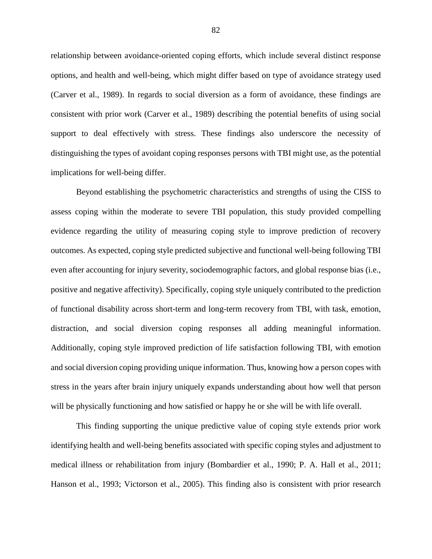relationship between avoidance-oriented coping efforts, which include several distinct response options, and health and well-being, which might differ based on type of avoidance strategy used (Carver et al., 1989). In regards to social diversion as a form of avoidance, these findings are consistent with prior work (Carver et al., 1989) describing the potential benefits of using social support to deal effectively with stress. These findings also underscore the necessity of distinguishing the types of avoidant coping responses persons with TBI might use, as the potential implications for well-being differ.

Beyond establishing the psychometric characteristics and strengths of using the CISS to assess coping within the moderate to severe TBI population, this study provided compelling evidence regarding the utility of measuring coping style to improve prediction of recovery outcomes. As expected, coping style predicted subjective and functional well-being following TBI even after accounting for injury severity, sociodemographic factors, and global response bias (i.e., positive and negative affectivity). Specifically, coping style uniquely contributed to the prediction of functional disability across short-term and long-term recovery from TBI, with task, emotion, distraction, and social diversion coping responses all adding meaningful information. Additionally, coping style improved prediction of life satisfaction following TBI, with emotion and social diversion coping providing unique information. Thus, knowing how a person copes with stress in the years after brain injury uniquely expands understanding about how well that person will be physically functioning and how satisfied or happy he or she will be with life overall.

 This finding supporting the unique predictive value of coping style extends prior work identifying health and well-being benefits associated with specific coping styles and adjustment to medical illness or rehabilitation from injury (Bombardier et al., 1990; P. A. Hall et al., 2011; Hanson et al., 1993; Victorson et al., 2005). This finding also is consistent with prior research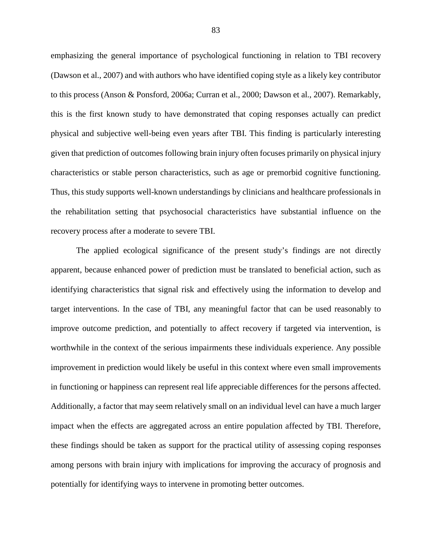emphasizing the general importance of psychological functioning in relation to TBI recovery (Dawson et al., 2007) and with authors who have identified coping style as a likely key contributor to this process (Anson & Ponsford, 2006a; Curran et al., 2000; Dawson et al., 2007). Remarkably, this is the first known study to have demonstrated that coping responses actually can predict physical and subjective well-being even years after TBI. This finding is particularly interesting given that prediction of outcomes following brain injury often focuses primarily on physical injury characteristics or stable person characteristics, such as age or premorbid cognitive functioning. Thus, this study supports well-known understandings by clinicians and healthcare professionals in the rehabilitation setting that psychosocial characteristics have substantial influence on the recovery process after a moderate to severe TBI.

 The applied ecological significance of the present study's findings are not directly apparent, because enhanced power of prediction must be translated to beneficial action, such as identifying characteristics that signal risk and effectively using the information to develop and target interventions. In the case of TBI, any meaningful factor that can be used reasonably to improve outcome prediction, and potentially to affect recovery if targeted via intervention, is worthwhile in the context of the serious impairments these individuals experience. Any possible improvement in prediction would likely be useful in this context where even small improvements in functioning or happiness can represent real life appreciable differences for the persons affected. Additionally, a factor that may seem relatively small on an individual level can have a much larger impact when the effects are aggregated across an entire population affected by TBI. Therefore, these findings should be taken as support for the practical utility of assessing coping responses among persons with brain injury with implications for improving the accuracy of prognosis and potentially for identifying ways to intervene in promoting better outcomes.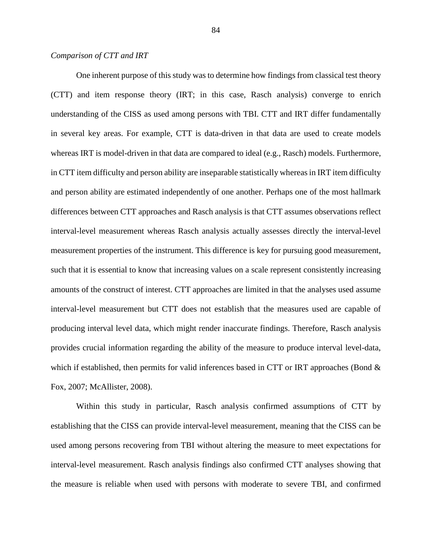## *Comparison of CTT and IRT*

 One inherent purpose of this study was to determine how findings from classical test theory (CTT) and item response theory (IRT; in this case, Rasch analysis) converge to enrich understanding of the CISS as used among persons with TBI. CTT and IRT differ fundamentally in several key areas. For example, CTT is data-driven in that data are used to create models whereas IRT is model-driven in that data are compared to ideal (e.g., Rasch) models. Furthermore, in CTT item difficulty and person ability are inseparable statistically whereas in IRT item difficulty and person ability are estimated independently of one another. Perhaps one of the most hallmark differences between CTT approaches and Rasch analysis is that CTT assumes observations reflect interval-level measurement whereas Rasch analysis actually assesses directly the interval-level measurement properties of the instrument. This difference is key for pursuing good measurement, such that it is essential to know that increasing values on a scale represent consistently increasing amounts of the construct of interest. CTT approaches are limited in that the analyses used assume interval-level measurement but CTT does not establish that the measures used are capable of producing interval level data, which might render inaccurate findings. Therefore, Rasch analysis provides crucial information regarding the ability of the measure to produce interval level-data, which if established, then permits for valid inferences based in CTT or IRT approaches (Bond  $\&$ Fox, 2007; McAllister, 2008).

Within this study in particular, Rasch analysis confirmed assumptions of CTT by establishing that the CISS can provide interval-level measurement, meaning that the CISS can be used among persons recovering from TBI without altering the measure to meet expectations for interval-level measurement. Rasch analysis findings also confirmed CTT analyses showing that the measure is reliable when used with persons with moderate to severe TBI, and confirmed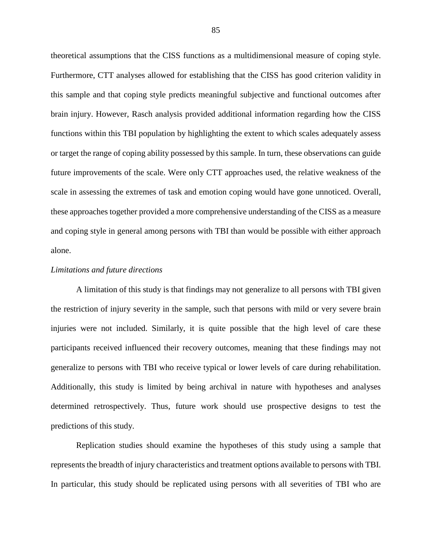theoretical assumptions that the CISS functions as a multidimensional measure of coping style. Furthermore, CTT analyses allowed for establishing that the CISS has good criterion validity in this sample and that coping style predicts meaningful subjective and functional outcomes after brain injury. However, Rasch analysis provided additional information regarding how the CISS functions within this TBI population by highlighting the extent to which scales adequately assess or target the range of coping ability possessed by this sample. In turn, these observations can guide future improvements of the scale. Were only CTT approaches used, the relative weakness of the scale in assessing the extremes of task and emotion coping would have gone unnoticed. Overall, these approaches together provided a more comprehensive understanding of the CISS as a measure and coping style in general among persons with TBI than would be possible with either approach alone.

#### *Limitations and future directions*

A limitation of this study is that findings may not generalize to all persons with TBI given the restriction of injury severity in the sample, such that persons with mild or very severe brain injuries were not included. Similarly, it is quite possible that the high level of care these participants received influenced their recovery outcomes, meaning that these findings may not generalize to persons with TBI who receive typical or lower levels of care during rehabilitation. Additionally, this study is limited by being archival in nature with hypotheses and analyses determined retrospectively. Thus, future work should use prospective designs to test the predictions of this study.

 Replication studies should examine the hypotheses of this study using a sample that represents the breadth of injury characteristics and treatment options available to persons with TBI. In particular, this study should be replicated using persons with all severities of TBI who are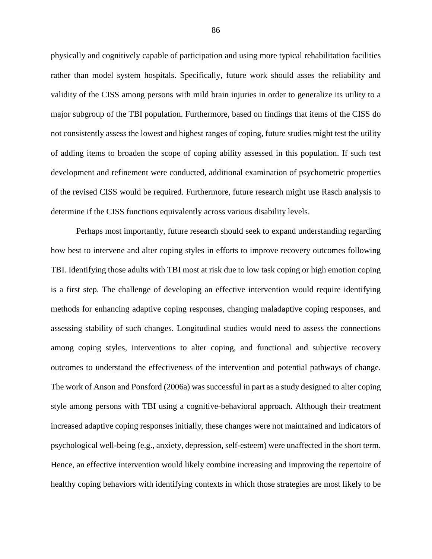physically and cognitively capable of participation and using more typical rehabilitation facilities rather than model system hospitals. Specifically, future work should asses the reliability and validity of the CISS among persons with mild brain injuries in order to generalize its utility to a major subgroup of the TBI population. Furthermore, based on findings that items of the CISS do not consistently assess the lowest and highest ranges of coping, future studies might test the utility of adding items to broaden the scope of coping ability assessed in this population. If such test development and refinement were conducted, additional examination of psychometric properties of the revised CISS would be required. Furthermore, future research might use Rasch analysis to determine if the CISS functions equivalently across various disability levels.

Perhaps most importantly, future research should seek to expand understanding regarding how best to intervene and alter coping styles in efforts to improve recovery outcomes following TBI. Identifying those adults with TBI most at risk due to low task coping or high emotion coping is a first step. The challenge of developing an effective intervention would require identifying methods for enhancing adaptive coping responses, changing maladaptive coping responses, and assessing stability of such changes. Longitudinal studies would need to assess the connections among coping styles, interventions to alter coping, and functional and subjective recovery outcomes to understand the effectiveness of the intervention and potential pathways of change. The work of Anson and Ponsford (2006a) was successful in part as a study designed to alter coping style among persons with TBI using a cognitive-behavioral approach. Although their treatment increased adaptive coping responses initially, these changes were not maintained and indicators of psychological well-being (e.g., anxiety, depression, self-esteem) were unaffected in the short term. Hence, an effective intervention would likely combine increasing and improving the repertoire of healthy coping behaviors with identifying contexts in which those strategies are most likely to be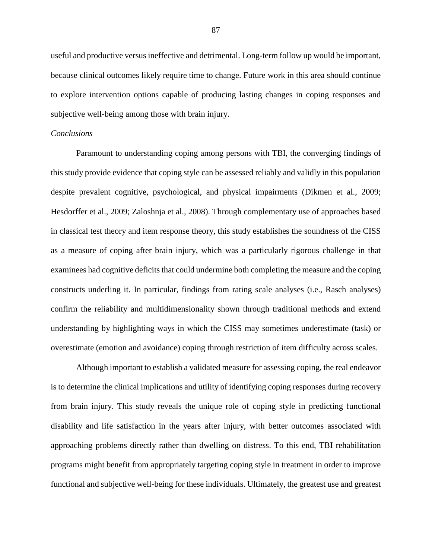useful and productive versus ineffective and detrimental. Long-term follow up would be important, because clinical outcomes likely require time to change. Future work in this area should continue to explore intervention options capable of producing lasting changes in coping responses and subjective well-being among those with brain injury.

#### *Conclusions*

Paramount to understanding coping among persons with TBI, the converging findings of this study provide evidence that coping style can be assessed reliably and validly in this population despite prevalent cognitive, psychological, and physical impairments (Dikmen et al., 2009; Hesdorffer et al., 2009; Zaloshnja et al., 2008). Through complementary use of approaches based in classical test theory and item response theory, this study establishes the soundness of the CISS as a measure of coping after brain injury, which was a particularly rigorous challenge in that examinees had cognitive deficits that could undermine both completing the measure and the coping constructs underling it. In particular, findings from rating scale analyses (i.e., Rasch analyses) confirm the reliability and multidimensionality shown through traditional methods and extend understanding by highlighting ways in which the CISS may sometimes underestimate (task) or overestimate (emotion and avoidance) coping through restriction of item difficulty across scales.

Although important to establish a validated measure for assessing coping, the real endeavor is to determine the clinical implications and utility of identifying coping responses during recovery from brain injury. This study reveals the unique role of coping style in predicting functional disability and life satisfaction in the years after injury, with better outcomes associated with approaching problems directly rather than dwelling on distress. To this end, TBI rehabilitation programs might benefit from appropriately targeting coping style in treatment in order to improve functional and subjective well-being for these individuals. Ultimately, the greatest use and greatest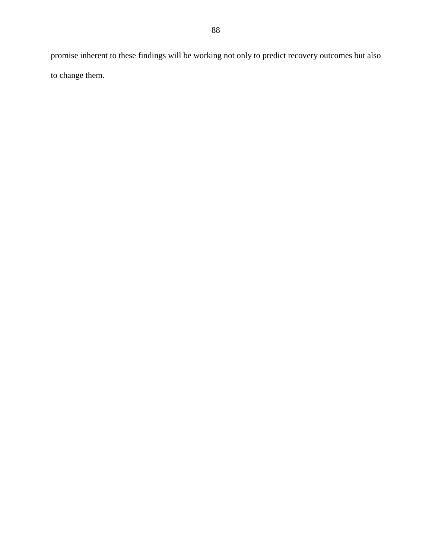promise inherent to these findings will be working not only to predict recovery outcomes but also to change them.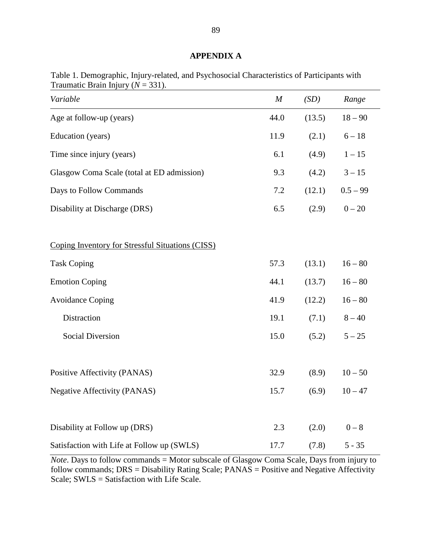# **APPENDIX A**

| Variable                                         | $\boldsymbol{M}$ | (SD)   | Range      |
|--------------------------------------------------|------------------|--------|------------|
| Age at follow-up (years)                         | 44.0             | (13.5) | $18 - 90$  |
| Education (years)                                | 11.9             | (2.1)  | $6 - 18$   |
| Time since injury (years)                        | 6.1              | (4.9)  | $1-15\,$   |
| Glasgow Coma Scale (total at ED admission)       | 9.3              | (4.2)  | $3 - 15$   |
| Days to Follow Commands                          | 7.2              | (12.1) | $0.5 - 99$ |
| Disability at Discharge (DRS)                    | 6.5              | (2.9)  | $0 - 20$   |
| Coping Inventory for Stressful Situations (CISS) |                  |        |            |
| <b>Task Coping</b>                               | 57.3             | (13.1) | $16 - 80$  |
| <b>Emotion Coping</b>                            | 44.1             | (13.7) | $16 - 80$  |
| <b>Avoidance Coping</b>                          | 41.9             | (12.2) | $16 - 80$  |
| Distraction                                      | 19.1             | (7.1)  | $8 - 40$   |
| <b>Social Diversion</b>                          | 15.0             | (5.2)  | $5 - 25$   |
| Positive Affectivity (PANAS)                     | 32.9             | (8.9)  | $10 - 50$  |
| <b>Negative Affectivity (PANAS)</b>              | 15.7             | (6.9)  | $10 - 47$  |
| Disability at Follow up (DRS)                    | 2.3              | (2.0)  | $0-8$      |
| Satisfaction with Life at Follow up (SWLS)       | 17.7             | (7.8)  | $5 - 35$   |

Table 1. Demographic, Injury-related, and Psychosocial Characteristics of Participants with Traumatic Brain Injury  $(N = 331)$ .

*Note*. Days to follow commands = Motor subscale of Glasgow Coma Scale, Days from injury to follow commands;  $DRS =$  Disability Rating Scale;  $PANAS =$  Positive and Negative Affectivity Scale; SWLS = Satisfaction with Life Scale.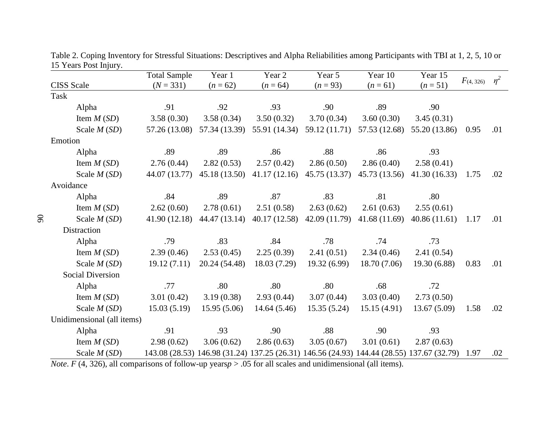|                            | <b>Total Sample</b> | Year 1        | Year 2                                                                                    | Year 5        | Year 10       | Year 15       |                | $\eta^2$ |
|----------------------------|---------------------|---------------|-------------------------------------------------------------------------------------------|---------------|---------------|---------------|----------------|----------|
| <b>CISS</b> Scale          | $(N = 331)$         | $(n = 62)$    | $(n = 64)$                                                                                | $(n = 93)$    | $(n = 61)$    | $(n=51)$      | $F_{(4, 326)}$ |          |
| <b>Task</b>                |                     |               |                                                                                           |               |               |               |                |          |
| Alpha                      | .91                 | .92           | .93                                                                                       | .90           | .89           | .90           |                |          |
| Item $M(SD)$               | 3.58(0.30)          | 3.58(0.34)    | 3.50(0.32)                                                                                | 3.70(0.34)    | 3.60(0.30)    | 3.45(0.31)    |                |          |
| Scale $M(SD)$              | 57.26 (13.08)       | 57.34 (13.39) | 55.91 (14.34)                                                                             | 59.12 (11.71) | 57.53 (12.68) | 55.20 (13.86) | 0.95           | .01      |
| Emotion                    |                     |               |                                                                                           |               |               |               |                |          |
| Alpha                      | .89                 | .89           | .86                                                                                       | .88           | .86           | .93           |                |          |
| Item $M(SD)$               | 2.76(0.44)          | 2.82(0.53)    | 2.57(0.42)                                                                                | 2.86(0.50)    | 2.86(0.40)    | 2.58(0.41)    |                |          |
| Scale $M(SD)$              | 44.07 (13.77)       | 45.18 (13.50) | 41.17(12.16)                                                                              | 45.75 (13.37) | 45.73 (13.56) | 41.30(16.33)  | 1.75           | .02      |
| Avoidance                  |                     |               |                                                                                           |               |               |               |                |          |
| Alpha                      | .84                 | .89           | .87                                                                                       | .83           | .81           | .80           |                |          |
| Item $M(SD)$               | 2.62(0.60)          | 2.78(0.61)    | 2.51(0.58)                                                                                | 2.63(0.62)    | 2.61(0.63)    | 2.55(0.61)    |                |          |
| Scale $M(SD)$              | 41.90(12.18)        | 44.47 (13.14) | 40.17(12.58)                                                                              | 42.09 (11.79) | 41.68(11.69)  | 40.86(11.61)  | 1.17           | .01      |
| Distraction                |                     |               |                                                                                           |               |               |               |                |          |
| Alpha                      | .79                 | .83           | .84                                                                                       | .78           | .74           | .73           |                |          |
| Item $M(SD)$               | 2.39(0.46)          | 2.53(0.45)    | 2.25(0.39)                                                                                | 2.41(0.51)    | 2.34(0.46)    | 2.41(0.54)    |                |          |
| Scale $M(SD)$              | 19.12(7.11)         | 20.24 (54.48) | 18.03 (7.29)                                                                              | 19.32(6.99)   | 18.70 (7.06)  | 19.30(6.88)   | 0.83           | .01      |
| <b>Social Diversion</b>    |                     |               |                                                                                           |               |               |               |                |          |
| Alpha                      | .77                 | .80           | .80                                                                                       | .80           | .68           | .72           |                |          |
| Item $M(SD)$               | 3.01(0.42)          | 3.19(0.38)    | 2.93(0.44)                                                                                | 3.07(0.44)    | 3.03(0.40)    | 2.73(0.50)    |                |          |
| Scale $M(SD)$              | 15.03(5.19)         | 15.95(5.06)   | 14.64(5.46)                                                                               | 15.35(5.24)   | 15.15(4.91)   | 13.67(5.09)   | 1.58           | .02      |
| Unidimensional (all items) |                     |               |                                                                                           |               |               |               |                |          |
| Alpha                      | .91                 | .93           | .90                                                                                       | .88           | .90           | .93           |                |          |
| Item $M(SD)$               | 2.98(0.62)          | 3.06(0.62)    | 2.86(0.63)                                                                                | 3.05(0.67)    | 3.01(0.61)    | 2.87(0.63)    |                |          |
| Scale $M(SD)$              |                     |               | 143.08 (28.53) 146.98 (31.24) 137.25 (26.31) 146.56 (24.93) 144.44 (28.55) 137.67 (32.79) |               |               |               | 1.97           | .02      |

Table 2. Coping Inventory for Stressful Situations: Descriptives and Alpha Reliabilities among Participants with TBI at 1, 2, 5, 10 or 15 Years Post Injury.

*Note. F* (4, 326), all comparisons of follow-up years $p > .05$  for all scales and unidimensional (all items).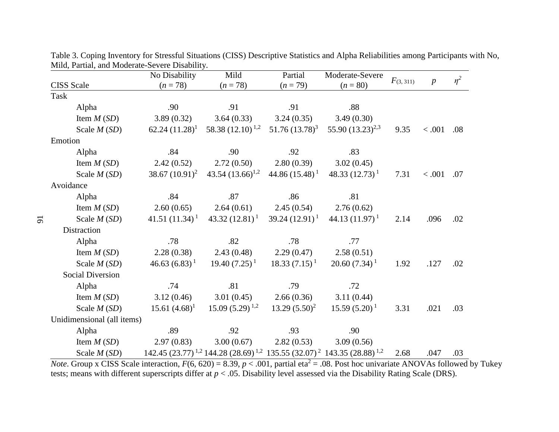|                            | No Disability     | Mild                                      | Partial            | Moderate-Severe                                                                     |               |                  | $\eta^2$ |
|----------------------------|-------------------|-------------------------------------------|--------------------|-------------------------------------------------------------------------------------|---------------|------------------|----------|
| <b>CISS</b> Scale          | $(n = 78)$        | $(n=78)$                                  | $(n = 79)$         | $(n = 80)$                                                                          | $F_{(3,311)}$ | $\boldsymbol{p}$ |          |
| <b>Task</b>                |                   |                                           |                    |                                                                                     |               |                  |          |
| Alpha                      | .90               | .91                                       | .91                | .88                                                                                 |               |                  |          |
| Item $M(SD)$               | 3.89(0.32)        | 3.64(0.33)                                | 3.24(0.35)         | 3.49(0.30)                                                                          |               |                  |          |
| Scale $M(SD)$              | 62.24 $(11.28)^1$ | 58.38 $(12.10)^{1,2}$                     | $51.76(13.78)^3$   | 55.90 $(13.23)^{2,3}$                                                               | 9.35          | < .001           | .08      |
| Emotion                    |                   |                                           |                    |                                                                                     |               |                  |          |
| Alpha                      | .84               | .90                                       | .92                | .83                                                                                 |               |                  |          |
| Item $M(SD)$               | 2.42(0.52)        | 2.72(0.50)                                | 2.80(0.39)         | 3.02(0.45)                                                                          |               |                  |          |
| Scale $M(SD)$              | 38.67 $(10.91)^2$ | 43.54 $(13.66)^{1,2}$ 44.86 $(15.48)^{1}$ |                    | 48.33 $(12.73)^1$                                                                   | 7.31          | < .001           | .07      |
| Avoidance                  |                   |                                           |                    |                                                                                     |               |                  |          |
| Alpha                      | .84               | .87                                       | .86                | .81                                                                                 |               |                  |          |
| Item $M(SD)$               | 2.60(0.65)        | 2.64(0.61)                                | 2.45(0.54)         | 2.76(0.62)                                                                          |               |                  |          |
| Scale $M(SD)$              | 41.51 $(11.34)^1$ | $43.32(12.81)^1$                          | $39.24(12.91)^{1}$ | $44.13(11.97)^1$                                                                    | 2.14          | .096             | .02      |
| Distraction                |                   |                                           |                    |                                                                                     |               |                  |          |
| Alpha                      | .78               | .82                                       | .78                | .77                                                                                 |               |                  |          |
| Item $M(SD)$               | 2.28(0.38)        | 2.43(0.48)                                | 2.29(0.47)         | 2.58(0.51)                                                                          |               |                  |          |
| Scale $M(SD)$              | $46.63(6.83)^1$   | $19.40(7.25)^{1}$                         | $18.33(7.15)^{1}$  | $20.60(7.34)^1$                                                                     | 1.92          | .127             | .02      |
| <b>Social Diversion</b>    |                   |                                           |                    |                                                                                     |               |                  |          |
| Alpha                      | .74               | .81                                       | .79                | .72                                                                                 |               |                  |          |
| Item $M(SD)$               | 3.12(0.46)        | 3.01(0.45)                                | 2.66(0.36)         | 3.11(0.44)                                                                          |               |                  |          |
| Scale $M(SD)$              | $15.61 (4.68)^1$  | $15.09(5.29)^{1,2}$                       | $13.29(5.50)^2$    | $15.59(5.20)^{1}$                                                                   | 3.31          | .021             | .03      |
| Unidimensional (all items) |                   |                                           |                    |                                                                                     |               |                  |          |
| Alpha                      | .89               | .92                                       | .93                | .90                                                                                 |               |                  |          |
| Item $M(SD)$               | 2.97(0.83)        | 3.00(0.67)                                | 2.82(0.53)         | 3.09(0.56)                                                                          |               |                  |          |
| Scale $M(SD)$              |                   |                                           |                    | $142.45 (23.77)^{1,2} 144.28 (28.69)^{1,2} 135.55 (32.07)^{2} 143.35 (28.88)^{1,2}$ | 2.68          | .047             | .03      |

Table 3. Coping Inventory for Stressful Situations (CISS) Descriptive Statistics and Alpha Reliabilities among Participants with No, Mild, Partial, and Moderate-Severe Disability.

*Note*. Group x CISS Scale interaction,  $F(6, 620) = 8.39$ ,  $p < .001$ , partial eta<sup>2</sup> = .08. Post hoc univariate ANOVAs followed by Tukey tests; means with different superscripts differ at *p* < .05. Disability level assessed via the Disability Rating Scale (DRS).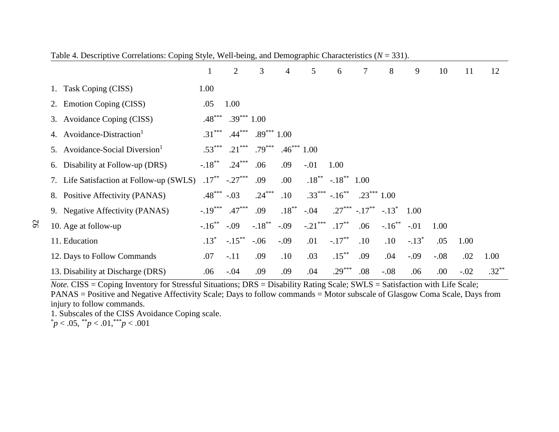|                                            | $\bf{l}$     | $\overline{2}$ | 3            | 4            | 5          | 6                           | 7            | 8                                 | 9       | 10     | 11     | 12       |
|--------------------------------------------|--------------|----------------|--------------|--------------|------------|-----------------------------|--------------|-----------------------------------|---------|--------|--------|----------|
| Task Coping (CISS)<br>1.                   | 1.00         |                |              |              |            |                             |              |                                   |         |        |        |          |
| 2. Emotion Coping (CISS)                   | .05          | 1.00           |              |              |            |                             |              |                                   |         |        |        |          |
| 3. Avoidance Coping (CISS)                 | $.48***$     | $.39***1.00$   |              |              |            |                             |              |                                   |         |        |        |          |
| 4. Avoidance-Distraction <sup>1</sup>      | $.31***$     | $.44***$       | $.89***1.00$ |              |            |                             |              |                                   |         |        |        |          |
| 5. Avoidance-Social Diversion <sup>1</sup> | $.53***$     | $.21***$       | $.79***$     | $.46***1.00$ |            |                             |              |                                   |         |        |        |          |
| 6. Disability at Follow-up (DRS)           | $-.18***$    | $.24***$       | .06          | .09          | $-.01$     | 1.00                        |              |                                   |         |        |        |          |
| 7. Life Satisfaction at Follow-up (SWLS)   | $.17***$     | $-.27***$      | .09          | .00          |            | $.18^{**}$ $-.18^{**}$ 1.00 |              |                                   |         |        |        |          |
| 8. Positive Affectivity (PANAS)            | $.48***-.03$ |                | $.24***$     | .10          |            | $.33***$ $-.16***$          | $.23***1.00$ |                                   |         |        |        |          |
| 9. Negative Affectivity (PANAS)            | $-.19***$    | $.47***$       | .09          | $.18***$     | $-.04$     |                             |              | $.27***$ $-.17***$ $-.13*$ $1.00$ |         |        |        |          |
| 10. Age at follow-up                       | $-.16***$    | $-.09$         | $-.18***$    | $-.09$       | $-.21$ *** | $.17***$                    | .06          | $-.16$ **                         | $-.01$  | 1.00   |        |          |
| 11. Education                              | $.13*$       | $-.15***$      | $-.06$       | $-.09$       | .01        | $-.17***$                   | .10          | .10                               | $-.13*$ | .05    | 1.00   |          |
| 12. Days to Follow Commands                | .07          | $-.11$         | .09          | $.10\,$      | .03        | $.15***$                    | .09          | .04                               | $-.09$  | $-.08$ | .02    | 1.00     |
| 13. Disability at Discharge (DRS)          | .06          | $-.04$         | .09          | .09          | .04        | $.29***$                    | .08          | $-.08$                            | .06     | .00.   | $-.02$ | $.32***$ |

Table 4. Descriptive Correlations: Coping Style, Well-being, and Demographic Characteristics (*N* = 331).

*Note.* CISS = Coping Inventory for Stressful Situations; DRS = Disability Rating Scale; SWLS = Satisfaction with Life Scale; PANAS = Positive and Negative Affectivity Scale; Days to follow commands = Motor subscale of Glasgow Coma Scale, Days from injury to follow commands.

1. Subscales of the CISS Avoidance Coping scale.<br>  $\frac{p}{p} < .05, \frac{p}{p} < .01, \frac{p}{p} < .001$ 

92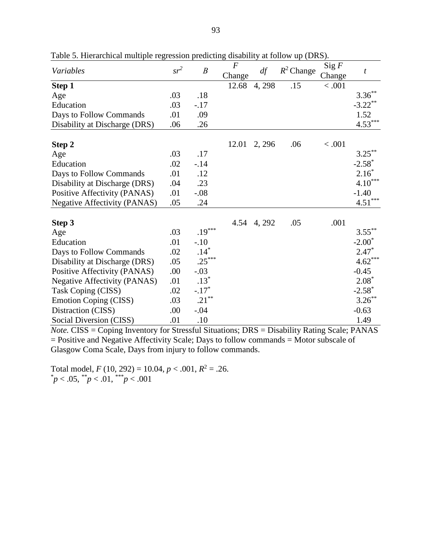| Variables                           | $sr^2$     | $\boldsymbol{B}$ | $\boldsymbol{F}$<br>Change | df          | $R^2$ Change | Sig F<br>Change | $\boldsymbol{t}$     |
|-------------------------------------|------------|------------------|----------------------------|-------------|--------------|-----------------|----------------------|
| Step 1                              |            |                  | 12.68                      | 4,298       | .15          | < .001          |                      |
| Age                                 | .03        | .18              |                            |             |              |                 | $3.36***$            |
| Education                           | .03        | $-.17$           |                            |             |              |                 | $-3.22$ **           |
| Days to Follow Commands             | .01        | .09              |                            |             |              |                 | 1.52                 |
| Disability at Discharge (DRS)       | .06        | .26              |                            |             |              |                 | $4.53***$            |
| Step 2                              |            |                  | 12.01                      | 2, 296      | .06          | < .001          |                      |
| Age                                 | .03        | .17              |                            |             |              |                 | $3.25***$            |
| Education                           | .02        | $-.14$           |                            |             |              |                 | $-2.58$ <sup>*</sup> |
| Days to Follow Commands             | .01        | .12              |                            |             |              |                 | $2.16*$              |
| Disability at Discharge (DRS)       | .04        | .23              |                            |             |              |                 | $4.10***$            |
| Positive Affectivity (PANAS)        | .01        | $-.08$           |                            |             |              |                 | $-1.40$              |
| <b>Negative Affectivity (PANAS)</b> | .05        | .24              |                            |             |              |                 | $4.51***$            |
|                                     |            |                  |                            |             |              |                 |                      |
| Step 3                              | .03        | $.19***$         |                            | 4.54 4, 292 | .05          | .001            | $3.55***$            |
| Age                                 | .01        |                  |                            |             |              |                 | $-2.00*$             |
| Education                           |            | $-.10$<br>$.14*$ |                            |             |              |                 | $2.47*$              |
| Days to Follow Commands             | .02<br>.05 | $.25***$         |                            |             |              |                 | $4.62***$            |
| Disability at Discharge (DRS)       |            |                  |                            |             |              |                 |                      |
| Positive Affectivity (PANAS)        | .00        | $-.03$<br>$.13*$ |                            |             |              |                 | $-0.45$<br>$2.08*$   |
| <b>Negative Affectivity (PANAS)</b> | .01        | $-.17*$          |                            |             |              |                 | $-2.58^*$            |
| Task Coping (CISS)                  | .02        | $.21***$         |                            |             |              |                 | $3.26***$            |
| <b>Emotion Coping (CISS)</b>        | .03        |                  |                            |             |              |                 |                      |
| Distraction (CISS)                  | .00        | $-.04$           |                            |             |              |                 | $-0.63$              |
| Social Diversion (CISS)             | .01        | .10              |                            |             |              |                 | 1.49                 |

Table 5. Hierarchical multiple regression predicting disability at follow up (DRS).

*Note.* CISS = Coping Inventory for Stressful Situations; DRS = Disability Rating Scale; PANAS = Positive and Negative Affectivity Scale; Days to follow commands = Motor subscale of Glasgow Coma Scale, Days from injury to follow commands.

Total model,  $F(10, 292) = 10.04, p < .001, R^2 = .26$ .  $p < .05,$  \*\* $p < .01,$  \*\*\* $p < .001$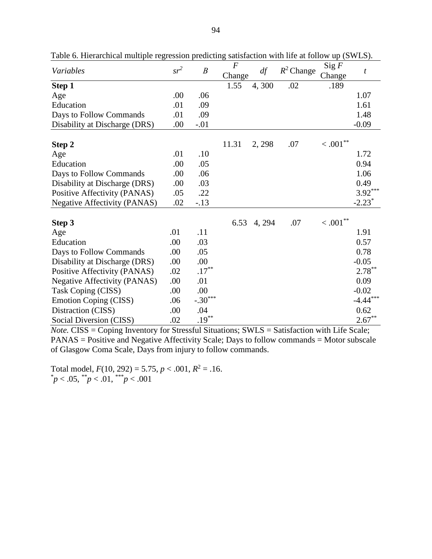| Variables                           | $sr^2$ | $\boldsymbol{B}$ | $\overline{F}$<br>Change | df     | $R^2$ Change | Sig F<br>Change       | t                    |
|-------------------------------------|--------|------------------|--------------------------|--------|--------------|-----------------------|----------------------|
| Step 1                              |        |                  | 1.55                     | 4,300  | .02          | .189                  |                      |
| Age                                 | .00    | .06              |                          |        |              |                       | 1.07                 |
| Education                           | .01    | .09              |                          |        |              |                       | 1.61                 |
| Days to Follow Commands             | .01    | .09              |                          |        |              |                       | 1.48                 |
| Disability at Discharge (DRS)       | .00    | $-.01$           |                          |        |              |                       | $-0.09$              |
| Step 2                              |        |                  | 11.31                    | 2, 298 | .07          | $<.001^{**}$          |                      |
| Age                                 | .01    | .10              |                          |        |              |                       | 1.72                 |
| Education                           | .00    | .05              |                          |        |              |                       | 0.94                 |
| Days to Follow Commands             | .00    | .06              |                          |        |              |                       | 1.06                 |
| Disability at Discharge (DRS)       | .00    | .03              |                          |        |              |                       | 0.49                 |
| Positive Affectivity (PANAS)        | .05    | .22              |                          |        |              |                       | $3.92***$            |
| <b>Negative Affectivity (PANAS)</b> | .02    | $-.13$           |                          |        |              |                       | $-2.23$ <sup>*</sup> |
| Step 3                              |        |                  | 6.53                     | 4, 294 | .07          | $<$ $.001^{\ast\ast}$ |                      |
| Age                                 | .01    | .11              |                          |        |              |                       | 1.91                 |
| Education                           | .00    | .03              |                          |        |              |                       | 0.57                 |
| Days to Follow Commands             | .00    | .05              |                          |        |              |                       | 0.78                 |
| Disability at Discharge (DRS)       | .00    | .00              |                          |        |              |                       | $-0.05$              |
| Positive Affectivity (PANAS)        | .02    | $.17***$         |                          |        |              |                       | $2.78***$            |
| <b>Negative Affectivity (PANAS)</b> | .00    | .01              |                          |        |              |                       | 0.09                 |
| Task Coping (CISS)                  | .00.   | .00              |                          |        |              |                       | $-0.02$              |
| <b>Emotion Coping (CISS)</b>        | .06    | $-.30***$        |                          |        |              |                       | $-4.44***$           |
| Distraction (CISS)                  | .00    | .04              |                          |        |              |                       | 0.62                 |
| Social Diversion (CISS)             | .02    | $.19***$         |                          |        |              |                       | $2.67***$            |

Table 6. Hierarchical multiple regression predicting satisfaction with life at follow up (SWLS).

*Note.* CISS = Coping Inventory for Stressful Situations; SWLS = Satisfaction with Life Scale; PANAS = Positive and Negative Affectivity Scale; Days to follow commands = Motor subscale of Glasgow Coma Scale, Days from injury to follow commands.

Total model,  $F(10, 292) = 5.75, p < .001, R^2 = .16$ . \* *p* < .05, \*\**p* < .01, \*\*\**p* < .001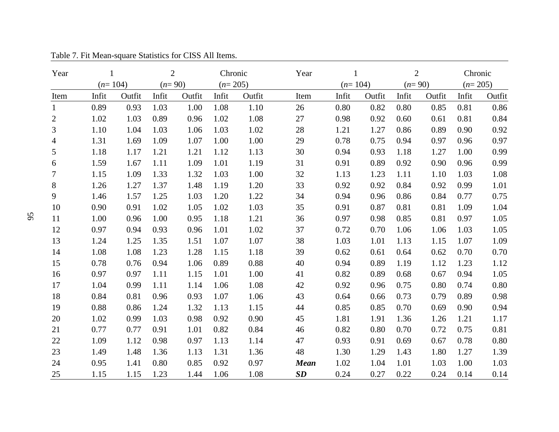| Year           | $\mathbf{1}$ |        | $\overline{2}$ |        | Chronic   |        | Year        | $\mathbf{1}$ |        | $\overline{2}$ |        | Chronic   |          |
|----------------|--------------|--------|----------------|--------|-----------|--------|-------------|--------------|--------|----------------|--------|-----------|----------|
|                | $(n=104)$    |        | $(n=90)$       |        | $(n=205)$ |        |             | $(n=104)$    |        | $(n=90)$       |        | $(n=205)$ |          |
| Item           | Infit        | Outfit | Infit          | Outfit | Infit     | Outfit | Item        | Infit        | Outfit | Infit          | Outfit | Infit     | Outfit   |
| $\mathbf{1}$   | 0.89         | 0.93   | 1.03           | 1.00   | 1.08      | 1.10   | 26          | 0.80         | 0.82   | 0.80           | 0.85   | 0.81      | 0.86     |
| $\overline{c}$ | 1.02         | 1.03   | 0.89           | 0.96   | 1.02      | 1.08   | 27          | 0.98         | 0.92   | 0.60           | 0.61   | 0.81      | 0.84     |
| 3              | 1.10         | 1.04   | 1.03           | 1.06   | 1.03      | 1.02   | 28          | 1.21         | 1.27   | 0.86           | 0.89   | 0.90      | 0.92     |
| 4              | 1.31         | 1.69   | 1.09           | 1.07   | 1.00      | 1.00   | 29          | 0.78         | 0.75   | 0.94           | 0.97   | 0.96      | 0.97     |
| 5              | 1.18         | 1.17   | 1.21           | 1.21   | 1.12      | 1.13   | 30          | 0.94         | 0.93   | 1.18           | 1.27   | 1.00      | 0.99     |
| 6              | 1.59         | 1.67   | 1.11           | 1.09   | 1.01      | 1.19   | 31          | 0.91         | 0.89   | 0.92           | 0.90   | 0.96      | 0.99     |
| 7              | 1.15         | 1.09   | 1.33           | 1.32   | 1.03      | 1.00   | 32          | 1.13         | 1.23   | 1.11           | 1.10   | 1.03      | 1.08     |
| 8              | 1.26         | 1.27   | 1.37           | 1.48   | 1.19      | 1.20   | 33          | 0.92         | 0.92   | 0.84           | 0.92   | 0.99      | 1.01     |
| 9              | 1.46         | 1.57   | 1.25           | 1.03   | 1.20      | 1.22   | 34          | 0.94         | 0.96   | 0.86           | 0.84   | 0.77      | 0.75     |
| 10             | 0.90         | 0.91   | 1.02           | 1.05   | 1.02      | 1.03   | 35          | 0.91         | 0.87   | 0.81           | 0.81   | 1.09      | 1.04     |
| 11             | 1.00         | 0.96   | 1.00           | 0.95   | 1.18      | 1.21   | 36          | 0.97         | 0.98   | 0.85           | 0.81   | 0.97      | 1.05     |
| 12             | 0.97         | 0.94   | 0.93           | 0.96   | 1.01      | 1.02   | 37          | 0.72         | 0.70   | 1.06           | 1.06   | 1.03      | 1.05     |
| 13             | 1.24         | 1.25   | 1.35           | 1.51   | 1.07      | 1.07   | 38          | 1.03         | 1.01   | 1.13           | 1.15   | 1.07      | 1.09     |
| 14             | 1.08         | 1.08   | 1.23           | 1.28   | 1.15      | 1.18   | 39          | 0.62         | 0.61   | 0.64           | 0.62   | 0.70      | 0.70     |
| 15             | 0.78         | 0.76   | 0.94           | 1.06   | 0.89      | 0.88   | 40          | 0.94         | 0.89   | 1.19           | 1.12   | 1.23      | 1.12     |
| 16             | 0.97         | 0.97   | 1.11           | 1.15   | 1.01      | 1.00   | 41          | 0.82         | 0.89   | 0.68           | 0.67   | 0.94      | 1.05     |
| 17             | 1.04         | 0.99   | 1.11           | 1.14   | 1.06      | 1.08   | 42          | 0.92         | 0.96   | 0.75           | 0.80   | 0.74      | $0.80\,$ |
| 18             | 0.84         | 0.81   | 0.96           | 0.93   | 1.07      | 1.06   | 43          | 0.64         | 0.66   | 0.73           | 0.79   | 0.89      | 0.98     |
| 19             | 0.88         | 0.86   | 1.24           | 1.32   | 1.13      | 1.15   | 44          | 0.85         | 0.85   | 0.70           | 0.69   | 0.90      | 0.94     |
| 20             | 1.02         | 0.99   | 1.03           | 0.98   | 0.92      | 0.90   | 45          | 1.81         | 1.91   | 1.36           | 1.26   | 1.21      | 1.17     |
| 21             | 0.77         | 0.77   | 0.91           | 1.01   | 0.82      | 0.84   | 46          | 0.82         | 0.80   | 0.70           | 0.72   | 0.75      | 0.81     |
| 22             | 1.09         | 1.12   | 0.98           | 0.97   | 1.13      | 1.14   | 47          | 0.93         | 0.91   | 0.69           | 0.67   | 0.78      | 0.80     |
| 23             | 1.49         | 1.48   | 1.36           | 1.13   | 1.31      | 1.36   | 48          | 1.30         | 1.29   | 1.43           | 1.80   | 1.27      | 1.39     |
| 24             | 0.95         | 1.41   | 0.80           | 0.85   | 0.92      | 0.97   | <b>Mean</b> | 1.02         | 1.04   | 1.01           | 1.03   | 1.00      | 1.03     |
| 25             | 1.15         | 1.15   | 1.23           | 1.44   | 1.06      | 1.08   | SD          | 0.24         | 0.27   | 0.22           | 0.24   | 0.14      | 0.14     |

Table 7. Fit Mean-square Statistics for CISS All Items.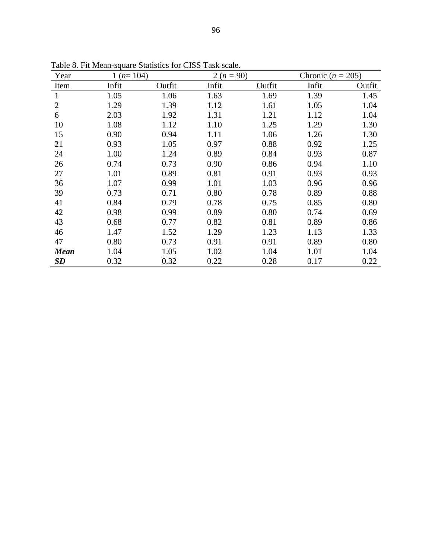| Year           | $1(n=104)$ |        | $2(n = 90)$ |        | Chronic ( $n = 205$ ) |        |
|----------------|------------|--------|-------------|--------|-----------------------|--------|
| Item           | Infit      | Outfit | Infit       | Outfit | Infit                 | Outfit |
| 1              | 1.05       | 1.06   | 1.63        | 1.69   | 1.39                  | 1.45   |
| $\overline{2}$ | 1.29       | 1.39   | 1.12        | 1.61   | 1.05                  | 1.04   |
| 6              | 2.03       | 1.92   | 1.31        | 1.21   | 1.12                  | 1.04   |
| 10             | 1.08       | 1.12   | 1.10        | 1.25   | 1.29                  | 1.30   |
| 15             | 0.90       | 0.94   | 1.11        | 1.06   | 1.26                  | 1.30   |
| 21             | 0.93       | 1.05   | 0.97        | 0.88   | 0.92                  | 1.25   |
| 24             | 1.00       | 1.24   | 0.89        | 0.84   | 0.93                  | 0.87   |
| 26             | 0.74       | 0.73   | 0.90        | 0.86   | 0.94                  | 1.10   |
| 27             | 1.01       | 0.89   | 0.81        | 0.91   | 0.93                  | 0.93   |
| 36             | 1.07       | 0.99   | 1.01        | 1.03   | 0.96                  | 0.96   |
| 39             | 0.73       | 0.71   | 0.80        | 0.78   | 0.89                  | 0.88   |
| 41             | 0.84       | 0.79   | 0.78        | 0.75   | 0.85                  | 0.80   |
| 42             | 0.98       | 0.99   | 0.89        | 0.80   | 0.74                  | 0.69   |
| 43             | 0.68       | 0.77   | 0.82        | 0.81   | 0.89                  | 0.86   |
| 46             | 1.47       | 1.52   | 1.29        | 1.23   | 1.13                  | 1.33   |
| 47             | 0.80       | 0.73   | 0.91        | 0.91   | 0.89                  | 0.80   |
| <b>Mean</b>    | 1.04       | 1.05   | 1.02        | 1.04   | 1.01                  | 1.04   |
| SD             | 0.32       | 0.32   | 0.22        | 0.28   | 0.17                  | 0.22   |

Table 8. Fit Mean-square Statistics for CISS Task scale.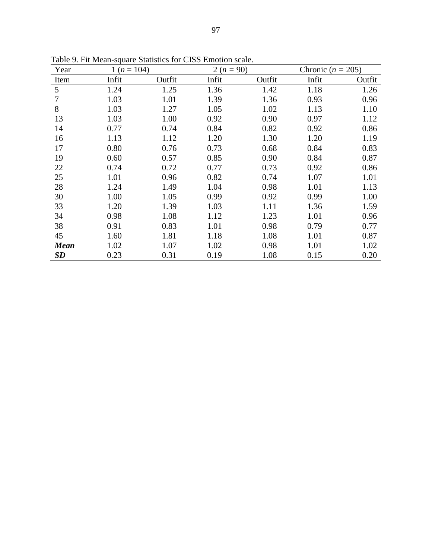| Year        | $1(n=104)$ |        | $2(n = 90)$ |        | Chronic ( $n = 205$ ) |        |
|-------------|------------|--------|-------------|--------|-----------------------|--------|
| Item        | Infit      | Outfit | Infit       | Outfit | Infit                 | Outfit |
| 5           | 1.24       | 1.25   | 1.36        | 1.42   | 1.18                  | 1.26   |
| 7           | 1.03       | 1.01   | 1.39        | 1.36   | 0.93                  | 0.96   |
| 8           | 1.03       | 1.27   | 1.05        | 1.02   | 1.13                  | 1.10   |
| 13          | 1.03       | 1.00   | 0.92        | 0.90   | 0.97                  | 1.12   |
| 14          | 0.77       | 0.74   | 0.84        | 0.82   | 0.92                  | 0.86   |
| 16          | 1.13       | 1.12   | 1.20        | 1.30   | 1.20                  | 1.19   |
| 17          | 0.80       | 0.76   | 0.73        | 0.68   | 0.84                  | 0.83   |
| 19          | 0.60       | 0.57   | 0.85        | 0.90   | 0.84                  | 0.87   |
| 22          | 0.74       | 0.72   | 0.77        | 0.73   | 0.92                  | 0.86   |
| 25          | 1.01       | 0.96   | 0.82        | 0.74   | 1.07                  | 1.01   |
| 28          | 1.24       | 1.49   | 1.04        | 0.98   | 1.01                  | 1.13   |
| 30          | 1.00       | 1.05   | 0.99        | 0.92   | 0.99                  | 1.00   |
| 33          | 1.20       | 1.39   | 1.03        | 1.11   | 1.36                  | 1.59   |
| 34          | 0.98       | 1.08   | 1.12        | 1.23   | 1.01                  | 0.96   |
| 38          | 0.91       | 0.83   | 1.01        | 0.98   | 0.79                  | 0.77   |
| 45          | 1.60       | 1.81   | 1.18        | 1.08   | 1.01                  | 0.87   |
| <b>Mean</b> | 1.02       | 1.07   | 1.02        | 0.98   | 1.01                  | 1.02   |
| <b>SD</b>   | 0.23       | 0.31   | 0.19        | 1.08   | 0.15                  | 0.20   |

Table 9. Fit Mean-square Statistics for CISS Emotion scale.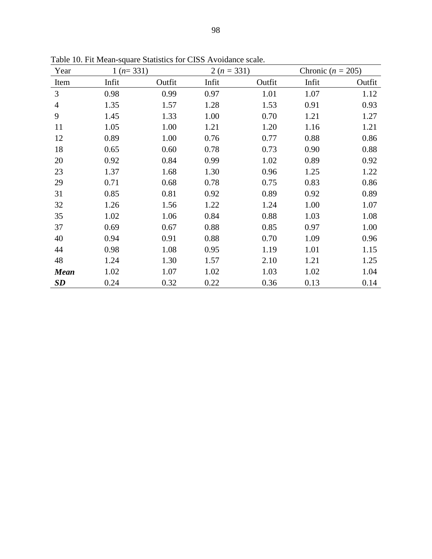| Year           | $1(n=331)$ |        | $2(n=331)$ |        | Chronic ( $n = 205$ ) |        |  |
|----------------|------------|--------|------------|--------|-----------------------|--------|--|
| Item           | Infit      | Outfit | Infit      | Outfit | Infit                 | Outfit |  |
| 3              | 0.98       | 0.99   | 0.97       | 1.01   | 1.07                  | 1.12   |  |
| $\overline{4}$ | 1.35       | 1.57   | 1.28       | 1.53   | 0.91                  | 0.93   |  |
| 9              | 1.45       | 1.33   | 1.00       | 0.70   | 1.21                  | 1.27   |  |
| 11             | 1.05       | 1.00   | 1.21       | 1.20   | 1.16                  | 1.21   |  |
| 12             | 0.89       | 1.00   | 0.76       | 0.77   | 0.88                  | 0.86   |  |
| 18             | 0.65       | 0.60   | 0.78       | 0.73   | 0.90                  | 0.88   |  |
| 20             | 0.92       | 0.84   | 0.99       | 1.02   | 0.89                  | 0.92   |  |
| 23             | 1.37       | 1.68   | 1.30       | 0.96   | 1.25                  | 1.22   |  |
| 29             | 0.71       | 0.68   | 0.78       | 0.75   | 0.83                  | 0.86   |  |
| 31             | 0.85       | 0.81   | 0.92       | 0.89   | 0.92                  | 0.89   |  |
| 32             | 1.26       | 1.56   | 1.22       | 1.24   | 1.00                  | 1.07   |  |
| 35             | 1.02       | 1.06   | 0.84       | 0.88   | 1.03                  | 1.08   |  |
| 37             | 0.69       | 0.67   | 0.88       | 0.85   | 0.97                  | 1.00   |  |
| 40             | 0.94       | 0.91   | 0.88       | 0.70   | 1.09                  | 0.96   |  |
| 44             | 0.98       | 1.08   | 0.95       | 1.19   | 1.01                  | 1.15   |  |
| 48             | 1.24       | 1.30   | 1.57       | 2.10   | 1.21                  | 1.25   |  |
| <b>Mean</b>    | 1.02       | 1.07   | 1.02       | 1.03   | 1.02                  | 1.04   |  |
| SD             | 0.24       | 0.32   | 0.22       | 0.36   | 0.13                  | 0.14   |  |

Table 10. Fit Mean-square Statistics for CISS Avoidance scale.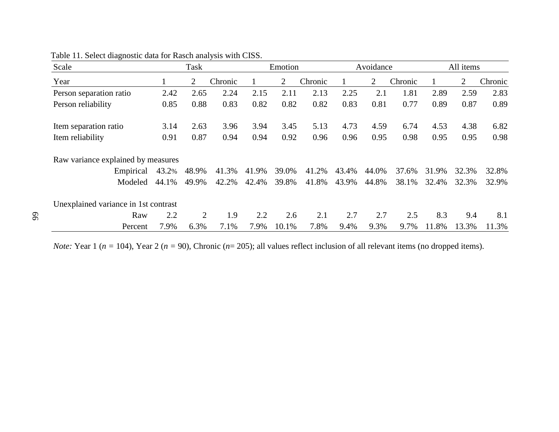| Scale                                |       | <b>Task</b>    |         |       | Emotion        |         |       | Avoidance |         |       | All items |         |
|--------------------------------------|-------|----------------|---------|-------|----------------|---------|-------|-----------|---------|-------|-----------|---------|
| Year                                 |       | 2              | Chronic |       | $\overline{2}$ | Chronic |       | 2         | Chronic |       | 2         | Chronic |
| Person separation ratio              | 2.42  | 2.65           | 2.24    | 2.15  | 2.11           | 2.13    | 2.25  | 2.1       | 1.81    | 2.89  | 2.59      | 2.83    |
| Person reliability                   | 0.85  | 0.88           | 0.83    | 0.82  | 0.82           | 0.82    | 0.83  | 0.81      | 0.77    | 0.89  | 0.87      | 0.89    |
| Item separation ratio                | 3.14  | 2.63           | 3.96    | 3.94  | 3.45           | 5.13    | 4.73  | 4.59      | 6.74    | 4.53  | 4.38      | 6.82    |
| Item reliability                     | 0.91  | 0.87           | 0.94    | 0.94  | 0.92           | 0.96    | 0.96  | 0.95      | 0.98    | 0.95  | 0.95      | 0.98    |
| Raw variance explained by measures   |       |                |         |       |                |         |       |           |         |       |           |         |
| Empirical                            | 43.2% | 48.9%          | 41.3%   | 41.9% | 39.0%          | 41.2%   | 43.4% | 44.0%     | 37.6%   | 31.9% | 32.3%     | 32.8%   |
| Modeled                              | 44.1% | 49.9%          | 42.2%   | 42.4% | 39.8%          | 41.8%   | 43.9% | 44.8%     | 38.1%   | 32.4% | 32.3%     | 32.9%   |
| Unexplained variance in 1st contrast |       |                |         |       |                |         |       |           |         |       |           |         |
| Raw                                  | 2.2   | $\overline{2}$ | 1.9     | 2.2   | 2.6            | 2.1     | 2.7   | 2.7       | 2.5     | 8.3   | 9.4       | 8.1     |
| Percent                              | 7.9%  | 6.3%           | 7.1%    | 7.9%  | 10.1%          | 7.8%    | 9.4%  | 9.3%      | 9.7%    | 11.8% | 13.3%     | 11.3%   |

*Note:* Year 1 (*n =* 104), Year 2 (*n =* 90), Chronic ( *n*= 205); all values reflect inclusion of all relevant items (no dropped items).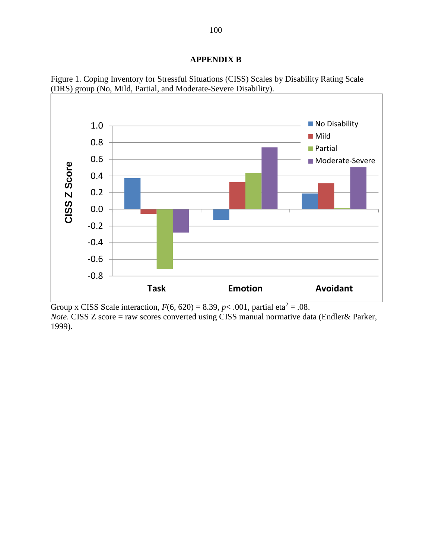# **APPENDIX B**



Figure 1. Coping Inventory for Stressful Situations (CISS) Scales by Disability Rating Scale (DRS) group (No, Mild, Partial, and Moderate-Severe Disability).

Group x CISS Scale interaction,  $F(6, 620) = 8.39$ ,  $p < .001$ , partial eta<sup>2</sup> = .08.

*Note*. CISS Z score = raw scores converted using CISS manual normative data (Endler& Parker, 1999).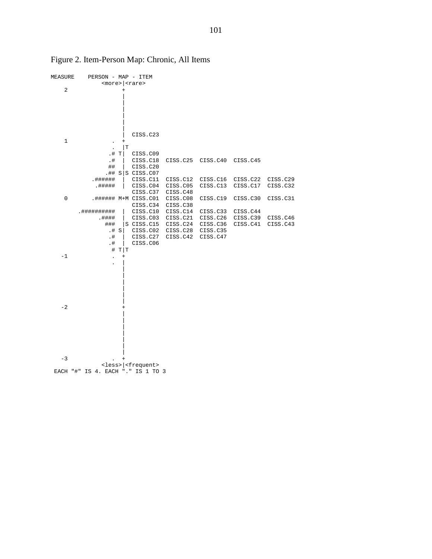

# Figure 2. Item-Person Map: Chronic, All Items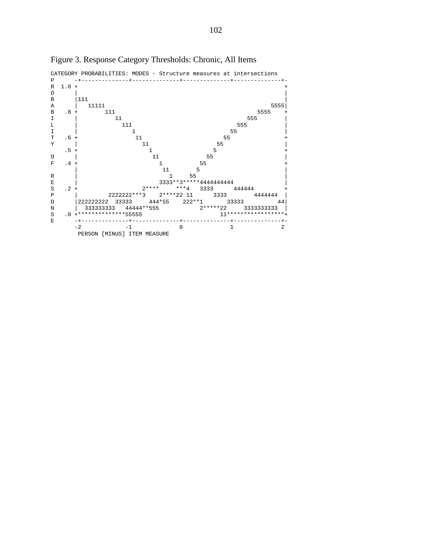

Figure 3. Response Category Thresholds: Chronic, All Items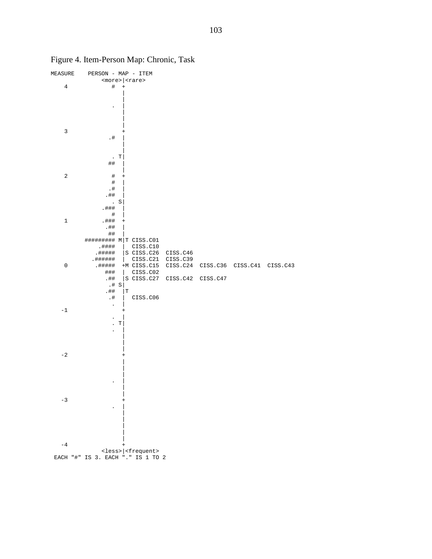

Figure 4. Item-Person Map: Chronic, Task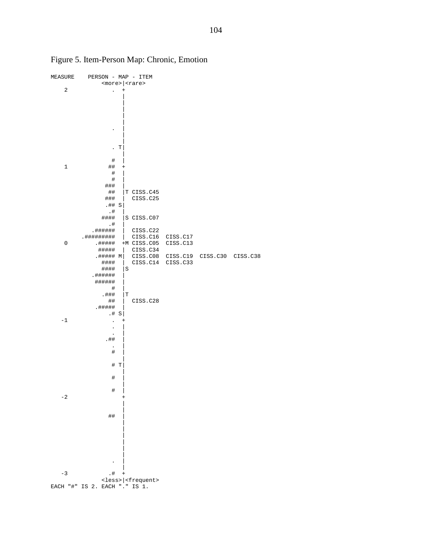

Figure 5. Item-Person Map: Chronic, Emotion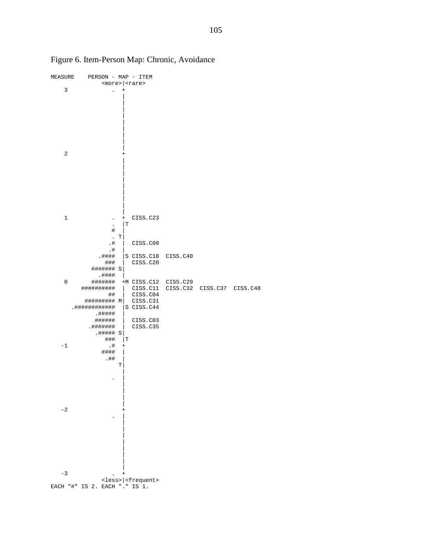

Figure 6. Item-Person Map: Chronic, Avoidance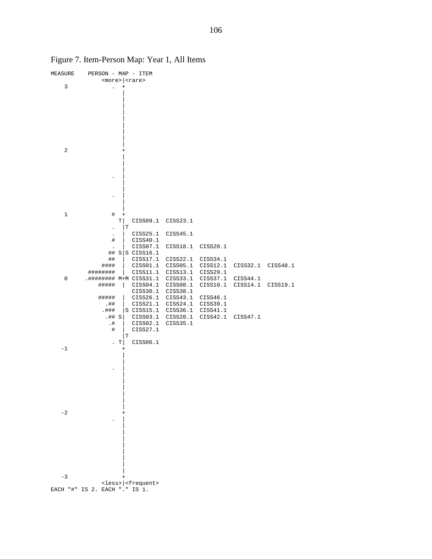| MEASURE | PERSON - MAP - ITEM           |              |                                      |          |          |          |          |
|---------|-------------------------------|--------------|--------------------------------------|----------|----------|----------|----------|
|         |                               |              | <more> <rare></rare></more>          |          |          |          |          |
| 3       |                               |              |                                      |          |          |          |          |
|         |                               |              |                                      |          |          |          |          |
|         |                               |              |                                      |          |          |          |          |
|         |                               |              |                                      |          |          |          |          |
|         |                               |              |                                      |          |          |          |          |
|         |                               |              |                                      |          |          |          |          |
|         |                               |              |                                      |          |          |          |          |
|         |                               |              |                                      |          |          |          |          |
|         |                               |              |                                      |          |          |          |          |
|         |                               |              |                                      |          |          |          |          |
| 2       |                               |              |                                      |          |          |          |          |
|         |                               |              |                                      |          |          |          |          |
|         |                               |              |                                      |          |          |          |          |
|         |                               |              |                                      |          |          |          |          |
|         |                               |              |                                      |          |          |          |          |
|         |                               |              |                                      |          |          |          |          |
|         |                               |              |                                      |          |          |          |          |
|         |                               |              |                                      |          |          |          |          |
|         |                               |              |                                      |          |          |          |          |
| 1       | #                             | $^{+}$       |                                      |          |          |          |          |
|         |                               | Τŀ           | CISS09.1                             | CISS23.1 |          |          |          |
|         |                               | lт.          |                                      |          |          |          |          |
|         | $\ddot{\phantom{0}}$          |              | CISS25.1                             | CISS45.1 |          |          |          |
|         | $\#$                          |              | CISS40.1                             |          |          |          |          |
|         | $\ddot{\phantom{1}}$          |              | CISS07.1                             | CISS18.1 | CISS20.1 |          |          |
|         |                               |              | $\#$ $\sharp$ S $\sharp$ CISS16.1    |          |          |          |          |
|         | ##                            |              | CISS17.1                             | CISS22.1 | CISS34.1 |          |          |
|         | ####                          |              | CISS01.1                             | CISS05.1 | CISS12.1 | CISS32.1 | CISS48.1 |
|         | ########                      |              | CISS11.1                             | CISS13.1 | CISS29.1 |          |          |
| 0       | .######## M+M CISS31.1        |              |                                      | CISS33.1 | CISS37.1 | CISS44.1 |          |
|         | #####                         | $\mathbf{I}$ | CISS04.1                             | CISS08.1 | CISS10.1 | CISS14.1 | CISS19.1 |
|         |                               |              | CISS30.1                             | CISS38.1 |          |          |          |
|         | #####                         |              | CISS26.1                             | CISS43.1 | CISS46.1 |          |          |
|         | .##                           |              | CISS21.1                             | CISS24.1 | CISS39.1 |          |          |
|         | .###                          |              | $ S \; CISS15.1$                     | CISS36.1 | CISS41.1 |          |          |
|         | .## $S$                       |              | CISS03.1                             | CISS28.1 | CISS42.1 | CISS47.1 |          |
|         | $. $ #                        |              | CISS02.1                             | CISS35.1 |          |          |          |
|         | #                             | Т            | CISS27.1                             |          |          |          |          |
|         |                               | . т          | CISS06.1                             |          |          |          |          |
| $-1$    |                               | $\ddot{}$    |                                      |          |          |          |          |
|         |                               |              |                                      |          |          |          |          |
|         |                               |              |                                      |          |          |          |          |
|         |                               |              |                                      |          |          |          |          |
|         |                               |              |                                      |          |          |          |          |
|         |                               |              |                                      |          |          |          |          |
|         |                               |              |                                      |          |          |          |          |
|         |                               |              |                                      |          |          |          |          |
|         |                               |              |                                      |          |          |          |          |
|         |                               |              |                                      |          |          |          |          |
| $-2$    |                               |              |                                      |          |          |          |          |
|         |                               |              |                                      |          |          |          |          |
|         |                               |              |                                      |          |          |          |          |
|         |                               |              |                                      |          |          |          |          |
|         |                               |              |                                      |          |          |          |          |
|         |                               |              |                                      |          |          |          |          |
|         |                               |              |                                      |          |          |          |          |
|         |                               |              |                                      |          |          |          |          |
|         |                               |              |                                      |          |          |          |          |
|         |                               |              |                                      |          |          |          |          |
| $-3$    |                               |              |                                      |          |          |          |          |
|         | EACH "#" IS 2. EACH "." IS 1. |              | <less>  <frequent></frequent></less> |          |          |          |          |
|         |                               |              |                                      |          |          |          |          |

Figure 7. Item-Person Map: Year 1, All Items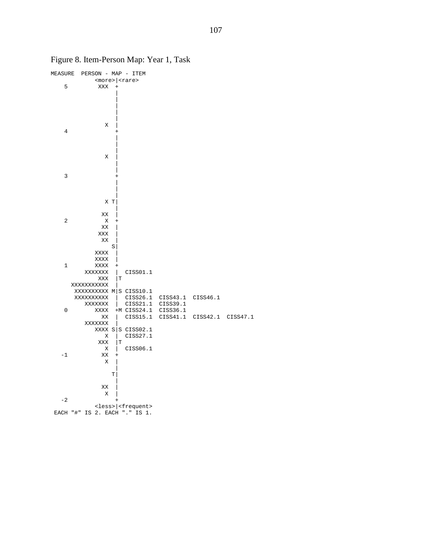| MEASURE        | PERSON - MAP - ITEM           |                |    |                                      |                   |                   |  |
|----------------|-------------------------------|----------------|----|--------------------------------------|-------------------|-------------------|--|
|                |                               |                |    | $<$ more> $ $ <rare></rare>          |                   |                   |  |
| 5              | XXX                           | $^{+}$         |    |                                      |                   |                   |  |
|                |                               |                |    |                                      |                   |                   |  |
|                |                               |                |    |                                      |                   |                   |  |
|                |                               |                |    |                                      |                   |                   |  |
|                |                               |                |    |                                      |                   |                   |  |
|                |                               |                |    |                                      |                   |                   |  |
|                | Χ                             |                |    |                                      |                   |                   |  |
| $\overline{4}$ |                               | $\pm$          |    |                                      |                   |                   |  |
|                |                               |                |    |                                      |                   |                   |  |
|                |                               |                |    |                                      |                   |                   |  |
|                |                               |                |    |                                      |                   |                   |  |
|                |                               |                |    |                                      |                   |                   |  |
|                | Χ                             |                |    |                                      |                   |                   |  |
|                |                               |                |    |                                      |                   |                   |  |
|                |                               |                |    |                                      |                   |                   |  |
| 3              |                               |                |    |                                      |                   |                   |  |
|                |                               |                |    |                                      |                   |                   |  |
|                |                               |                |    |                                      |                   |                   |  |
|                |                               |                |    |                                      |                   |                   |  |
|                |                               | X T            |    |                                      |                   |                   |  |
|                |                               |                |    |                                      |                   |                   |  |
|                | XX                            |                |    |                                      |                   |                   |  |
| $\overline{2}$ | Χ                             | $^{+}$         |    |                                      |                   |                   |  |
|                | ΧX                            |                |    |                                      |                   |                   |  |
|                | XXX                           |                |    |                                      |                   |                   |  |
|                | XX                            |                |    |                                      |                   |                   |  |
|                |                               | $\mathbf S$    |    |                                      |                   |                   |  |
|                | XXXX                          |                |    |                                      |                   |                   |  |
|                | XXXX                          |                |    |                                      |                   |                   |  |
| $\mathbf 1$    | XXXX                          | $^{+}$         |    |                                      |                   |                   |  |
|                | XXXXXXX                       |                |    | CISS01.1                             |                   |                   |  |
|                | XXX                           |                | İΤ |                                      |                   |                   |  |
|                | XXXXXXXXXXX                   |                |    |                                      |                   |                   |  |
|                | XXXXXXXXX M S CISS10.1        |                |    |                                      |                   |                   |  |
|                | XXXXXXXXXX                    |                |    | CISS26.1                             | CISS43.1 CISS46.1 |                   |  |
|                | XXXXXXX                       | $\overline{1}$ |    | CISS21.1                             | CISS39.1          |                   |  |
| $\mathsf 0$    | XXXX                          |                |    | $+M$ CISS24.1                        | CISS36.1          |                   |  |
|                | ΧX                            |                |    | CISS15.1                             | CISS41.1          | CISS42.1 CISS47.1 |  |
|                | XXXXXXX                       |                |    |                                      |                   |                   |  |
|                |                               |                |    | XXXX $S S$ CISS02.1                  |                   |                   |  |
|                | Χ                             |                |    | CISS27.1                             |                   |                   |  |
|                | XXX                           |                | İΤ |                                      |                   |                   |  |
|                | Χ                             |                |    | CISS06.1                             |                   |                   |  |
| $-1$           | XX                            | $^{+}$         |    |                                      |                   |                   |  |
|                | Χ                             |                |    |                                      |                   |                   |  |
|                |                               |                |    |                                      |                   |                   |  |
|                |                               | T              |    |                                      |                   |                   |  |
|                |                               |                |    |                                      |                   |                   |  |
|                | XX                            |                |    |                                      |                   |                   |  |
|                | Χ                             |                |    |                                      |                   |                   |  |
| $-2$           |                               |                |    |                                      |                   |                   |  |
|                |                               |                |    | <less>  <frequent></frequent></less> |                   |                   |  |
|                | EACH "#" IS 2. EACH "." IS 1. |                |    |                                      |                   |                   |  |
|                |                               |                |    |                                      |                   |                   |  |

Figure 8. Item-Person Map: Year 1, Task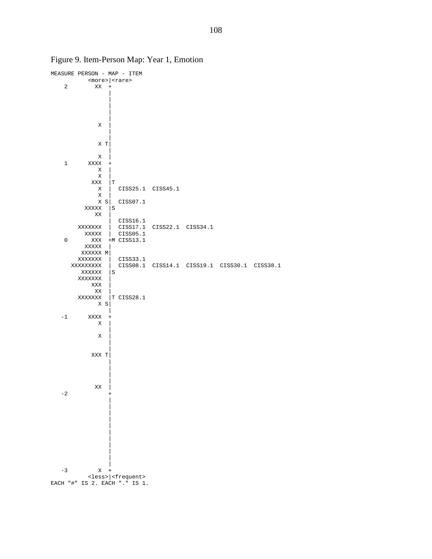

Figure 9. Item-Person Map: Year 1, Emotion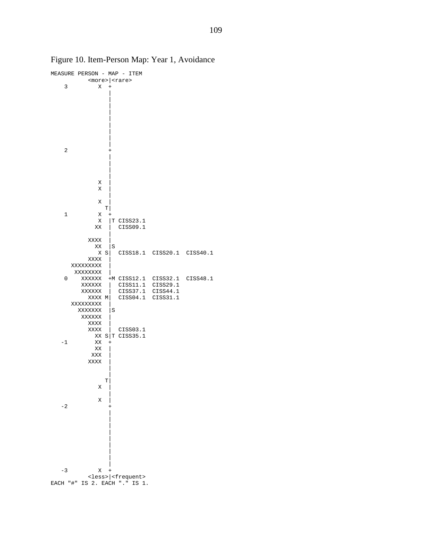

Figure 10. Item-Person Map: Year 1, Avoidance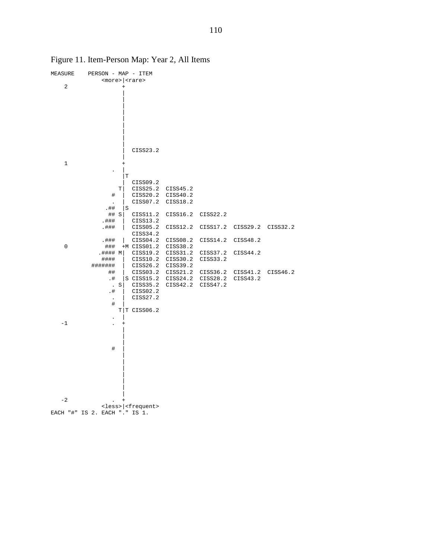

Figure 11. Item-Person Map: Year 2, All Items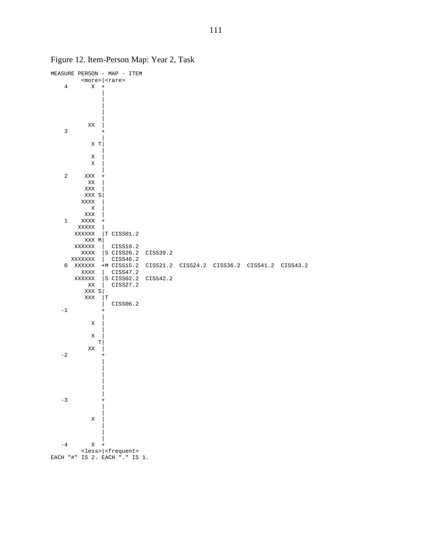

Figure 12. Item-Person Map: Year 2, Task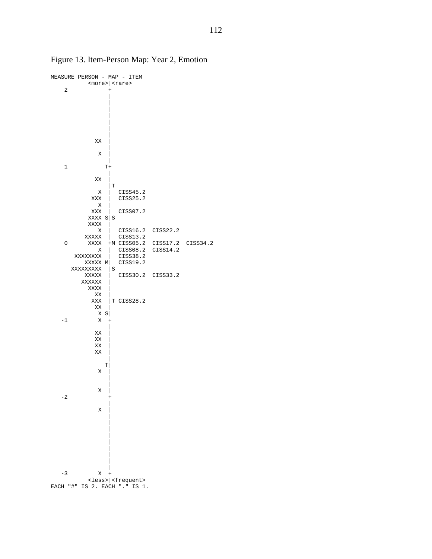

Figure 13. Item-Person Map: Year 2, Emotion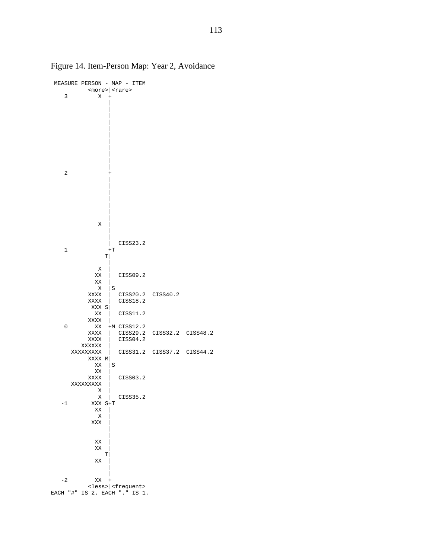

Figure 14. Item-Person Map: Year 2, Avoidance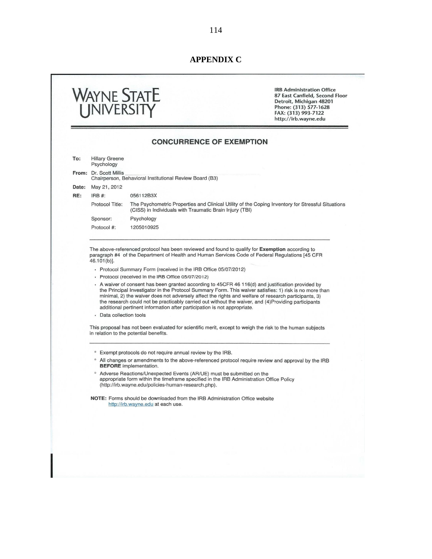# **APPENDIX C**

|       | WAYNE STATE<br>UNIVERSITY                                                                                                                                                                                                                                                                                                                                                                                                                                                                                                                                                                                                                                                                |            |                                                         | <b>IRB Administration Office</b><br>87 East Canfield, Second Floor<br>Detroit, Michigan 48201<br>Phone: (313) 577-1628<br>FAX: (313) 993-7122<br>http://irb.wayne.edu |  |  |  |  |  |
|-------|------------------------------------------------------------------------------------------------------------------------------------------------------------------------------------------------------------------------------------------------------------------------------------------------------------------------------------------------------------------------------------------------------------------------------------------------------------------------------------------------------------------------------------------------------------------------------------------------------------------------------------------------------------------------------------------|------------|---------------------------------------------------------|-----------------------------------------------------------------------------------------------------------------------------------------------------------------------|--|--|--|--|--|
|       |                                                                                                                                                                                                                                                                                                                                                                                                                                                                                                                                                                                                                                                                                          |            | <b>CONCURRENCE OF EXEMPTION</b>                         |                                                                                                                                                                       |  |  |  |  |  |
| To:   | <b>Hillary Greene</b><br>Psychology                                                                                                                                                                                                                                                                                                                                                                                                                                                                                                                                                                                                                                                      |            |                                                         |                                                                                                                                                                       |  |  |  |  |  |
|       | From: Dr. Scott Millis                                                                                                                                                                                                                                                                                                                                                                                                                                                                                                                                                                                                                                                                   |            | Chairperson, Behavioral Institutional Review Board (B3) |                                                                                                                                                                       |  |  |  |  |  |
| Date: | May 21, 2012                                                                                                                                                                                                                                                                                                                                                                                                                                                                                                                                                                                                                                                                             |            |                                                         |                                                                                                                                                                       |  |  |  |  |  |
| RE:   | $IRB#$ :                                                                                                                                                                                                                                                                                                                                                                                                                                                                                                                                                                                                                                                                                 | 056112B3X  |                                                         |                                                                                                                                                                       |  |  |  |  |  |
|       | Protocol Title:                                                                                                                                                                                                                                                                                                                                                                                                                                                                                                                                                                                                                                                                          |            | (CISS) in Individuals with Traumatic Brain Injury (TBI) | The Psychometric Properties and Clinical Utility of the Coping Inventory for Stressful Situations                                                                     |  |  |  |  |  |
|       | Sponsor:                                                                                                                                                                                                                                                                                                                                                                                                                                                                                                                                                                                                                                                                                 | Psychology |                                                         |                                                                                                                                                                       |  |  |  |  |  |
|       | Protocol #:                                                                                                                                                                                                                                                                                                                                                                                                                                                                                                                                                                                                                                                                              | 1205010925 |                                                         |                                                                                                                                                                       |  |  |  |  |  |
|       |                                                                                                                                                                                                                                                                                                                                                                                                                                                                                                                                                                                                                                                                                          |            |                                                         |                                                                                                                                                                       |  |  |  |  |  |
|       | A waiver of consent has been granted according to 45CFR 46 116(d) and justification provided by<br>the Principal Investigator in the Protocol Summary Form. This waiver satisfies: 1) risk is no more than<br>minimal, 2) the waiver does not adversely affect the rights and welfare of research participants, 3)<br>the research could not be practicably carried out without the waiver, and (4) Providing participants<br>additional pertinent information after participation is not appropriate.<br>• Data collection tools<br>This proposal has not been evaluated for scientific merit, except to weigh the risk to the human subjects<br>in relation to the potential benefits. |            |                                                         |                                                                                                                                                                       |  |  |  |  |  |
|       |                                                                                                                                                                                                                                                                                                                                                                                                                                                                                                                                                                                                                                                                                          |            |                                                         |                                                                                                                                                                       |  |  |  |  |  |
|       | <sup>o</sup> Exempt protocols do not require annual review by the IRB.<br>$\circ$<br>All changes or amendments to the above-referenced protocol require review and approval by the IRB<br><b>BEFORE</b> implementation.                                                                                                                                                                                                                                                                                                                                                                                                                                                                  |            |                                                         |                                                                                                                                                                       |  |  |  |  |  |
|       | Adverse Reactions/Unexpected Events (AR/UE) must be submitted on the<br>$\circ$<br>appropriate form within the timeframe specified in the IRB Administration Office Policy<br>(http://irb.wayne.edu/policies-human-research.php).                                                                                                                                                                                                                                                                                                                                                                                                                                                        |            |                                                         |                                                                                                                                                                       |  |  |  |  |  |
|       | NOTE: Forms should be downloaded from the IRB Administration Office website<br>http://irb.wayne.edu at each use.                                                                                                                                                                                                                                                                                                                                                                                                                                                                                                                                                                         |            |                                                         |                                                                                                                                                                       |  |  |  |  |  |
|       |                                                                                                                                                                                                                                                                                                                                                                                                                                                                                                                                                                                                                                                                                          |            |                                                         |                                                                                                                                                                       |  |  |  |  |  |
|       |                                                                                                                                                                                                                                                                                                                                                                                                                                                                                                                                                                                                                                                                                          |            |                                                         |                                                                                                                                                                       |  |  |  |  |  |
|       |                                                                                                                                                                                                                                                                                                                                                                                                                                                                                                                                                                                                                                                                                          |            |                                                         |                                                                                                                                                                       |  |  |  |  |  |
|       |                                                                                                                                                                                                                                                                                                                                                                                                                                                                                                                                                                                                                                                                                          |            |                                                         |                                                                                                                                                                       |  |  |  |  |  |
|       |                                                                                                                                                                                                                                                                                                                                                                                                                                                                                                                                                                                                                                                                                          |            |                                                         |                                                                                                                                                                       |  |  |  |  |  |
|       |                                                                                                                                                                                                                                                                                                                                                                                                                                                                                                                                                                                                                                                                                          |            |                                                         |                                                                                                                                                                       |  |  |  |  |  |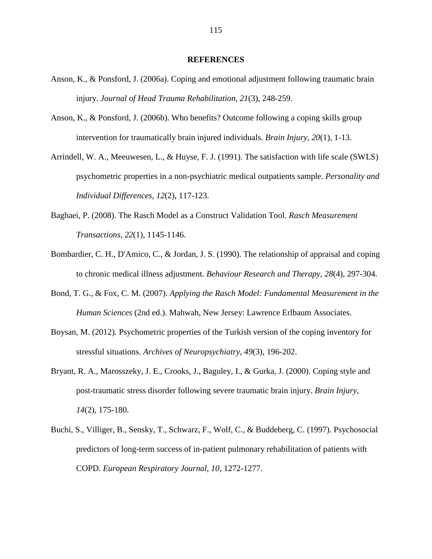#### **REFERENCES**

- Anson, K., & Ponsford, J. (2006a). Coping and emotional adjustment following traumatic brain injury. *Journal of Head Trauma Rehabilitation, 21*(3), 248-259.
- Anson, K., & Ponsford, J. (2006b). Who benefits? Outcome following a coping skills group intervention for traumatically brain injured individuals. *Brain Injury, 20*(1), 1-13.
- Arrindell, W. A., Meeuwesen, L., & Huyse, F. J. (1991). The satisfaction with life scale (SWLS) psychometric properties in a non-psychiatric medical outpatients sample. *Personality and Individual Differences, 12*(2), 117-123.
- Baghaei, P. (2008). The Rasch Model as a Construct Validation Tool. *Rasch Measurement Transactions, 22*(1), 1145-1146.
- Bombardier, C. H., D'Amico, C., & Jordan, J. S. (1990). The relationship of appraisal and coping to chronic medical illness adjustment. *Behaviour Research and Therapy, 28*(4), 297-304.
- Bond, T. G., & Fox, C. M. (2007). *Applying the Rasch Model: Fundamental Measurement in the Human Sciences* (2nd ed.). Mahwah, New Jersey: Lawrence Erlbaum Associates.
- Boysan, M. (2012). Psychometric properties of the Turkish version of the coping inventory for stressful situations. *Archives of Neuropsychiatry, 49*(3), 196-202.
- Bryant, R. A., Marosszeky, J. E., Crooks, J., Baguley, I., & Gurka, J. (2000). Coping style and post-traumatic stress disorder following severe traumatic brain injury. *Brain Injury, 14*(2), 175-180.
- Buchi, S., Villiger, B., Sensky, T., Schwarz, F., Wolf, C., & Buddeberg, C. (1997). Psychosocial predictors of long-term success of in-patient pulmonary rehabilitation of patients with COPD. *European Respiratory Journal, 10*, 1272-1277.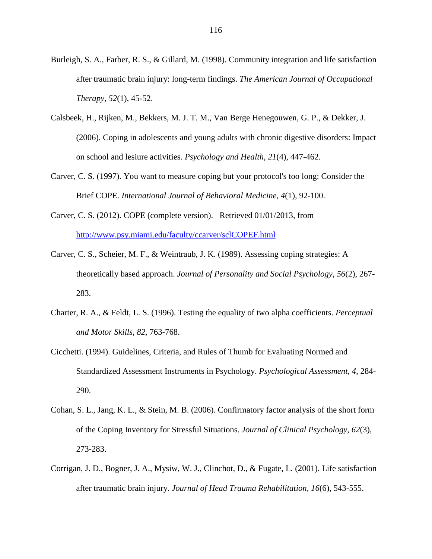- Burleigh, S. A., Farber, R. S., & Gillard, M. (1998). Community integration and life satisfaction after traumatic brain injury: long-term findings. *The American Journal of Occupational Therapy, 52*(1), 45-52.
- Calsbeek, H., Rijken, M., Bekkers, M. J. T. M., Van Berge Henegouwen, G. P., & Dekker, J. (2006). Coping in adolescents and young adults with chronic digestive disorders: Impact on school and lesiure activities. *Psychology and Health, 21*(4), 447-462.
- Carver, C. S. (1997). You want to measure coping but your protocol's too long: Consider the Brief COPE. *International Journal of Behavioral Medicine, 4*(1), 92-100.
- Carver, C. S. (2012). COPE (complete version). Retrieved 01/01/2013, from http://www.psy.miami.edu/faculty/ccarver/sclCOPEF.html
- Carver, C. S., Scheier, M. F., & Weintraub, J. K. (1989). Assessing coping strategies: A theoretically based approach. *Journal of Personality and Social Psychology, 56*(2), 267- 283.
- Charter, R. A., & Feldt, L. S. (1996). Testing the equality of two alpha coefficients. *Perceptual and Motor Skills, 82*, 763-768.
- Cicchetti. (1994). Guidelines, Criteria, and Rules of Thumb for Evaluating Normed and Standardized Assessment Instruments in Psychology. *Psychological Assessment, 4*, 284- 290.
- Cohan, S. L., Jang, K. L., & Stein, M. B. (2006). Confirmatory factor analysis of the short form of the Coping Inventory for Stressful Situations. *Journal of Clinical Psychology, 62*(3), 273-283.
- Corrigan, J. D., Bogner, J. A., Mysiw, W. J., Clinchot, D., & Fugate, L. (2001). Life satisfaction after traumatic brain injury. *Journal of Head Trauma Rehabilitation, 16*(6), 543-555.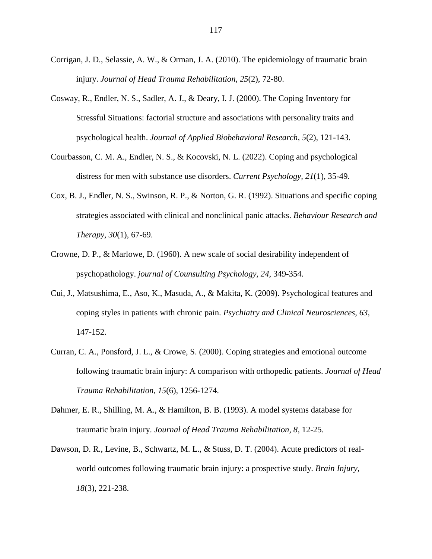- Corrigan, J. D., Selassie, A. W., & Orman, J. A. (2010). The epidemiology of traumatic brain injury. *Journal of Head Trauma Rehabilitation, 25*(2), 72-80.
- Cosway, R., Endler, N. S., Sadler, A. J., & Deary, I. J. (2000). The Coping Inventory for Stressful Situations: factorial structure and associations with personality traits and psychological health. *Journal of Applied Biobehavioral Research, 5*(2), 121-143.
- Courbasson, C. M. A., Endler, N. S., & Kocovski, N. L. (2022). Coping and psychological distress for men with substance use disorders. *Current Psychology, 21*(1), 35-49.
- Cox, B. J., Endler, N. S., Swinson, R. P., & Norton, G. R. (1992). Situations and specific coping strategies associated with clinical and nonclinical panic attacks. *Behaviour Research and Therapy, 30*(1), 67-69.
- Crowne, D. P., & Marlowe, D. (1960). A new scale of social desirability independent of psychopathology. *journal of Counsulting Psychology, 24*, 349-354.
- Cui, J., Matsushima, E., Aso, K., Masuda, A., & Makita, K. (2009). Psychological features and coping styles in patients with chronic pain. *Psychiatry and Clinical Neurosciences, 63*, 147-152.
- Curran, C. A., Ponsford, J. L., & Crowe, S. (2000). Coping strategies and emotional outcome following traumatic brain injury: A comparison with orthopedic patients. *Journal of Head Trauma Rehabilitation, 15*(6), 1256-1274.
- Dahmer, E. R., Shilling, M. A., & Hamilton, B. B. (1993). A model systems database for traumatic brain injury. *Journal of Head Trauma Rehabilitation, 8*, 12-25.
- Dawson, D. R., Levine, B., Schwartz, M. L., & Stuss, D. T. (2004). Acute predictors of realworld outcomes following traumatic brain injury: a prospective study. *Brain Injury, 18*(3), 221-238.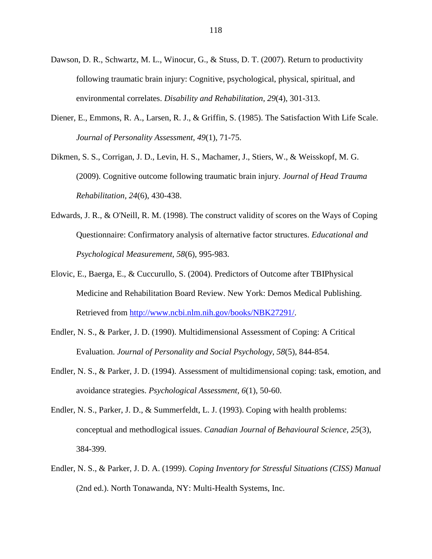- Dawson, D. R., Schwartz, M. L., Winocur, G., & Stuss, D. T. (2007). Return to productivity following traumatic brain injury: Cognitive, psychological, physical, spiritual, and environmental correlates. *Disability and Rehabilitation, 29*(4), 301-313.
- Diener, E., Emmons, R. A., Larsen, R. J., & Griffin, S. (1985). The Satisfaction With Life Scale. *Journal of Personality Assessment, 49*(1), 71-75.
- Dikmen, S. S., Corrigan, J. D., Levin, H. S., Machamer, J., Stiers, W., & Weisskopf, M. G. (2009). Cognitive outcome following traumatic brain injury. *Journal of Head Trauma Rehabilitation, 24*(6), 430-438.
- Edwards, J. R., & O'Neill, R. M. (1998). The construct validity of scores on the Ways of Coping Questionnaire: Confirmatory analysis of alternative factor structures. *Educational and Psychological Measurement, 58*(6), 995-983.
- Elovic, E., Baerga, E., & Cuccurullo, S. (2004). Predictors of Outcome after TBIPhysical Medicine and Rehabilitation Board Review. New York: Demos Medical Publishing. Retrieved from http://www.ncbi.nlm.nih.gov/books/NBK27291/.
- Endler, N. S., & Parker, J. D. (1990). Multidimensional Assessment of Coping: A Critical Evaluation. *Journal of Personality and Social Psychology, 58*(5), 844-854.
- Endler, N. S., & Parker, J. D. (1994). Assessment of multidimensional coping: task, emotion, and avoidance strategies. *Psychological Assessment, 6*(1), 50-60.
- Endler, N. S., Parker, J. D., & Summerfeldt, L. J. (1993). Coping with health problems: conceptual and methodlogical issues. *Canadian Journal of Behavioural Science, 25*(3), 384-399.
- Endler, N. S., & Parker, J. D. A. (1999). *Coping Inventory for Stressful Situations (CISS) Manual* (2nd ed.). North Tonawanda, NY: Multi-Health Systems, Inc.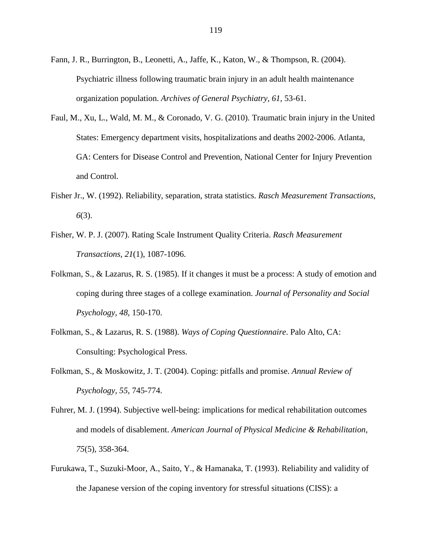- Fann, J. R., Burrington, B., Leonetti, A., Jaffe, K., Katon, W., & Thompson, R. (2004). Psychiatric illness following traumatic brain injury in an adult health maintenance organization population. *Archives of General Psychiatry, 61*, 53-61.
- Faul, M., Xu, L., Wald, M. M., & Coronado, V. G. (2010). Traumatic brain injury in the United States: Emergency department visits, hospitalizations and deaths 2002-2006. Atlanta, GA: Centers for Disease Control and Prevention, National Center for Injury Prevention and Control.
- Fisher Jr., W. (1992). Reliability, separation, strata statistics. *Rasch Measurement Transactions, 6*(3).
- Fisher, W. P. J. (2007). Rating Scale Instrument Quality Criteria. *Rasch Measurement Transactions, 21*(1), 1087-1096.
- Folkman, S., & Lazarus, R. S. (1985). If it changes it must be a process: A study of emotion and coping during three stages of a college examination. *Journal of Personality and Social Psychology, 48*, 150-170.
- Folkman, S., & Lazarus, R. S. (1988). *Ways of Coping Questionnaire*. Palo Alto, CA: Consulting: Psychological Press.
- Folkman, S., & Moskowitz, J. T. (2004). Coping: pitfalls and promise. *Annual Review of Psychology, 55*, 745-774.
- Fuhrer, M. J. (1994). Subjective well-being: implications for medical rehabilitation outcomes and models of disablement. *American Journal of Physical Medicine & Rehabilitation, 75*(5), 358-364.
- Furukawa, T., Suzuki-Moor, A., Saito, Y., & Hamanaka, T. (1993). Reliability and validity of the Japanese version of the coping inventory for stressful situations (CISS): a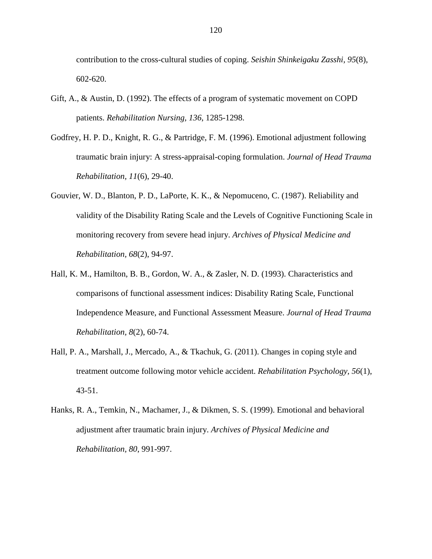contribution to the cross-cultural studies of coping. *Seishin Shinkeigaku Zasshi, 95*(8), 602-620.

- Gift, A., & Austin, D. (1992). The effects of a program of systematic movement on COPD patients. *Rehabilitation Nursing, 136*, 1285-1298.
- Godfrey, H. P. D., Knight, R. G., & Partridge, F. M. (1996). Emotional adjustment following traumatic brain injury: A stress-appraisal-coping formulation. *Journal of Head Trauma Rehabilitation, 11*(6), 29-40.
- Gouvier, W. D., Blanton, P. D., LaPorte, K. K., & Nepomuceno, C. (1987). Reliability and validity of the Disability Rating Scale and the Levels of Cognitive Functioning Scale in monitoring recovery from severe head injury. *Archives of Physical Medicine and Rehabilitation, 68*(2), 94-97.
- Hall, K. M., Hamilton, B. B., Gordon, W. A., & Zasler, N. D. (1993). Characteristics and comparisons of functional assessment indices: Disability Rating Scale, Functional Independence Measure, and Functional Assessment Measure. *Journal of Head Trauma Rehabilitation, 8*(2), 60-74.
- Hall, P. A., Marshall, J., Mercado, A., & Tkachuk, G. (2011). Changes in coping style and treatment outcome following motor vehicle accident. *Rehabilitation Psychology, 56*(1), 43-51.
- Hanks, R. A., Temkin, N., Machamer, J., & Dikmen, S. S. (1999). Emotional and behavioral adjustment after traumatic brain injury. *Archives of Physical Medicine and Rehabilitation, 80*, 991-997.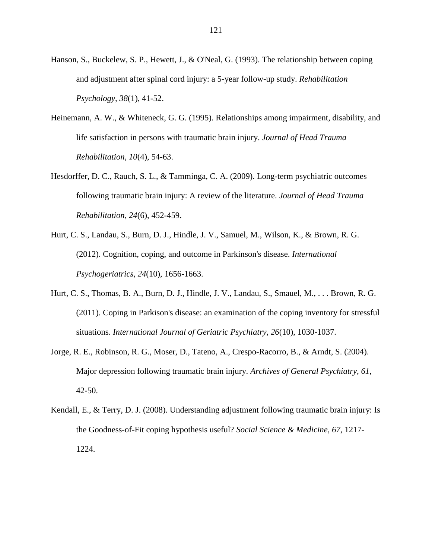- Hanson, S., Buckelew, S. P., Hewett, J., & O'Neal, G. (1993). The relationship between coping and adjustment after spinal cord injury: a 5-year follow-up study. *Rehabilitation Psychology, 38*(1), 41-52.
- Heinemann, A. W., & Whiteneck, G. G. (1995). Relationships among impairment, disability, and life satisfaction in persons with traumatic brain injury. *Journal of Head Trauma Rehabilitation, 10*(4), 54-63.
- Hesdorffer, D. C., Rauch, S. L., & Tamminga, C. A. (2009). Long-term psychiatric outcomes following traumatic brain injury: A review of the literature. *Journal of Head Trauma Rehabilitation, 24*(6), 452-459.
- Hurt, C. S., Landau, S., Burn, D. J., Hindle, J. V., Samuel, M., Wilson, K., & Brown, R. G. (2012). Cognition, coping, and outcome in Parkinson's disease. *International Psychogeriatrics, 24*(10), 1656-1663.
- Hurt, C. S., Thomas, B. A., Burn, D. J., Hindle, J. V., Landau, S., Smauel, M., . . . Brown, R. G. (2011). Coping in Parkison's disease: an examination of the coping inventory for stressful situations. *International Journal of Geriatric Psychiatry, 26*(10), 1030-1037.
- Jorge, R. E., Robinson, R. G., Moser, D., Tateno, A., Crespo-Racorro, B., & Arndt, S. (2004). Major depression following traumatic brain injury. *Archives of General Psychiatry, 61*, 42-50.
- Kendall, E., & Terry, D. J. (2008). Understanding adjustment following traumatic brain injury: Is the Goodness-of-Fit coping hypothesis useful? *Social Science & Medicine, 67*, 1217- 1224.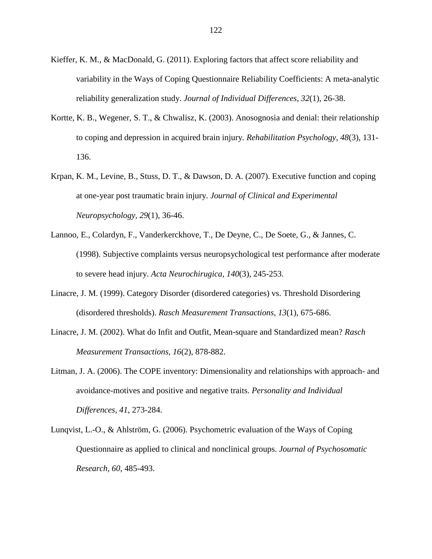- Kieffer, K. M., & MacDonald, G. (2011). Exploring factors that affect score reliability and variability in the Ways of Coping Questionnaire Reliability Coefficients: A meta-analytic reliability generalization study. *Journal of Individual Differences, 32*(1), 26-38.
- Kortte, K. B., Wegener, S. T., & Chwalisz, K. (2003). Anosognosia and denial: their relationship to coping and depression in acquired brain injury. *Rehabilitation Psychology, 48*(3), 131- 136.
- Krpan, K. M., Levine, B., Stuss, D. T., & Dawson, D. A. (2007). Executive function and coping at one-year post traumatic brain injury. *Journal of Clinical and Experimental Neuropsychology, 29*(1), 36-46.
- Lannoo, E., Colardyn, F., Vanderkerckhove, T., De Deyne, C., De Soete, G., & Jannes, C. (1998). Subjective complaints versus neuropsychological test performance after moderate to severe head injury. *Acta Neurochirugica, 140*(3), 245-253.
- Linacre, J. M. (1999). Category Disorder (disordered categories) vs. Threshold Disordering (disordered thresholds). *Rasch Measurement Transactions, 13*(1), 675-686.
- Linacre, J. M. (2002). What do Infit and Outfit, Mean-square and Standardized mean? *Rasch Measurement Transactions, 16*(2), 878-882.
- Litman, J. A. (2006). The COPE inventory: Dimensionality and relationships with approach- and avoidance-motives and positive and negative traits. *Personality and Individual Differences, 41*, 273-284.
- Lunqvist, L.-O., & Ahlström, G. (2006). Psychometric evaluation of the Ways of Coping Questionnaire as applied to clinical and nonclinical groups. *Journal of Psychosomatic Research, 60*, 485-493.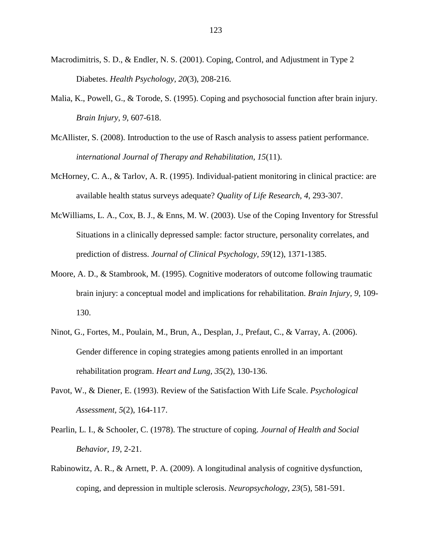- Macrodimitris, S. D., & Endler, N. S. (2001). Coping, Control, and Adjustment in Type 2 Diabetes. *Health Psychology, 20*(3), 208-216.
- Malia, K., Powell, G., & Torode, S. (1995). Coping and psychosocial function after brain injury. *Brain Injury, 9*, 607-618.
- McAllister, S. (2008). Introduction to the use of Rasch analysis to assess patient performance. *international Journal of Therapy and Rehabilitation, 15*(11).
- McHorney, C. A., & Tarlov, A. R. (1995). Individual-patient monitoring in clinical practice: are available health status surveys adequate? *Quality of Life Research, 4*, 293-307.
- McWilliams, L. A., Cox, B. J., & Enns, M. W. (2003). Use of the Coping Inventory for Stressful Situations in a clinically depressed sample: factor structure, personality correlates, and prediction of distress. *Journal of Clinical Psychology, 59*(12), 1371-1385.
- Moore, A. D., & Stambrook, M. (1995). Cognitive moderators of outcome following traumatic brain injury: a conceptual model and implications for rehabilitation. *Brain Injury, 9*, 109- 130.
- Ninot, G., Fortes, M., Poulain, M., Brun, A., Desplan, J., Prefaut, C., & Varray, A. (2006). Gender difference in coping strategies among patients enrolled in an important rehabilitation program. *Heart and Lung, 35*(2), 130-136.
- Pavot, W., & Diener, E. (1993). Review of the Satisfaction With Life Scale. *Psychological Assessment, 5*(2), 164-117.
- Pearlin, L. I., & Schooler, C. (1978). The structure of coping. *Journal of Health and Social Behavior, 19*, 2-21.
- Rabinowitz, A. R., & Arnett, P. A. (2009). A longitudinal analysis of cognitive dysfunction, coping, and depression in multiple sclerosis. *Neuropsychology, 23*(5), 581-591.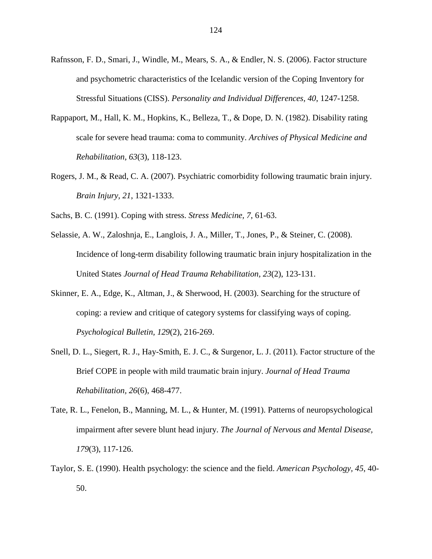- Rafnsson, F. D., Smari, J., Windle, M., Mears, S. A., & Endler, N. S. (2006). Factor structure and psychometric characteristics of the Icelandic version of the Coping Inventory for Stressful Situations (CISS). *Personality and Individual Differences, 40*, 1247-1258.
- Rappaport, M., Hall, K. M., Hopkins, K., Belleza, T., & Dope, D. N. (1982). Disability rating scale for severe head trauma: coma to community. *Archives of Physical Medicine and Rehabilitation, 63*(3), 118-123.
- Rogers, J. M., & Read, C. A. (2007). Psychiatric comorbidity following traumatic brain injury. *Brain Injury, 21*, 1321-1333.
- Sachs, B. C. (1991). Coping with stress. *Stress Medicine, 7*, 61-63.
- Selassie, A. W., Zaloshnja, E., Langlois, J. A., Miller, T., Jones, P., & Steiner, C. (2008). Incidence of long-term disability following traumatic brain injury hospitalization in the United States *Journal of Head Trauma Rehabilitation, 23*(2), 123-131.
- Skinner, E. A., Edge, K., Altman, J., & Sherwood, H. (2003). Searching for the structure of coping: a review and critique of category systems for classifying ways of coping. *Psychological Bulletin, 129*(2), 216-269.
- Snell, D. L., Siegert, R. J., Hay-Smith, E. J. C., & Surgenor, L. J. (2011). Factor structure of the Brief COPE in people with mild traumatic brain injury. *Journal of Head Trauma Rehabilitation, 26*(6), 468-477.
- Tate, R. L., Fenelon, B., Manning, M. L., & Hunter, M. (1991). Patterns of neuropsychological impairment after severe blunt head injury. *The Journal of Nervous and Mental Disease, 179*(3), 117-126.
- Taylor, S. E. (1990). Health psychology: the science and the field. *American Psychology, 45*, 40- 50.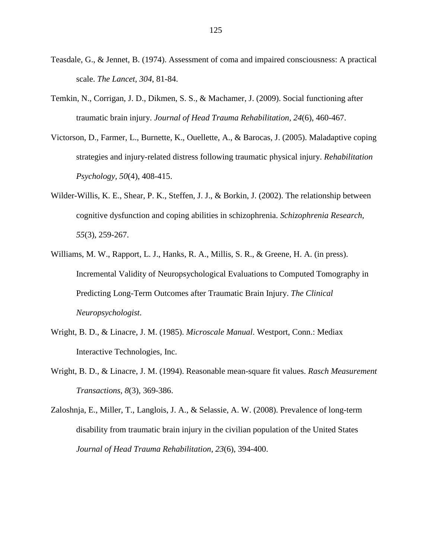- Teasdale, G., & Jennet, B. (1974). Assessment of coma and impaired consciousness: A practical scale. *The Lancet, 304*, 81-84.
- Temkin, N., Corrigan, J. D., Dikmen, S. S., & Machamer, J. (2009). Social functioning after traumatic brain injury. *Journal of Head Trauma Rehabilitation, 24*(6), 460-467.
- Victorson, D., Farmer, L., Burnette, K., Ouellette, A., & Barocas, J. (2005). Maladaptive coping strategies and injury-related distress following traumatic physical injury. *Rehabilitation Psychology, 50*(4), 408-415.
- Wilder-Willis, K. E., Shear, P. K., Steffen, J. J., & Borkin, J. (2002). The relationship between cognitive dysfunction and coping abilities in schizophrenia. *Schizophrenia Research, 55*(3), 259-267.
- Williams, M. W., Rapport, L. J., Hanks, R. A., Millis, S. R., & Greene, H. A. (in press). Incremental Validity of Neuropsychological Evaluations to Computed Tomography in Predicting Long-Term Outcomes after Traumatic Brain Injury. *The Clinical Neuropsychologist*.
- Wright, B. D., & Linacre, J. M. (1985). *Microscale Manual*. Westport, Conn.: Mediax Interactive Technologies, Inc.
- Wright, B. D., & Linacre, J. M. (1994). Reasonable mean-square fit values. *Rasch Measurement Transactions, 8*(3), 369-386.
- Zaloshnja, E., Miller, T., Langlois, J. A., & Selassie, A. W. (2008). Prevalence of long-term disability from traumatic brain injury in the civilian population of the United States *Journal of Head Trauma Rehabilitation, 23*(6), 394-400.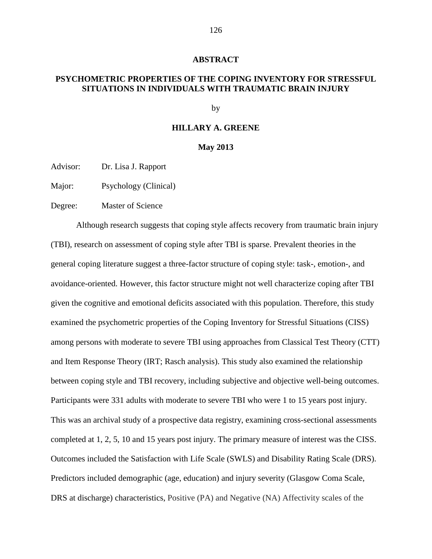### **ABSTRACT**

## **PSYCHOMETRIC PROPERTIES OF THE COPING INVENTORY FOR STRESSFUL SITUATIONS IN INDIVIDUALS WITH TRAUMATIC BRAIN INJURY**

by

## **HILLARY A. GREENE**

#### **May 2013**

Advisor: Dr. Lisa J. Rapport

Major: Psychology (Clinical)

Degree: Master of Science

 Although research suggests that coping style affects recovery from traumatic brain injury (TBI), research on assessment of coping style after TBI is sparse. Prevalent theories in the general coping literature suggest a three-factor structure of coping style: task-, emotion-, and avoidance-oriented. However, this factor structure might not well characterize coping after TBI given the cognitive and emotional deficits associated with this population. Therefore, this study examined the psychometric properties of the Coping Inventory for Stressful Situations (CISS) among persons with moderate to severe TBI using approaches from Classical Test Theory (CTT) and Item Response Theory (IRT; Rasch analysis). This study also examined the relationship between coping style and TBI recovery, including subjective and objective well-being outcomes. Participants were 331 adults with moderate to severe TBI who were 1 to 15 years post injury. This was an archival study of a prospective data registry, examining cross-sectional assessments completed at 1, 2, 5, 10 and 15 years post injury. The primary measure of interest was the CISS. Outcomes included the Satisfaction with Life Scale (SWLS) and Disability Rating Scale (DRS). Predictors included demographic (age, education) and injury severity (Glasgow Coma Scale, DRS at discharge) characteristics, Positive (PA) and Negative (NA) Affectivity scales of the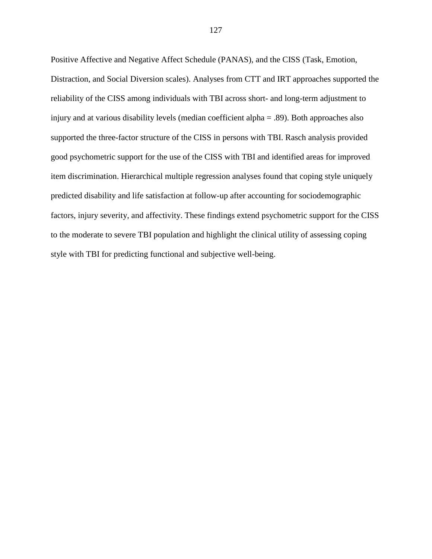Positive Affective and Negative Affect Schedule (PANAS), and the CISS (Task, Emotion, Distraction, and Social Diversion scales). Analyses from CTT and IRT approaches supported the reliability of the CISS among individuals with TBI across short- and long-term adjustment to injury and at various disability levels (median coefficient alpha = .89). Both approaches also supported the three-factor structure of the CISS in persons with TBI. Rasch analysis provided good psychometric support for the use of the CISS with TBI and identified areas for improved item discrimination. Hierarchical multiple regression analyses found that coping style uniquely predicted disability and life satisfaction at follow-up after accounting for sociodemographic factors, injury severity, and affectivity. These findings extend psychometric support for the CISS to the moderate to severe TBI population and highlight the clinical utility of assessing coping style with TBI for predicting functional and subjective well-being.